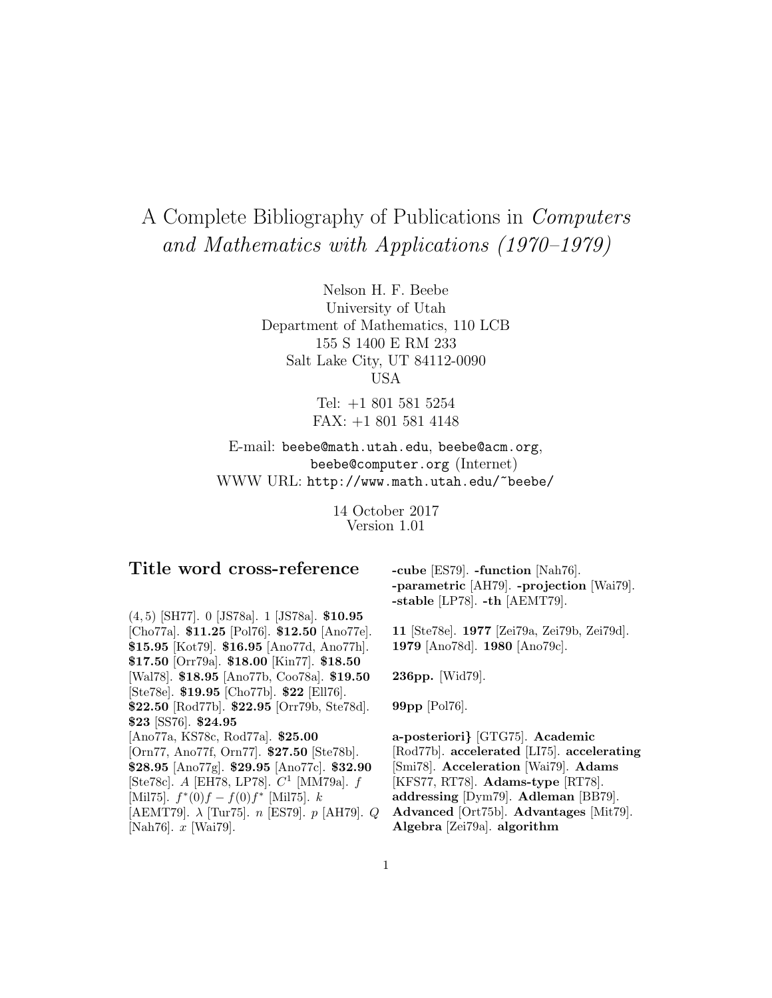# A Complete Bibliography of Publications in Computers and Mathematics with Applications (1970–1979)

Nelson H. F. Beebe University of Utah Department of Mathematics, 110 LCB 155 S 1400 E RM 233 Salt Lake City, UT 84112-0090 USA

> Tel: +1 801 581 5254 FAX: +1 801 581 4148

E-mail: beebe@math.utah.edu, beebe@acm.org, beebe@computer.org (Internet) WWW URL: http://www.math.utah.edu/~beebe/

> 14 October 2017 Version 1.01

# **Title word cross-reference**

(4, 5) [SH77]. 0 [JS78a]. 1 [JS78a]. **\$10.95** [Cho77a]. **\$11.25** [Pol76]. **\$12.50** [Ano77e]. **\$15.95** [Kot79]. **\$16.95** [Ano77d, Ano77h]. **\$17.50** [Orr79a]. **\$18.00** [Kin77]. **\$18.50** [Wal78]. **\$18.95** [Ano77b, Coo78a]. **\$19.50** [Ste78e]. **\$19.95** [Cho77b]. **\$22** [Ell76]. **\$22.50** [Rod77b]. **\$22.95** [Orr79b, Ste78d]. **\$23** [SS76]. **\$24.95** [Ano77a, KS78c, Rod77a]. **\$25.00** [Orn77, Ano77f, Orn77]. **\$27.50** [Ste78b]. **\$28.95** [Ano77g]. **\$29.95** [Ano77c]. **\$32.90** [Ste78c]. A [EH78, LP78].  $C^1$  [MM79a].  $f$ [Mil75].  $f^*(0)f - f(0)f^*$  [Mil75]. k [AEMT79].  $\lambda$  [Tur75]. n [ES79]. p [AH79]. Q [Nah76]. x [Wai79].

**-cube** [ES79]. **-function** [Nah76]. **-parametric** [AH79]. **-projection** [Wai79]. **-stable** [LP78]. **-th** [AEMT79].

**11** [Ste78e]. **1977** [Zei79a, Zei79b, Zei79d]. **1979** [Ano78d]. **1980** [Ano79c].

**236pp.** [Wid79].

**99pp** [Pol76].

**a-posteriori***}* [GTG75]. **Academic** [Rod77b]. **accelerated** [LI75]. **accelerating** [Smi78]. **Acceleration** [Wai79]. **Adams** [KFS77, RT78]. **Adams-type** [RT78]. **addressing** [Dym79]. **Adleman** [BB79]. **Advanced** [Ort75b]. **Advantages** [Mit79]. **Algebra** [Zei79a]. **algorithm**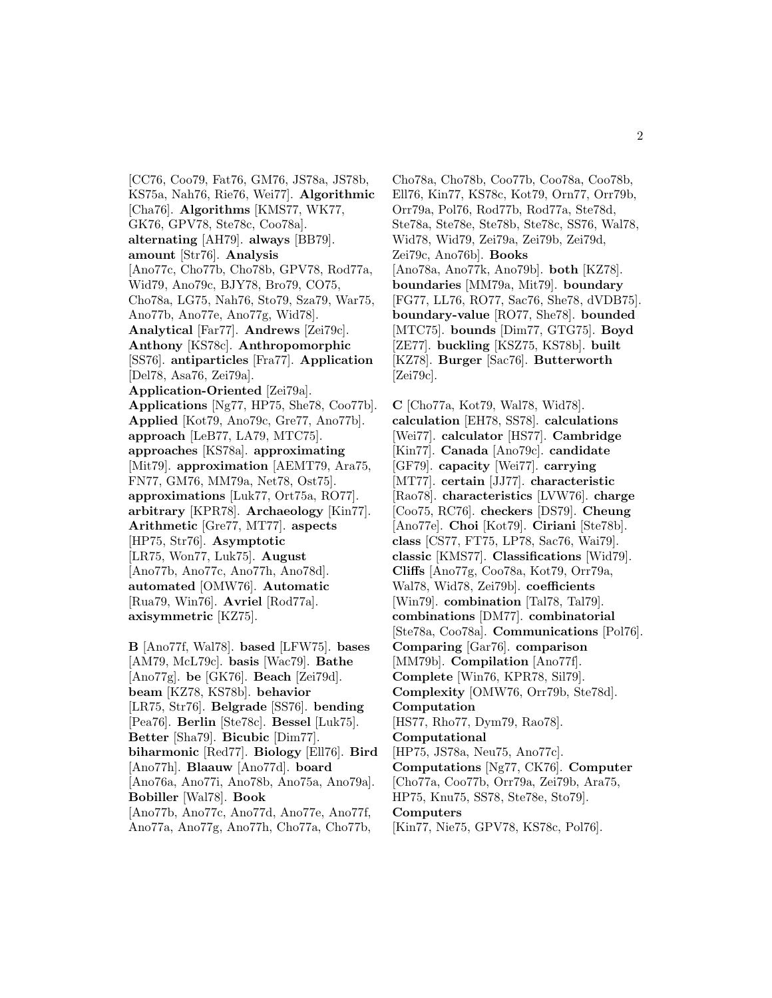[CC76, Coo79, Fat76, GM76, JS78a, JS78b, KS75a, Nah76, Rie76, Wei77]. **Algorithmic** [Cha76]. **Algorithms** [KMS77, WK77, GK76, GPV78, Ste78c, Coo78a]. **alternating** [AH79]. **always** [BB79]. **amount** [Str76]. **Analysis** [Ano77c, Cho77b, Cho78b, GPV78, Rod77a, Wid79, Ano79c, BJY78, Bro79, CO75, Cho78a, LG75, Nah76, Sto79, Sza79, War75, Ano77b, Ano77e, Ano77g, Wid78]. **Analytical** [Far77]. **Andrews** [Zei79c]. **Anthony** [KS78c]. **Anthropomorphic** [SS76]. **antiparticles** [Fra77]. **Application** [Del78, Asa76, Zei79a]. **Application-Oriented** [Zei79a]. **Applications** [Ng77, HP75, She78, Coo77b]. **Applied** [Kot79, Ano79c, Gre77, Ano77b]. **approach** [LeB77, LA79, MTC75]. **approaches** [KS78a]. **approximating** [Mit79]. **approximation** [AEMT79, Ara75, FN77, GM76, MM79a, Net78, Ost75]. **approximations** [Luk77, Ort75a, RO77]. **arbitrary** [KPR78]. **Archaeology** [Kin77]. **Arithmetic** [Gre77, MT77]. **aspects** [HP75, Str76]. **Asymptotic** [LR75, Won77, Luk75]. **August** [Ano77b, Ano77c, Ano77h, Ano78d]. **automated** [OMW76]. **Automatic** [Rua79, Win76]. **Avriel** [Rod77a]. **axisymmetric** [KZ75].

**B** [Ano77f, Wal78]. **based** [LFW75]. **bases** [AM79, McL79c]. **basis** [Wac79]. **Bathe** [Ano77g]. **be** [GK76]. **Beach** [Zei79d]. **beam** [KZ78, KS78b]. **behavior** [LR75, Str76]. **Belgrade** [SS76]. **bending** [Pea76]. **Berlin** [Ste78c]. **Bessel** [Luk75]. **Better** [Sha79]. **Bicubic** [Dim77]. **biharmonic** [Red77]. **Biology** [Ell76]. **Bird** [Ano77h]. **Blaauw** [Ano77d]. **board** [Ano76a, Ano77i, Ano78b, Ano75a, Ano79a]. **Bobiller** [Wal78]. **Book** [Ano77b, Ano77c, Ano77d, Ano77e, Ano77f, Ano77a, Ano77g, Ano77h, Cho77a, Cho77b,

Cho78a, Cho78b, Coo77b, Coo78a, Coo78b, Ell76, Kin77, KS78c, Kot79, Orn77, Orr79b, Orr79a, Pol76, Rod77b, Rod77a, Ste78d, Ste78a, Ste78e, Ste78b, Ste78c, SS76, Wal78, Wid78, Wid79, Zei79a, Zei79b, Zei79d, Zei79c, Ano76b]. **Books** [Ano78a, Ano77k, Ano79b]. **both** [KZ78]. **boundaries** [MM79a, Mit79]. **boundary** [FG77, LL76, RO77, Sac76, She78, dVDB75]. **boundary-value** [RO77, She78]. **bounded** [MTC75]. **bounds** [Dim77, GTG75]. **Boyd** [ZE77]. **buckling** [KSZ75, KS78b]. **built** [KZ78]. **Burger** [Sac76]. **Butterworth** [Zei79c].

**C** [Cho77a, Kot79, Wal78, Wid78]. **calculation** [EH78, SS78]. **calculations** [Wei77]. **calculator** [HS77]. **Cambridge** [Kin77]. **Canada** [Ano79c]. **candidate** [GF79]. **capacity** [Wei77]. **carrying** [MT77]. **certain** [JJ77]. **characteristic** [Rao78]. **characteristics** [LVW76]. **charge** [Coo75, RC76]. **checkers** [DS79]. **Cheung** [Ano77e]. **Choi** [Kot79]. **Ciriani** [Ste78b]. **class** [CS77, FT75, LP78, Sac76, Wai79]. **classic** [KMS77]. **Classifications** [Wid79]. **Cliffs** [Ano77g, Coo78a, Kot79, Orr79a, Wal78, Wid78, Zei79b]. **coefficients** [Win79]. **combination** [Tal78, Tal79]. **combinations** [DM77]. **combinatorial** [Ste78a, Coo78a]. **Communications** [Pol76]. **Comparing** [Gar76]. **comparison** [MM79b]. **Compilation** [Ano77f]. **Complete** [Win76, KPR78, Sil79]. **Complexity** [OMW76, Orr79b, Ste78d]. **Computation** [HS77, Rho77, Dym79, Rao78]. **Computational** [HP75, JS78a, Neu75, Ano77c]. **Computations** [Ng77, CK76]. **Computer** [Cho77a, Coo77b, Orr79a, Zei79b, Ara75, HP75, Knu75, SS78, Ste78e, Sto79]. **Computers** [Kin77, Nie75, GPV78, KS78c, Pol76].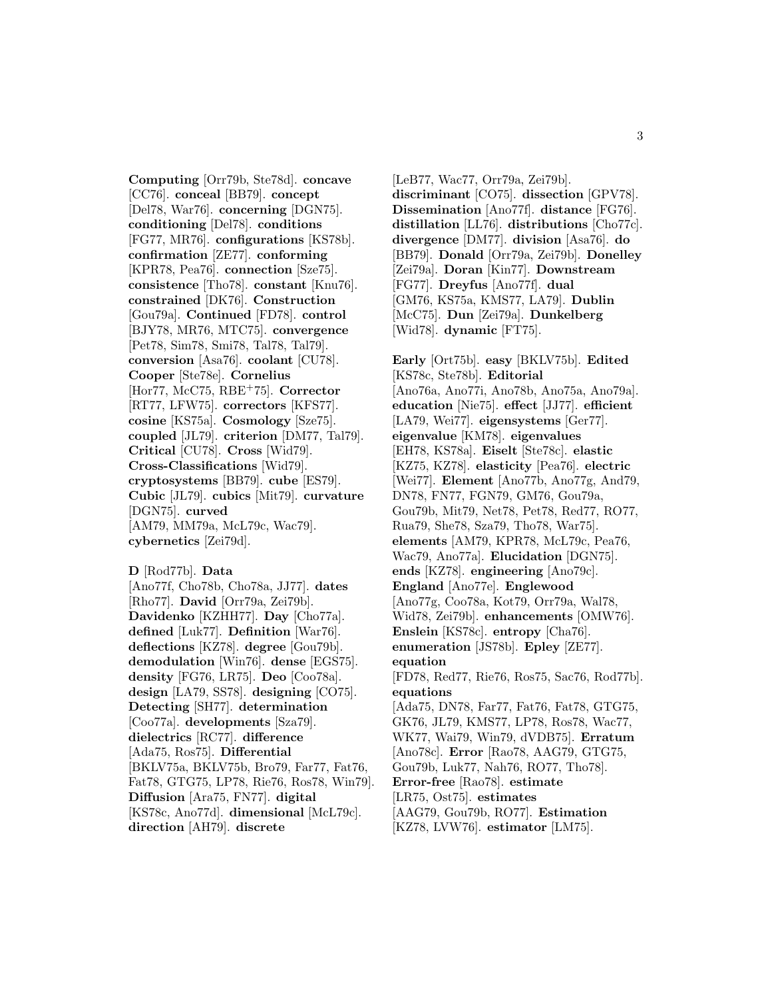**Computing** [Orr79b, Ste78d]. **concave** [CC76]. **conceal** [BB79]. **concept** [Del78, War76]. **concerning** [DGN75]. **conditioning** [Del78]. **conditions** [FG77, MR76]. **configurations** [KS78b]. **confirmation** [ZE77]. **conforming** [KPR78, Pea76]. **connection** [Sze75]. **consistence** [Tho78]. **constant** [Knu76]. **constrained** [DK76]. **Construction** [Gou79a]. **Continued** [FD78]. **control** [BJY78, MR76, MTC75]. **convergence** [Pet78, Sim78, Smi78, Tal78, Tal79]. **conversion** [Asa76]. **coolant** [CU78]. **Cooper** [Ste78e]. **Cornelius** [Hor77, McC75, RBE<sup>+</sup>75]. **Corrector** [RT77, LFW75]. **correctors** [KFS77]. **cosine** [KS75a]. **Cosmology** [Sze75]. **coupled** [JL79]. **criterion** [DM77, Tal79]. **Critical** [CU78]. **Cross** [Wid79]. **Cross-Classifications** [Wid79]. **cryptosystems** [BB79]. **cube** [ES79]. **Cubic** [JL79]. **cubics** [Mit79]. **curvature** [DGN75]. **curved** [AM79, MM79a, McL79c, Wac79]. **cybernetics** [Zei79d].

**D** [Rod77b]. **Data** [Ano77f, Cho78b, Cho78a, JJ77]. **dates** [Rho77]. **David** [Orr79a, Zei79b]. **Davidenko** [KZHH77]. **Day** [Cho77a]. **defined** [Luk77]. **Definition** [War76]. **deflections** [KZ78]. **degree** [Gou79b]. **demodulation** [Win76]. **dense** [EGS75]. **density** [FG76, LR75]. **Deo** [Coo78a]. **design** [LA79, SS78]. **designing** [CO75]. **Detecting** [SH77]. **determination** [Coo77a]. **developments** [Sza79]. **dielectrics** [RC77]. **difference** [Ada75, Ros75]. **Differential** [BKLV75a, BKLV75b, Bro79, Far77, Fat76, Fat78, GTG75, LP78, Rie76, Ros78, Win79]. **Diffusion** [Ara75, FN77]. **digital** [KS78c, Ano77d]. **dimensional** [McL79c]. **direction** [AH79]. **discrete**

[LeB77, Wac77, Orr79a, Zei79b]. **discriminant** [CO75]. **dissection** [GPV78]. **Dissemination** [Ano77f]. **distance** [FG76]. **distillation** [LL76]. **distributions** [Cho77c]. **divergence** [DM77]. **division** [Asa76]. **do** [BB79]. **Donald** [Orr79a, Zei79b]. **Donelley** [Zei79a]. **Doran** [Kin77]. **Downstream** [FG77]. **Dreyfus** [Ano77f]. **dual** [GM76, KS75a, KMS77, LA79]. **Dublin** [McC75]. **Dun** [Zei79a]. **Dunkelberg** [Wid78]. **dynamic** [FT75].

**Early** [Ort75b]. **easy** [BKLV75b]. **Edited** [KS78c, Ste78b]. **Editorial** [Ano76a, Ano77i, Ano78b, Ano75a, Ano79a]. **education** [Nie75]. **effect** [JJ77]. **efficient** [LA79, Wei77]. **eigensystems** [Ger77]. **eigenvalue** [KM78]. **eigenvalues** [EH78, KS78a]. **Eiselt** [Ste78c]. **elastic** [KZ75, KZ78]. **elasticity** [Pea76]. **electric** [Wei77]. **Element** [Ano77b, Ano77g, And79, DN78, FN77, FGN79, GM76, Gou79a, Gou79b, Mit79, Net78, Pet78, Red77, RO77, Rua79, She78, Sza79, Tho78, War75]. **elements** [AM79, KPR78, McL79c, Pea76, Wac79, Ano77a]. **Elucidation** [DGN75]. **ends** [KZ78]. **engineering** [Ano79c]. **England** [Ano77e]. **Englewood** [Ano77g, Coo78a, Kot79, Orr79a, Wal78, Wid78, Zei79b]. **enhancements** [OMW76]. **Enslein** [KS78c]. **entropy** [Cha76]. **enumeration** [JS78b]. **Epley** [ZE77]. **equation** [FD78, Red77, Rie76, Ros75, Sac76, Rod77b]. **equations** [Ada75, DN78, Far77, Fat76, Fat78, GTG75, GK76, JL79, KMS77, LP78, Ros78, Wac77, WK77, Wai79, Win79, dVDB75]. **Erratum** [Ano78c]. **Error** [Rao78, AAG79, GTG75, Gou79b, Luk77, Nah76, RO77, Tho78]. **Error-free** [Rao78]. **estimate** [LR75, Ost75]. **estimates** [AAG79, Gou79b, RO77]. **Estimation** [KZ78, LVW76]. **estimator** [LM75].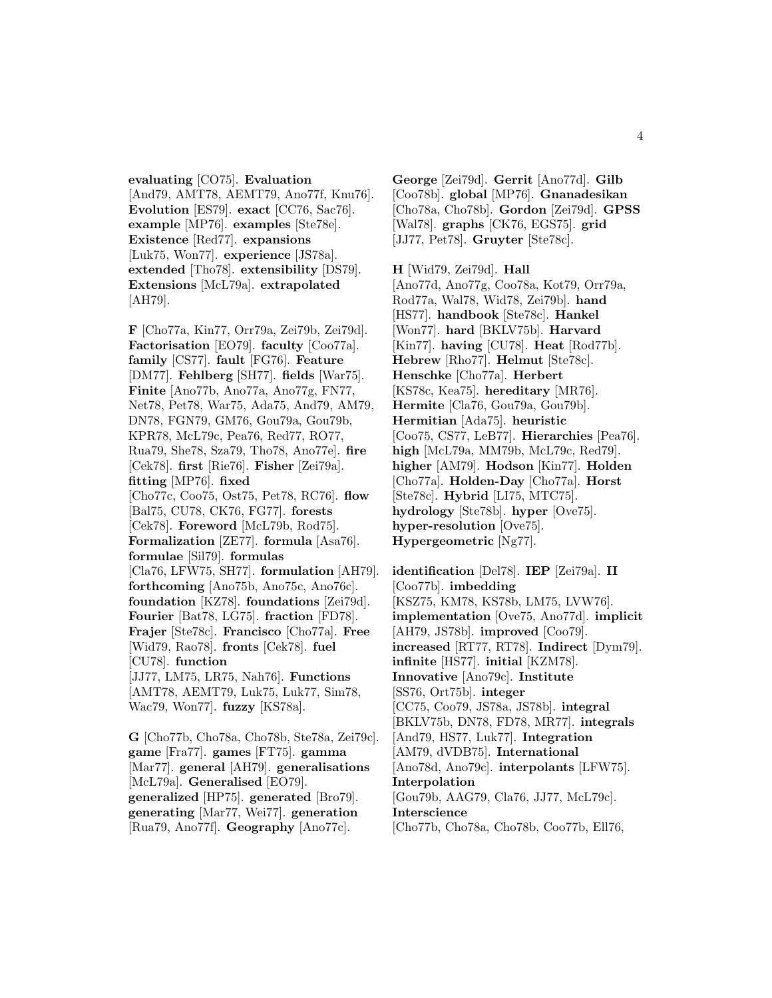**evaluating** [CO75]. **Evaluation** [And79, AMT78, AEMT79, Ano77f, Knu76]. **Evolution** [ES79]. **exact** [CC76, Sac76]. **example** [MP76]. **examples** [Ste78e]. **Existence** [Red77]. **expansions** [Luk75, Won77]. **experience** [JS78a]. **extended** [Tho78]. **extensibility** [DS79]. **Extensions** [McL79a]. **extrapolated** [AH79].

**F** [Cho77a, Kin77, Orr79a, Zei79b, Zei79d]. **Factorisation** [EO79]. **faculty** [Coo77a]. **family** [CS77]. **fault** [FG76]. **Feature** [DM77]. **Fehlberg** [SH77]. **fields** [War75]. **Finite** [Ano77b, Ano77a, Ano77g, FN77, Net78, Pet78, War75, Ada75, And79, AM79, DN78, FGN79, GM76, Gou79a, Gou79b, KPR78, McL79c, Pea76, Red77, RO77, Rua79, She78, Sza79, Tho78, Ano77e]. **fire** [Cek78]. **first** [Rie76]. **Fisher** [Zei79a]. **fitting** [MP76]. **fixed** [Cho77c, Coo75, Ost75, Pet78, RC76]. **flow** [Bal75, CU78, CK76, FG77]. **forests** [Cek78]. **Foreword** [McL79b, Rod75]. **Formalization** [ZE77]. **formula** [Asa76]. **formulae** [Sil79]. **formulas** [Cla76, LFW75, SH77]. **formulation** [AH79]. **forthcoming** [Ano75b, Ano75c, Ano76c]. **foundation** [KZ78]. **foundations** [Zei79d]. **Fourier** [Bat78, LG75]. **fraction** [FD78]. **Frajer** [Ste78c]. **Francisco** [Cho77a]. **Free** [Wid79, Rao78]. **fronts** [Cek78]. **fuel** [CU78]. **function** [JJ77, LM75, LR75, Nah76]. **Functions** [AMT78, AEMT79, Luk75, Luk77, Sim78, Wac79, Won77]. **fuzzy** [KS78a].

**G** [Cho77b, Cho78a, Cho78b, Ste78a, Zei79c]. **game** [Fra77]. **games** [FT75]. **gamma** [Mar77]. **general** [AH79]. **generalisations** [McL79a]. **Generalised** [EO79]. **generalized** [HP75]. **generated** [Bro79]. **generating** [Mar77, Wei77]. **generation** [Rua79, Ano77f]. **Geography** [Ano77c].

**George** [Zei79d]. **Gerrit** [Ano77d]. **Gilb** [Coo78b]. **global** [MP76]. **Gnanadesikan** [Cho78a, Cho78b]. **Gordon** [Zei79d]. **GPSS** [Wal78]. **graphs** [CK76, EGS75]. **grid** [JJ77, Pet78]. **Gruyter** [Ste78c].

**H** [Wid79, Zei79d]. **Hall** [Ano77d, Ano77g, Coo78a, Kot79, Orr79a, Rod77a, Wal78, Wid78, Zei79b]. **hand** [HS77]. **handbook** [Ste78c]. **Hankel** [Won77]. **hard** [BKLV75b]. **Harvard** [Kin77]. **having** [CU78]. **Heat** [Rod77b]. **Hebrew** [Rho77]. **Helmut** [Ste78c]. **Henschke** [Cho77a]. **Herbert** [KS78c, Kea75]. **hereditary** [MR76]. **Hermite** [Cla76, Gou79a, Gou79b]. **Hermitian** [Ada75]. **heuristic** [Coo75, CS77, LeB77]. **Hierarchies** [Pea76]. **high** [McL79a, MM79b, McL79c, Red79]. **higher** [AM79]. **Hodson** [Kin77]. **Holden** [Cho77a]. **Holden-Day** [Cho77a]. **Horst** [Ste78c]. **Hybrid** [LI75, MTC75]. **hydrology** [Ste78b]. **hyper** [Ove75]. **hyper-resolution** [Ove75]. **Hypergeometric** [Ng77].

**identification** [Del78]. **IEP** [Zei79a]. **II** [Coo77b]. **imbedding** [KSZ75, KM78, KS78b, LM75, LVW76]. **implementation** [Ove75, Ano77d]. **implicit** [AH79, JS78b]. **improved** [Coo79]. **increased** [RT77, RT78]. **Indirect** [Dym79]. **infinite** [HS77]. **initial** [KZM78]. **Innovative** [Ano79c]. **Institute** [SS76, Ort75b]. **integer** [CC75, Coo79, JS78a, JS78b]. **integral** [BKLV75b, DN78, FD78, MR77]. **integrals** [And79, HS77, Luk77]. **Integration** [AM79, dVDB75]. **International** [Ano78d, Ano79c]. **interpolants** [LFW75]. **Interpolation** [Gou79b, AAG79, Cla76, JJ77, McL79c]. **Interscience** [Cho77b, Cho78a, Cho78b, Coo77b, Ell76,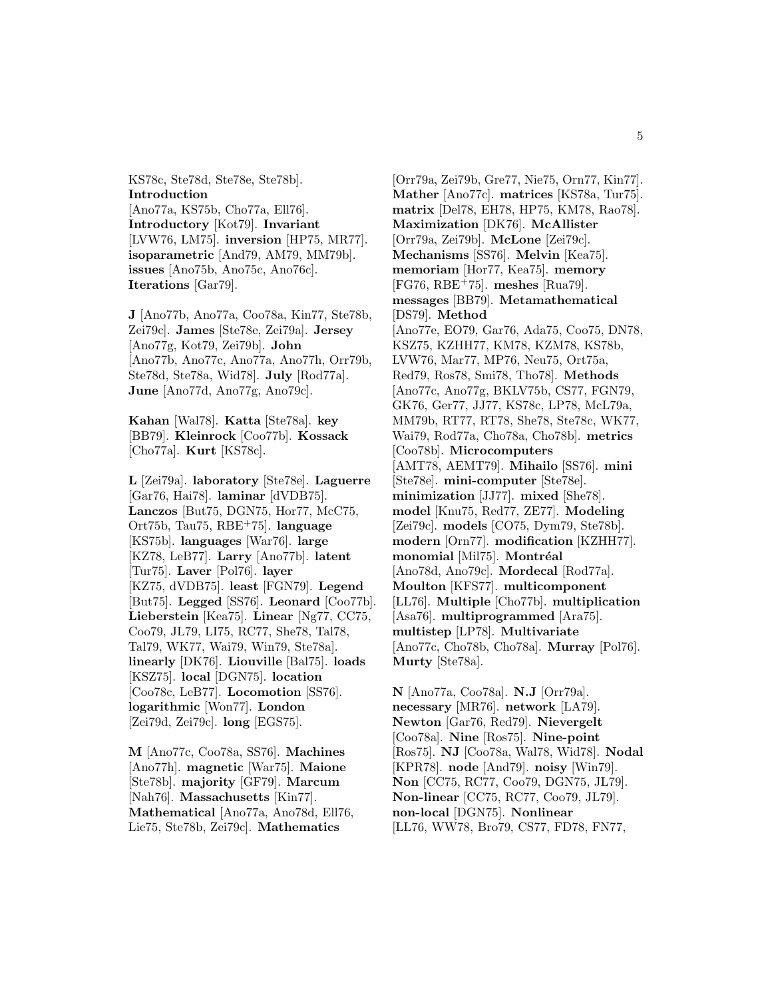KS78c, Ste78d, Ste78e, Ste78b]. **Introduction** [Ano77a, KS75b, Cho77a, Ell76]. **Introductory** [Kot79]. **Invariant** [LVW76, LM75]. **inversion** [HP75, MR77]. **isoparametric** [And79, AM79, MM79b]. **issues** [Ano75b, Ano75c, Ano76c]. **Iterations** [Gar79].

**J** [Ano77b, Ano77a, Coo78a, Kin77, Ste78b, Zei79c]. **James** [Ste78e, Zei79a]. **Jersey** [Ano77g, Kot79, Zei79b]. **John** [Ano77b, Ano77c, Ano77a, Ano77h, Orr79b, Ste78d, Ste78a, Wid78]. **July** [Rod77a]. **June** [Ano77d, Ano77g, Ano79c].

**Kahan** [Wal78]. **Katta** [Ste78a]. **key** [BB79]. **Kleinrock** [Coo77b]. **Kossack** [Cho77a]. **Kurt** [KS78c].

**L** [Zei79a]. **laboratory** [Ste78e]. **Laguerre** [Gar76, Hai78]. **laminar** [dVDB75]. **Lanczos** [But75, DGN75, Hor77, McC75, Ort75b, Tau75, RBE<sup>+</sup>75]. **language** [KS75b]. **languages** [War76]. **large** [KZ78, LeB77]. **Larry** [Ano77b]. **latent** [Tur75]. **Laver** [Pol76]. **layer** [KZ75, dVDB75]. **least** [FGN79]. **Legend** [But75]. **Legged** [SS76]. **Leonard** [Coo77b]. **Lieberstein** [Kea75]. **Linear** [Ng77, CC75, Coo79, JL79, LI75, RC77, She78, Tal78, Tal79, WK77, Wai79, Win79, Ste78a]. **linearly** [DK76]. **Liouville** [Bal75]. **loads** [KSZ75]. **local** [DGN75]. **location** [Coo78c, LeB77]. **Locomotion** [SS76]. **logarithmic** [Won77]. **London** [Zei79d, Zei79c]. **long** [EGS75].

**M** [Ano77c, Coo78a, SS76]. **Machines** [Ano77h]. **magnetic** [War75]. **Maione** [Ste78b]. **majority** [GF79]. **Marcum** [Nah76]. **Massachusetts** [Kin77]. **Mathematical** [Ano77a, Ano78d, Ell76, Lie75, Ste78b, Zei79c]. **Mathematics**

[Orr79a, Zei79b, Gre77, Nie75, Orn77, Kin77]. **Mather** [Ano77c]. **matrices** [KS78a, Tur75]. **matrix** [Del78, EH78, HP75, KM78, Rao78]. **Maximization** [DK76]. **McAllister** [Orr79a, Zei79b]. **McLone** [Zei79c]. **Mechanisms** [SS76]. **Melvin** [Kea75]. **memoriam** [Hor77, Kea75]. **memory** [FG76, RBE<sup>+</sup>75]. **meshes** [Rua79]. **messages** [BB79]. **Metamathematical** [DS79]. **Method** [Ano77e, EO79, Gar76, Ada75, Coo75, DN78, KSZ75, KZHH77, KM78, KZM78, KS78b, LVW76, Mar77, MP76, Neu75, Ort75a, Red79, Ros78, Smi78, Tho78]. **Methods** [Ano77c, Ano77g, BKLV75b, CS77, FGN79, GK76, Ger77, JJ77, KS78c, LP78, McL79a, MM79b, RT77, RT78, She78, Ste78c, WK77, Wai79, Rod77a, Cho78a, Cho78b]. **metrics** [Coo78b]. **Microcomputers** [AMT78, AEMT79]. **Mihailo** [SS76]. **mini** [Ste78e]. **mini-computer** [Ste78e]. **minimization** [JJ77]. **mixed** [She78]. **model** [Knu75, Red77, ZE77]. **Modeling** [Zei79c]. **models** [CO75, Dym79, Ste78b]. **modern** [Orn77]. **modification** [KZHH77]. **monomial** [Mil75]. **Montréal** [Ano78d, Ano79c]. **Mordecal** [Rod77a]. **Moulton** [KFS77]. **multicomponent** [LL76]. **Multiple** [Cho77b]. **multiplication** [Asa76]. **multiprogrammed** [Ara75]. **multistep** [LP78]. **Multivariate** [Ano77c, Cho78b, Cho78a]. **Murray** [Pol76]. **Murty** [Ste78a].

**N** [Ano77a, Coo78a]. **N.J** [Orr79a]. **necessary** [MR76]. **network** [LA79]. **Newton** [Gar76, Red79]. **Nievergelt** [Coo78a]. **Nine** [Ros75]. **Nine-point** [Ros75]. **NJ** [Coo78a, Wal78, Wid78]. **Nodal** [KPR78]. **node** [And79]. **noisy** [Win79]. **Non** [CC75, RC77, Coo79, DGN75, JL79]. **Non-linear** [CC75, RC77, Coo79, JL79]. **non-local** [DGN75]. **Nonlinear** [LL76, WW78, Bro79, CS77, FD78, FN77,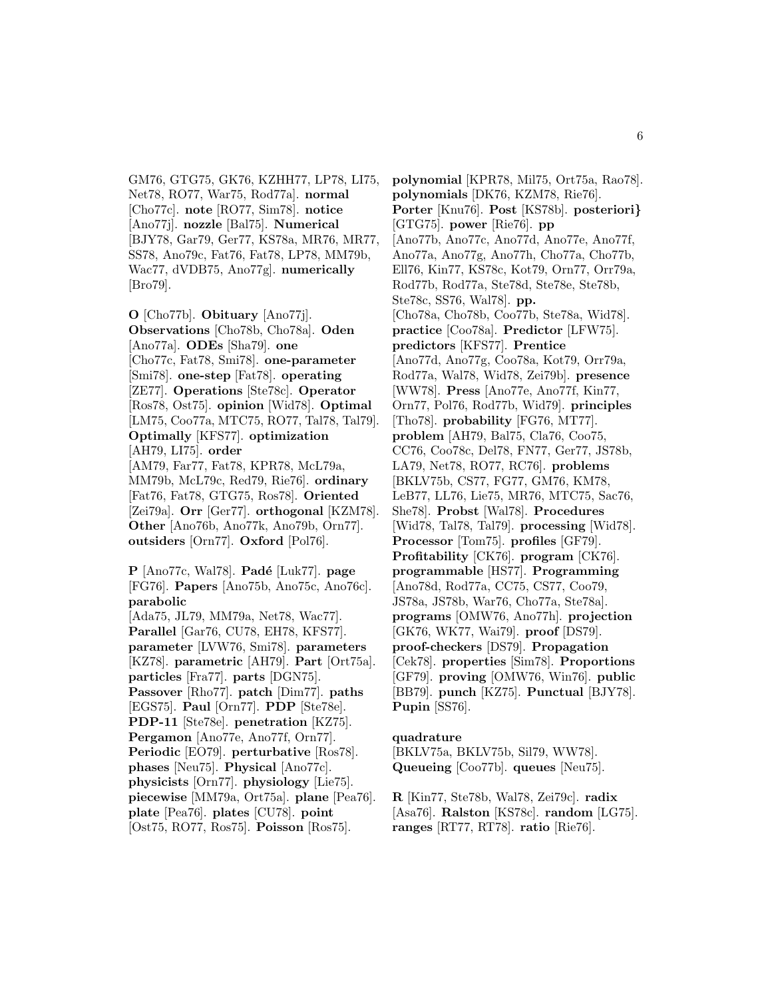GM76, GTG75, GK76, KZHH77, LP78, LI75, Net78, RO77, War75, Rod77a]. **normal** [Cho77c]. **note** [RO77, Sim78]. **notice** [Ano77j]. **nozzle** [Bal75]. **Numerical** [BJY78, Gar79, Ger77, KS78a, MR76, MR77, SS78, Ano79c, Fat76, Fat78, LP78, MM79b, Wac77, dVDB75, Ano77g]. **numerically** [Bro79].

**O** [Cho77b]. **Obituary** [Ano77j]. **Observations** [Cho78b, Cho78a]. **Oden** [Ano77a]. **ODEs** [Sha79]. **one** [Cho77c, Fat78, Smi78]. **one-parameter** [Smi78]. **one-step** [Fat78]. **operating** [ZE77]. **Operations** [Ste78c]. **Operator** [Ros78, Ost75]. **opinion** [Wid78]. **Optimal** [LM75, Coo77a, MTC75, RO77, Tal78, Tal79]. **Optimally** [KFS77]. **optimization** [AH79, LI75]. **order** [AM79, Far77, Fat78, KPR78, McL79a, MM79b, McL79c, Red79, Rie76]. **ordinary** [Fat76, Fat78, GTG75, Ros78]. **Oriented** [Zei79a]. **Orr** [Ger77]. **orthogonal** [KZM78]. **Other** [Ano76b, Ano77k, Ano79b, Orn77]. **outsiders** [Orn77]. **Oxford** [Pol76].

**P** [Ano77c, Wal78]. **Pad´e** [Luk77]. **page** [FG76]. **Papers** [Ano75b, Ano75c, Ano76c]. **parabolic** [Ada75, JL79, MM79a, Net78, Wac77]. **Parallel** [Gar76, CU78, EH78, KFS77]. **parameter** [LVW76, Smi78]. **parameters** [KZ78]. **parametric** [AH79]. **Part** [Ort75a]. **particles** [Fra77]. **parts** [DGN75]. **Passover** [Rho77]. **patch** [Dim77]. **paths** [EGS75]. **Paul** [Orn77]. **PDP** [Ste78e]. **PDP-11** [Ste78e]. **penetration** [KZ75]. **Pergamon** [Ano77e, Ano77f, Orn77]. **Periodic** [EO79]. **perturbative** [Ros78]. **phases** [Neu75]. **Physical** [Ano77c]. **physicists** [Orn77]. **physiology** [Lie75]. **piecewise** [MM79a, Ort75a]. **plane** [Pea76]. **plate** [Pea76]. **plates** [CU78]. **point** [Ost75, RO77, Ros75]. **Poisson** [Ros75].

**polynomial** [KPR78, Mil75, Ort75a, Rao78]. **polynomials** [DK76, KZM78, Rie76]. **Porter** [Knu76]. **Post** [KS78b]. **posteriori***}* [GTG75]. **power** [Rie76]. **pp** [Ano77b, Ano77c, Ano77d, Ano77e, Ano77f, Ano77a, Ano77g, Ano77h, Cho77a, Cho77b, Ell76, Kin77, KS78c, Kot79, Orn77, Orr79a, Rod77b, Rod77a, Ste78d, Ste78e, Ste78b, Ste78c, SS76, Wal78]. **pp.** [Cho78a, Cho78b, Coo77b, Ste78a, Wid78]. **practice** [Coo78a]. **Predictor** [LFW75]. **predictors** [KFS77]. **Prentice** [Ano77d, Ano77g, Coo78a, Kot79, Orr79a, Rod77a, Wal78, Wid78, Zei79b]. **presence** [WW78]. **Press** [Ano77e, Ano77f, Kin77, Orn77, Pol76, Rod77b, Wid79]. **principles** [Tho78]. **probability** [FG76, MT77]. **problem** [AH79, Bal75, Cla76, Coo75, CC76, Coo78c, Del78, FN77, Ger77, JS78b, LA79, Net78, RO77, RC76]. **problems** [BKLV75b, CS77, FG77, GM76, KM78, LeB77, LL76, Lie75, MR76, MTC75, Sac76, She78]. **Probst** [Wal78]. **Procedures** [Wid78, Tal78, Tal79]. **processing** [Wid78]. **Processor** [Tom75]. **profiles** [GF79]. **Profitability** [CK76]. **program** [CK76]. **programmable** [HS77]. **Programming** [Ano78d, Rod77a, CC75, CS77, Coo79, JS78a, JS78b, War76, Cho77a, Ste78a]. **programs** [OMW76, Ano77h]. **projection** [GK76, WK77, Wai79]. **proof** [DS79]. **proof-checkers** [DS79]. **Propagation** [Cek78]. **properties** [Sim78]. **Proportions** [GF79]. **proving** [OMW76, Win76]. **public** [BB79]. **punch** [KZ75]. **Punctual** [BJY78]. **Pupin** [SS76].

#### **quadrature**

[BKLV75a, BKLV75b, Sil79, WW78]. **Queueing** [Coo77b]. **queues** [Neu75].

**R** [Kin77, Ste78b, Wal78, Zei79c]. **radix** [Asa76]. **Ralston** [KS78c]. **random** [LG75]. **ranges** [RT77, RT78]. **ratio** [Rie76].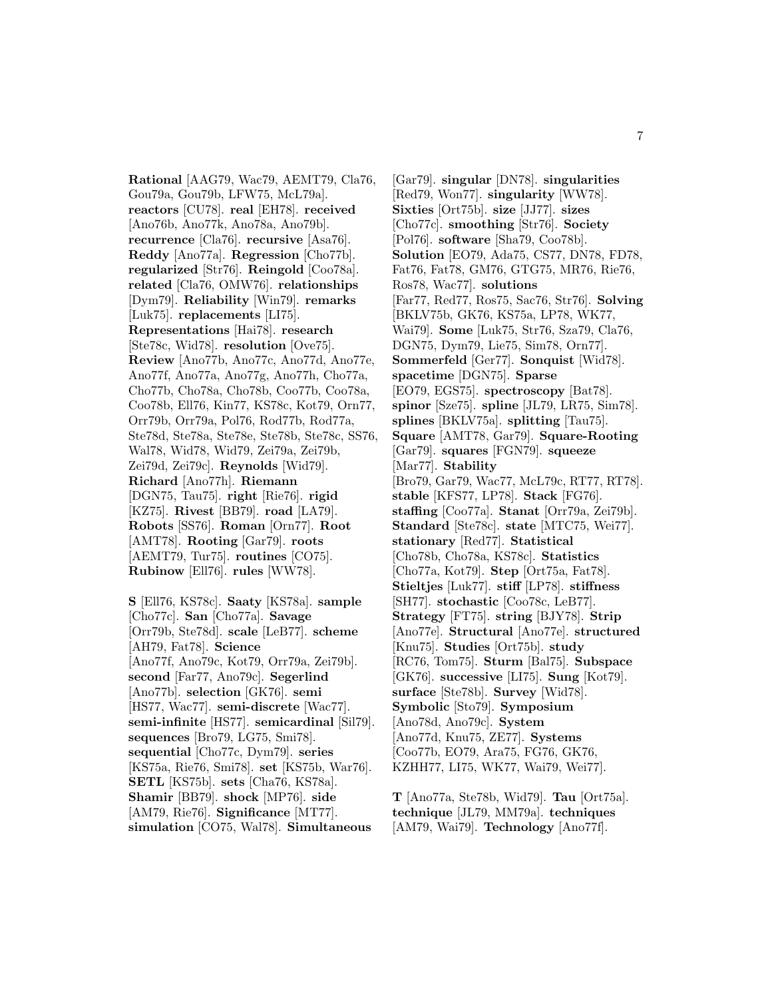**Rational** [AAG79, Wac79, AEMT79, Cla76, Gou79a, Gou79b, LFW75, McL79a]. **reactors** [CU78]. **real** [EH78]. **received** [Ano76b, Ano77k, Ano78a, Ano79b]. **recurrence** [Cla76]. **recursive** [Asa76]. **Reddy** [Ano77a]. **Regression** [Cho77b]. **regularized** [Str76]. **Reingold** [Coo78a]. **related** [Cla76, OMW76]. **relationships** [Dym79]. **Reliability** [Win79]. **remarks** [Luk75]. **replacements** [LI75]. **Representations** [Hai78]. **research** [Ste78c, Wid78]. **resolution** [Ove75]. **Review** [Ano77b, Ano77c, Ano77d, Ano77e, Ano77f, Ano77a, Ano77g, Ano77h, Cho77a, Cho77b, Cho78a, Cho78b, Coo77b, Coo78a, Coo78b, Ell76, Kin77, KS78c, Kot79, Orn77, Orr79b, Orr79a, Pol76, Rod77b, Rod77a, Ste78d, Ste78a, Ste78e, Ste78b, Ste78c, SS76, Wal78, Wid78, Wid79, Zei79a, Zei79b, Zei79d, Zei79c]. **Reynolds** [Wid79]. **Richard** [Ano77h]. **Riemann** [DGN75, Tau75]. **right** [Rie76]. **rigid** [KZ75]. **Rivest** [BB79]. **road** [LA79]. **Robots** [SS76]. **Roman** [Orn77]. **Root** [AMT78]. **Rooting** [Gar79]. **roots** [AEMT79, Tur75]. **routines** [CO75]. **Rubinow** [Ell76]. **rules** [WW78].

**S** [Ell76, KS78c]. **Saaty** [KS78a]. **sample** [Cho77c]. **San** [Cho77a]. **Savage** [Orr79b, Ste78d]. **scale** [LeB77]. **scheme** [AH79, Fat78]. **Science** [Ano77f, Ano79c, Kot79, Orr79a, Zei79b]. **second** [Far77, Ano79c]. **Segerlind** [Ano77b]. **selection** [GK76]. **semi** [HS77, Wac77]. **semi-discrete** [Wac77]. **semi-infinite** [HS77]. **semicardinal** [Sil79]. **sequences** [Bro79, LG75, Smi78]. **sequential** [Cho77c, Dym79]. **series** [KS75a, Rie76, Smi78]. **set** [KS75b, War76]. **SETL** [KS75b]. **sets** [Cha76, KS78a]. **Shamir** [BB79]. **shock** [MP76]. **side** [AM79, Rie76]. **Significance** [MT77]. **simulation** [CO75, Wal78]. **Simultaneous**

[Gar79]. **singular** [DN78]. **singularities** [Red79, Won77]. **singularity** [WW78]. **Sixties** [Ort75b]. **size** [JJ77]. **sizes** [Cho77c]. **smoothing** [Str76]. **Society** [Pol76]. **software** [Sha79, Coo78b]. **Solution** [EO79, Ada75, CS77, DN78, FD78, Fat76, Fat78, GM76, GTG75, MR76, Rie76, Ros78, Wac77]. **solutions** [Far77, Red77, Ros75, Sac76, Str76]. **Solving** [BKLV75b, GK76, KS75a, LP78, WK77, Wai79]. **Some** [Luk75, Str76, Sza79, Cla76, DGN75, Dym79, Lie75, Sim78, Orn77]. **Sommerfeld** [Ger77]. **Sonquist** [Wid78]. **spacetime** [DGN75]. **Sparse** [EO79, EGS75]. **spectroscopy** [Bat78]. **spinor** [Sze75]. **spline** [JL79, LR75, Sim78]. **splines** [BKLV75a]. **splitting** [Tau75]. **Square** [AMT78, Gar79]. **Square-Rooting** [Gar79]. **squares** [FGN79]. **squeeze** [Mar77]. **Stability** [Bro79, Gar79, Wac77, McL79c, RT77, RT78]. **stable** [KFS77, LP78]. **Stack** [FG76]. **staffing** [Coo77a]. **Stanat** [Orr79a, Zei79b]. **Standard** [Ste78c]. **state** [MTC75, Wei77]. **stationary** [Red77]. **Statistical** [Cho78b, Cho78a, KS78c]. **Statistics** [Cho77a, Kot79]. **Step** [Ort75a, Fat78]. **Stieltjes** [Luk77]. **stiff** [LP78]. **stiffness** [SH77]. **stochastic** [Coo78c, LeB77]. **Strategy** [FT75]. **string** [BJY78]. **Strip** [Ano77e]. **Structural** [Ano77e]. **structured** [Knu75]. **Studies** [Ort75b]. **study** [RC76, Tom75]. **Sturm** [Bal75]. **Subspace** [GK76]. **successive** [LI75]. **Sung** [Kot79]. **surface** [Ste78b]. **Survey** [Wid78]. **Symbolic** [Sto79]. **Symposium** [Ano78d, Ano79c]. **System** [Ano77d, Knu75, ZE77]. **Systems** [Coo77b, EO79, Ara75, FG76, GK76, KZHH77, LI75, WK77, Wai79, Wei77].

**T** [Ano77a, Ste78b, Wid79]. **Tau** [Ort75a]. **technique** [JL79, MM79a]. **techniques** [AM79, Wai79]. **Technology** [Ano77f].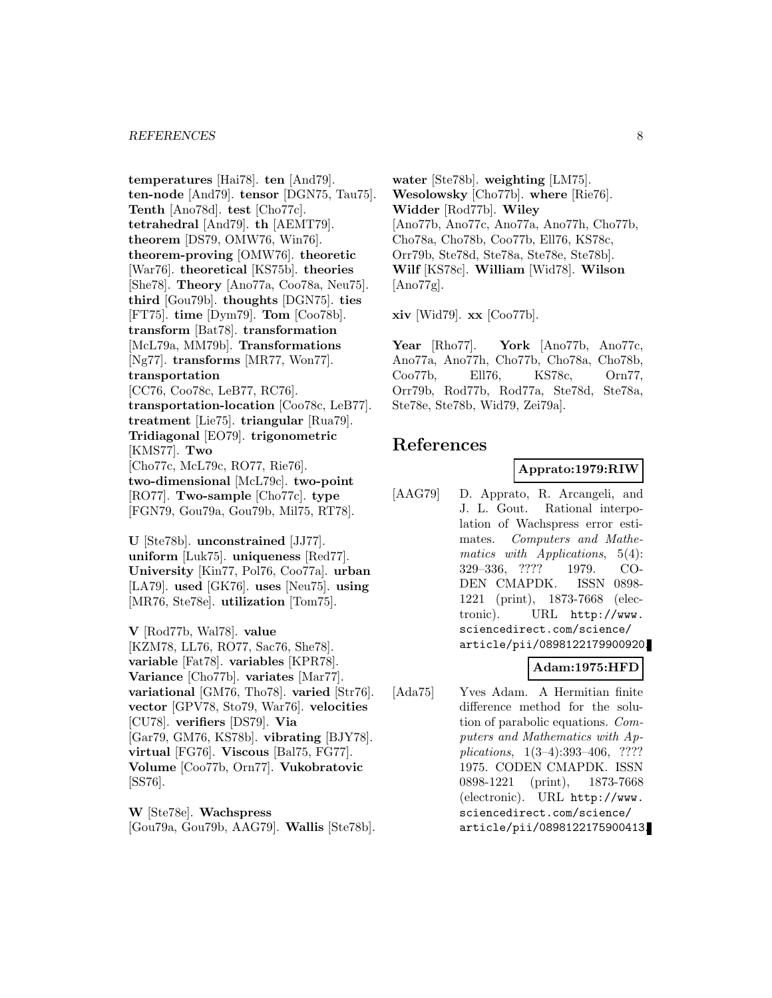**temperatures** [Hai78]. **ten** [And79]. **ten-node** [And79]. **tensor** [DGN75, Tau75]. **Tenth** [Ano78d]. **test** [Cho77c]. **tetrahedral** [And79]. **th** [AEMT79]. **theorem** [DS79, OMW76, Win76]. **theorem-proving** [OMW76]. **theoretic** [War76]. **theoretical** [KS75b]. **theories** [She78]. **Theory** [Ano77a, Coo78a, Neu75]. **third** [Gou79b]. **thoughts** [DGN75]. **ties** [FT75]. **time** [Dym79]. **Tom** [Coo78b]. **transform** [Bat78]. **transformation** [McL79a, MM79b]. **Transformations** [Ng77]. **transforms** [MR77, Won77]. **transportation** [CC76, Coo78c, LeB77, RC76]. **transportation-location** [Coo78c, LeB77]. **treatment** [Lie75]. **triangular** [Rua79]. **Tridiagonal** [EO79]. **trigonometric** [KMS77]. **Two** [Cho77c, McL79c, RO77, Rie76]. **two-dimensional** [McL79c]. **two-point** [RO77]. **Two-sample** [Cho77c]. **type** [FGN79, Gou79a, Gou79b, Mil75, RT78].

**U** [Ste78b]. **unconstrained** [JJ77]. **uniform** [Luk75]. **uniqueness** [Red77]. **University** [Kin77, Pol76, Coo77a]. **urban** [LA79]. **used** [GK76]. **uses** [Neu75]. **using** [MR76, Ste78e]. **utilization** [Tom75].

**V** [Rod77b, Wal78]. **value** [KZM78, LL76, RO77, Sac76, She78]. **variable** [Fat78]. **variables** [KPR78]. **Variance** [Cho77b]. **variates** [Mar77]. **variational** [GM76, Tho78]. **varied** [Str76]. **vector** [GPV78, Sto79, War76]. **velocities** [CU78]. **verifiers** [DS79]. **Via** [Gar79, GM76, KS78b]. **vibrating** [BJY78]. **virtual** [FG76]. **Viscous** [Bal75, FG77]. **Volume** [Coo77b, Orn77]. **Vukobratovic** [SS76].

**W** [Ste78e]. **Wachspress** [Gou79a, Gou79b, AAG79]. **Wallis** [Ste78b].

**water** [Ste78b]. **weighting** [LM75]. **Wesolowsky** [Cho77b]. **where** [Rie76]. **Widder** [Rod77b]. **Wiley** [Ano77b, Ano77c, Ano77a, Ano77h, Cho77b, Cho78a, Cho78b, Coo77b, Ell76, KS78c, Orr79b, Ste78d, Ste78a, Ste78e, Ste78b]. **Wilf** [KS78c]. **William** [Wid78]. **Wilson** [Ano77g].

**xiv** [Wid79]. **xx** [Coo77b].

**Year** [Rho77]. **York** [Ano77b, Ano77c, Ano77a, Ano77h, Cho77b, Cho78a, Cho78b, Coo77b, Ell76, KS78c, Orn77, Orr79b, Rod77b, Rod77a, Ste78d, Ste78a, Ste78e, Ste78b, Wid79, Zei79a].

# **References**

# **Apprato:1979:RIW**

[AAG79] D. Apprato, R. Arcangeli, and J. L. Gout. Rational interpolation of Wachspress error estimates. Computers and Mathematics with Applications, 5(4): 329–336, ???? 1979. CO-DEN CMAPDK. ISSN 0898- 1221 (print), 1873-7668 (electronic). URL http://www. sciencedirect.com/science/ article/pii/0898122179900920.

# **Adam:1975:HFD**

[Ada75] Yves Adam. A Hermitian finite difference method for the solution of parabolic equations. Computers and Mathematics with Applications, 1(3–4):393–406, ???? 1975. CODEN CMAPDK. ISSN 0898-1221 (print), 1873-7668 (electronic). URL http://www. sciencedirect.com/science/ article/pii/0898122175900413.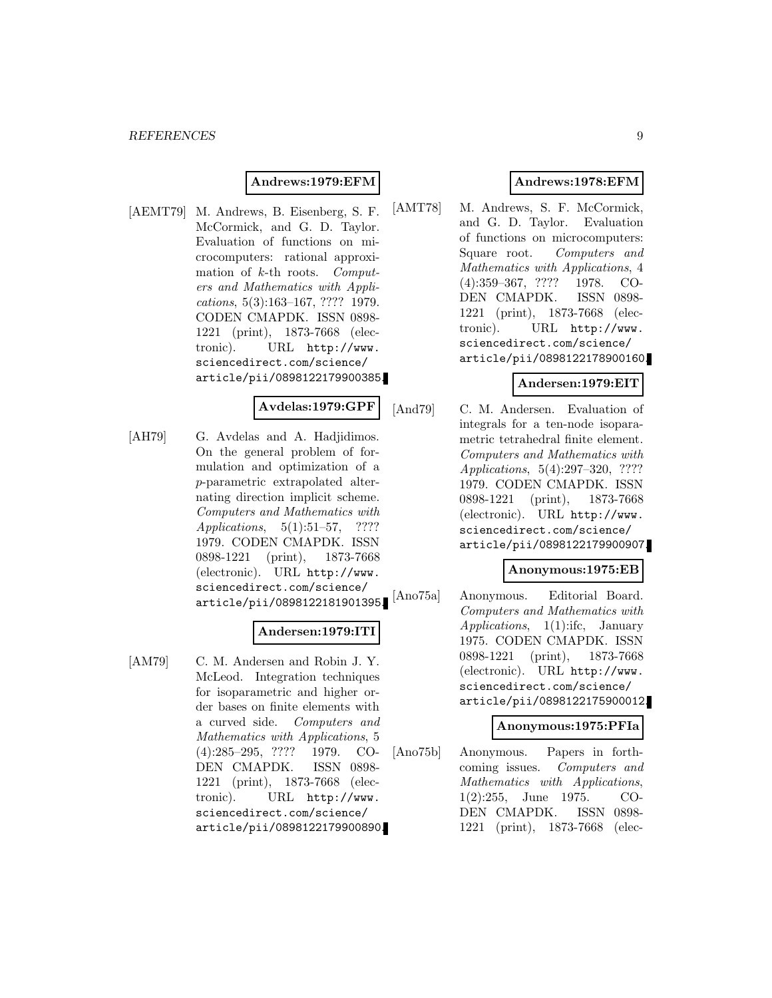### **Andrews:1979:EFM**

[AEMT79] M. Andrews, B. Eisenberg, S. F. McCormick, and G. D. Taylor. Evaluation of functions on microcomputers: rational approximation of k-th roots. Computers and Mathematics with Applications, 5(3):163–167, ???? 1979. CODEN CMAPDK. ISSN 0898- 1221 (print), 1873-7668 (electronic). URL http://www. sciencedirect.com/science/ article/pii/0898122179900385.

#### **Avdelas:1979:GPF**

[AH79] G. Avdelas and A. Hadjidimos. On the general problem of formulation and optimization of a p-parametric extrapolated alternating direction implicit scheme. Computers and Mathematics with Applications, 5(1):51–57, ???? 1979. CODEN CMAPDK. ISSN 0898-1221 (print), 1873-7668 (electronic). URL http://www. sciencedirect.com/science/ article/pii/0898122181901395.

# **Andersen:1979:ITI**

[AM79] C. M. Andersen and Robin J. Y. McLeod. Integration techniques for isoparametric and higher order bases on finite elements with a curved side. Computers and Mathematics with Applications, 5 (4):285–295, ???? 1979. CO-DEN CMAPDK. ISSN 0898- 1221 (print), 1873-7668 (electronic). URL http://www. sciencedirect.com/science/ article/pii/0898122179900890.

# **Andrews:1978:EFM**

[AMT78] M. Andrews, S. F. McCormick, and G. D. Taylor. Evaluation of functions on microcomputers: Square root. Computers and Mathematics with Applications, 4 (4):359–367, ???? 1978. CO-DEN CMAPDK. ISSN 0898- 1221 (print), 1873-7668 (electronic). URL http://www. sciencedirect.com/science/ article/pii/0898122178900160.

#### **Andersen:1979:EIT**

[And79] C. M. Andersen. Evaluation of integrals for a ten-node isoparametric tetrahedral finite element. Computers and Mathematics with Applications, 5(4):297–320, ???? 1979. CODEN CMAPDK. ISSN 0898-1221 (print), 1873-7668 (electronic). URL http://www. sciencedirect.com/science/ article/pii/0898122179900907.

#### **Anonymous:1975:EB**

[Ano75a] Anonymous. Editorial Board. Computers and Mathematics with Applications, 1(1):ifc, January 1975. CODEN CMAPDK. ISSN 0898-1221 (print), 1873-7668 (electronic). URL http://www. sciencedirect.com/science/ article/pii/0898122175900012.

# **Anonymous:1975:PFIa**

[Ano75b] Anonymous. Papers in forthcoming issues. Computers and Mathematics with Applications, 1(2):255, June 1975. CO-DEN CMAPDK. ISSN 0898- 1221 (print), 1873-7668 (elec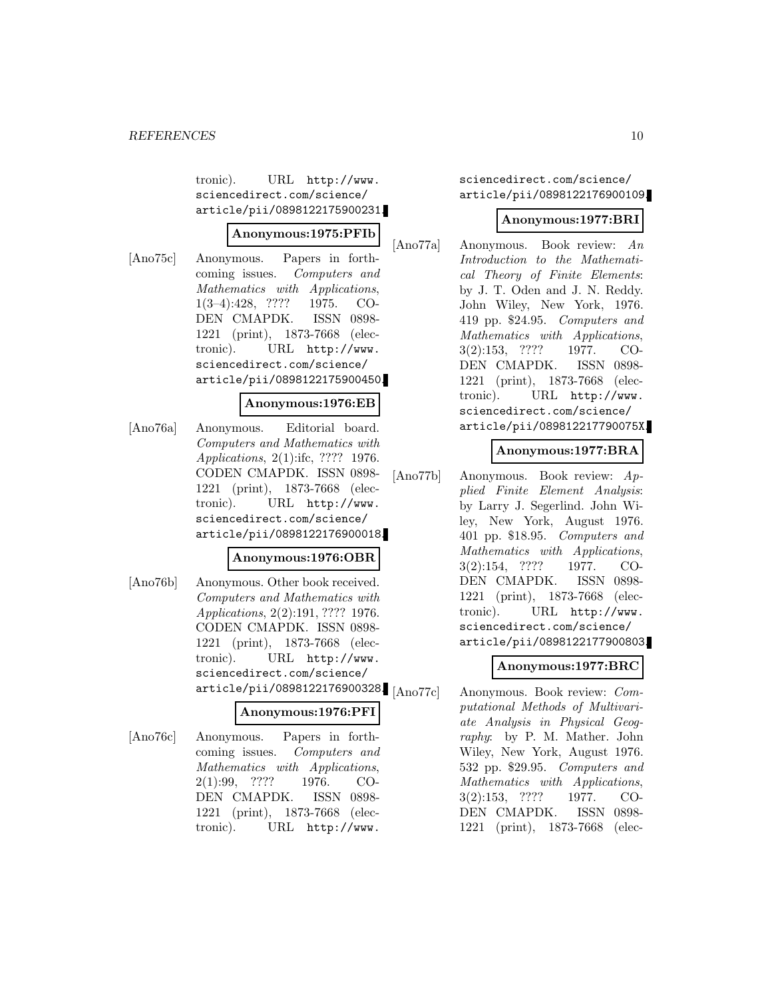tronic). URL http://www. sciencedirect.com/science/ article/pii/0898122175900231.

### **Anonymous:1975:PFIb**

[Ano75c] Anonymous. Papers in forthcoming issues. Computers and Mathematics with Applications, 1(3–4):428, ???? 1975. CO-DEN CMAPDK. ISSN 0898- 1221 (print), 1873-7668 (electronic). URL http://www. sciencedirect.com/science/ article/pii/0898122175900450.

### **Anonymous:1976:EB**

[Ano76a] Anonymous. Editorial board. Computers and Mathematics with Applications, 2(1):ifc, ???? 1976. CODEN CMAPDK. ISSN 0898- 1221 (print), 1873-7668 (electronic). URL http://www. sciencedirect.com/science/ article/pii/0898122176900018.

#### **Anonymous:1976:OBR**

[Ano76b] Anonymous. Other book received. Computers and Mathematics with Applications, 2(2):191, ???? 1976. CODEN CMAPDK. ISSN 0898- 1221 (print), 1873-7668 (electronic). URL http://www. sciencedirect.com/science/ article/pii/0898122176900328. [Ano77c]

# **Anonymous:1976:PFI**

[Ano76c] Anonymous. Papers in forthcoming issues. Computers and Mathematics with Applications, 2(1):99, ???? 1976. CO-DEN CMAPDK. ISSN 0898- 1221 (print), 1873-7668 (electronic). URL http://www.

sciencedirect.com/science/ article/pii/0898122176900109.

### **Anonymous:1977:BRI**

[Ano77a] Anonymous. Book review: An Introduction to the Mathematical Theory of Finite Elements: by J. T. Oden and J. N. Reddy. John Wiley, New York, 1976. 419 pp. \$24.95. Computers and Mathematics with Applications, 3(2):153, ???? 1977. CO-DEN CMAPDK. ISSN 0898- 1221 (print), 1873-7668 (electronic). URL http://www. sciencedirect.com/science/ article/pii/089812217790075X.

# **Anonymous:1977:BRA**

[Ano77b] Anonymous. Book review: Applied Finite Element Analysis: by Larry J. Segerlind. John Wiley, New York, August 1976. 401 pp. \$18.95. Computers and Mathematics with Applications, 3(2):154, ???? 1977. CO-DEN CMAPDK. ISSN 0898- 1221 (print), 1873-7668 (electronic). URL http://www. sciencedirect.com/science/ article/pii/0898122177900803.

# **Anonymous:1977:BRC**

Anonymous. Book review: Computational Methods of Multivariate Analysis in Physical Geography: by P. M. Mather. John Wiley, New York, August 1976. 532 pp. \$29.95. Computers and Mathematics with Applications, 3(2):153, ???? 1977. CO-DEN CMAPDK. ISSN 0898- 1221 (print), 1873-7668 (elec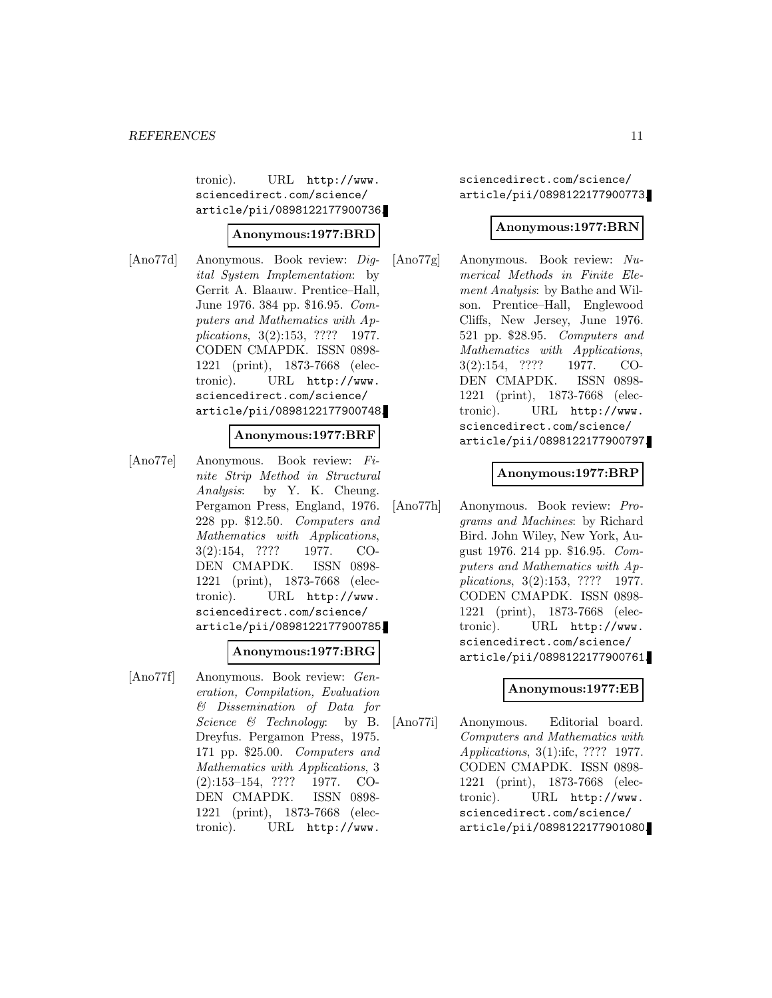tronic). URL http://www. sciencedirect.com/science/ article/pii/0898122177900736.

#### **Anonymous:1977:BRD**

[Ano77d] Anonymous. Book review: Digital System Implementation: by Gerrit A. Blaauw. Prentice–Hall, June 1976. 384 pp. \$16.95. Computers and Mathematics with Applications, 3(2):153, ???? 1977. CODEN CMAPDK. ISSN 0898- 1221 (print), 1873-7668 (electronic). URL http://www. sciencedirect.com/science/ article/pii/0898122177900748.

#### **Anonymous:1977:BRF**

[Ano77e] Anonymous. Book review: Finite Strip Method in Structural Analysis: by Y. K. Cheung. Pergamon Press, England, 1976. 228 pp. \$12.50. Computers and Mathematics with Applications, 3(2):154, ???? 1977. CO-DEN CMAPDK. ISSN 0898- 1221 (print), 1873-7668 (electronic). URL http://www. sciencedirect.com/science/ article/pii/0898122177900785.

#### **Anonymous:1977:BRG**

[Ano77f] Anonymous. Book review: Generation, Compilation, Evaluation & Dissemination of Data for Science & Technology: by B. Dreyfus. Pergamon Press, 1975. 171 pp. \$25.00. Computers and Mathematics with Applications, 3 (2):153–154, ???? 1977. CO-DEN CMAPDK. ISSN 0898- 1221 (print), 1873-7668 (electronic). URL http://www.

sciencedirect.com/science/ article/pii/0898122177900773.

#### **Anonymous:1977:BRN**

[Ano77g] Anonymous. Book review: Numerical Methods in Finite Element Analysis: by Bathe and Wilson. Prentice–Hall, Englewood Cliffs, New Jersey, June 1976. 521 pp. \$28.95. Computers and Mathematics with Applications, 3(2):154, ???? 1977. CO-DEN CMAPDK. ISSN 0898- 1221 (print), 1873-7668 (electronic). URL http://www. sciencedirect.com/science/ article/pii/0898122177900797.

### **Anonymous:1977:BRP**

[Ano77h] Anonymous. Book review: Programs and Machines: by Richard Bird. John Wiley, New York, August 1976. 214 pp. \$16.95. Computers and Mathematics with Applications, 3(2):153, ???? 1977. CODEN CMAPDK. ISSN 0898- 1221 (print), 1873-7668 (electronic). URL http://www. sciencedirect.com/science/ article/pii/0898122177900761.

### **Anonymous:1977:EB**

[Ano77i] Anonymous. Editorial board. Computers and Mathematics with Applications, 3(1):ifc, ???? 1977. CODEN CMAPDK. ISSN 0898- 1221 (print), 1873-7668 (electronic). URL http://www. sciencedirect.com/science/ article/pii/0898122177901080.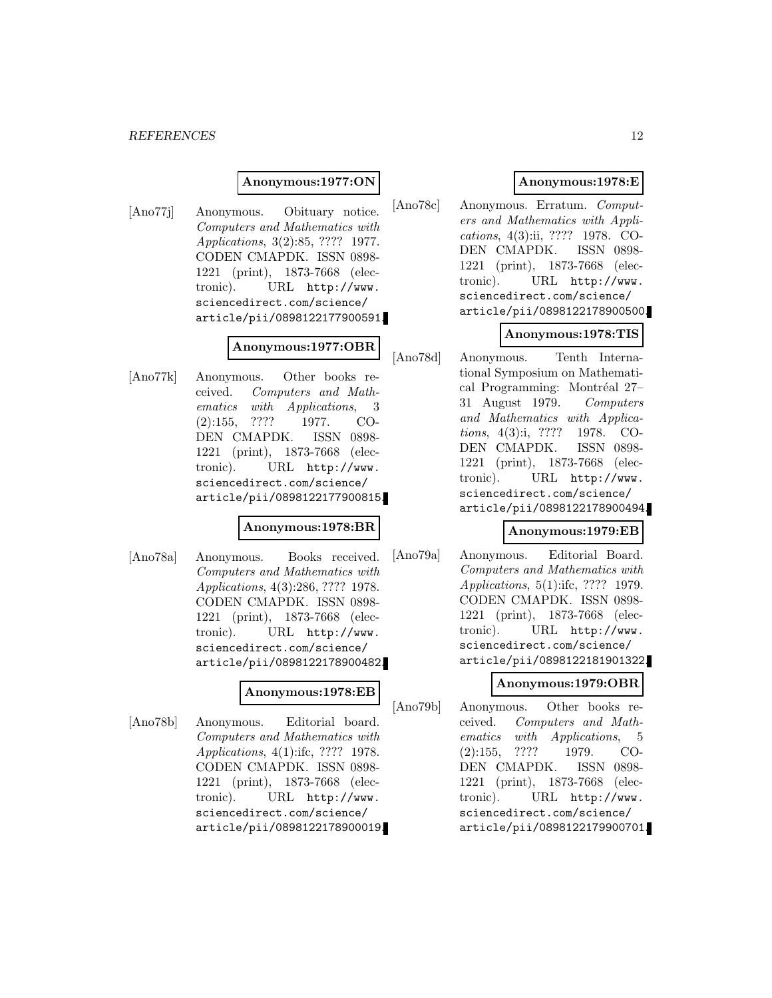#### *REFERENCES* 12

#### **Anonymous:1977:ON**

[Ano77j] Anonymous. Obituary notice. Computers and Mathematics with Applications, 3(2):85, ???? 1977. CODEN CMAPDK. ISSN 0898- 1221 (print), 1873-7668 (electronic). URL http://www. sciencedirect.com/science/ article/pii/0898122177900591.

### **Anonymous:1977:OBR**

[Ano77k] Anonymous. Other books received. Computers and Mathematics with Applications, 3 (2):155, ???? 1977. CO-DEN CMAPDK. ISSN 0898- 1221 (print), 1873-7668 (electronic). URL http://www. sciencedirect.com/science/ article/pii/0898122177900815.

#### **Anonymous:1978:BR**

[Ano78a] Anonymous. Books received. Computers and Mathematics with Applications, 4(3):286, ???? 1978. CODEN CMAPDK. ISSN 0898- 1221 (print), 1873-7668 (electronic). URL http://www. sciencedirect.com/science/ article/pii/0898122178900482.

#### **Anonymous:1978:EB**

[Ano78b] Anonymous. Editorial board. Computers and Mathematics with Applications, 4(1):ifc, ???? 1978. CODEN CMAPDK. ISSN 0898- 1221 (print), 1873-7668 (electronic). URL http://www. sciencedirect.com/science/ article/pii/0898122178900019.

# **Anonymous:1978:E**

[Ano78c] Anonymous. Erratum. Computers and Mathematics with Applications, 4(3):ii, ???? 1978. CO-DEN CMAPDK. ISSN 0898- 1221 (print), 1873-7668 (electronic). URL http://www. sciencedirect.com/science/ article/pii/0898122178900500.

# **Anonymous:1978:TIS**

[Ano78d] Anonymous. Tenth International Symposium on Mathematical Programming: Montréal 27– 31 August 1979. Computers and Mathematics with Applications, 4(3):i, ???? 1978. CO-DEN CMAPDK. ISSN 0898- 1221 (print), 1873-7668 (electronic). URL http://www. sciencedirect.com/science/ article/pii/0898122178900494.

#### **Anonymous:1979:EB**

[Ano79a] Anonymous. Editorial Board. Computers and Mathematics with Applications, 5(1):ifc, ???? 1979. CODEN CMAPDK. ISSN 0898- 1221 (print), 1873-7668 (electronic). URL http://www. sciencedirect.com/science/ article/pii/0898122181901322.

#### **Anonymous:1979:OBR**

[Ano79b] Anonymous. Other books received. Computers and Mathematics with Applications, 5 (2):155, ???? 1979. CO-DEN CMAPDK. ISSN 0898- 1221 (print), 1873-7668 (electronic). URL http://www. sciencedirect.com/science/ article/pii/0898122179900701.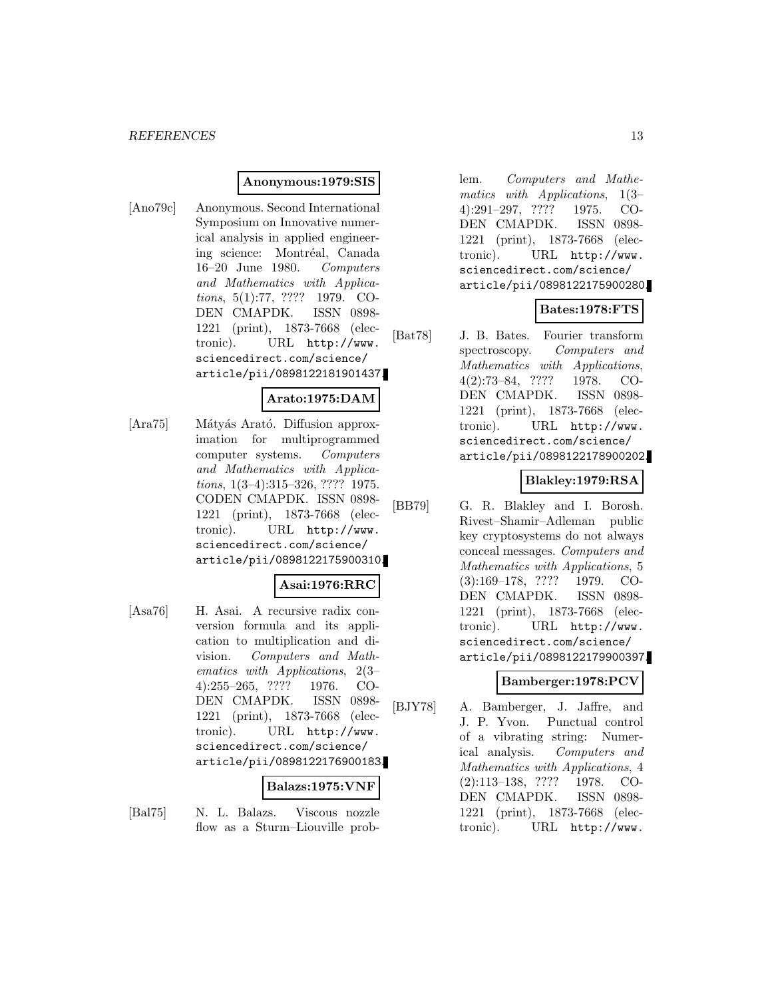#### **Anonymous:1979:SIS**

[Ano79c] Anonymous. Second International Symposium on Innovative numerical analysis in applied engineering science: Montréal, Canada 16–20 June 1980. Computers and Mathematics with Applications, 5(1):77, ???? 1979. CO-DEN CMAPDK. ISSN 0898- 1221 (print), 1873-7668 (electronic). URL http://www. sciencedirect.com/science/ article/pii/0898122181901437.

# **Arato:1975:DAM**

[Ara75] Mátyás Arató. Diffusion approximation for multiprogrammed computer systems. Computers and Mathematics with Applications, 1(3–4):315–326, ???? 1975. CODEN CMAPDK. ISSN 0898- 1221 (print), 1873-7668 (electronic). URL http://www. sciencedirect.com/science/ article/pii/0898122175900310.

# **Asai:1976:RRC**

[Asa76] H. Asai. A recursive radix conversion formula and its application to multiplication and division. Computers and Mathematics with Applications, 2(3– 4):255–265, ???? 1976. CO-DEN CMAPDK. ISSN 0898- 1221 (print), 1873-7668 (electronic). URL http://www. sciencedirect.com/science/ article/pii/0898122176900183.

#### **Balazs:1975:VNF**

[Bal75] N. L. Balazs. Viscous nozzle flow as a Sturm–Liouville problem. Computers and Mathematics with Applications, 1(3– 4):291–297, ???? 1975. CO-DEN CMAPDK. ISSN 0898- 1221 (print), 1873-7668 (electronic). URL http://www. sciencedirect.com/science/ article/pii/0898122175900280.

# **Bates:1978:FTS**

[Bat78] J. B. Bates. Fourier transform spectroscopy. Computers and Mathematics with Applications, 4(2):73–84, ???? 1978. CO-DEN CMAPDK. ISSN 0898- 1221 (print), 1873-7668 (electronic). URL http://www. sciencedirect.com/science/ article/pii/0898122178900202.

# **Blakley:1979:RSA**

[BB79] G. R. Blakley and I. Borosh. Rivest–Shamir–Adleman public key cryptosystems do not always conceal messages. Computers and Mathematics with Applications, 5 (3):169–178, ???? 1979. CO-DEN CMAPDK. ISSN 0898- 1221 (print), 1873-7668 (electronic). URL http://www. sciencedirect.com/science/ article/pii/0898122179900397.

#### **Bamberger:1978:PCV**

[BJY78] A. Bamberger, J. Jaffre, and J. P. Yvon. Punctual control of a vibrating string: Numerical analysis. Computers and Mathematics with Applications, 4 (2):113–138, ???? 1978. CO-DEN CMAPDK. ISSN 0898- 1221 (print), 1873-7668 (electronic). URL http://www.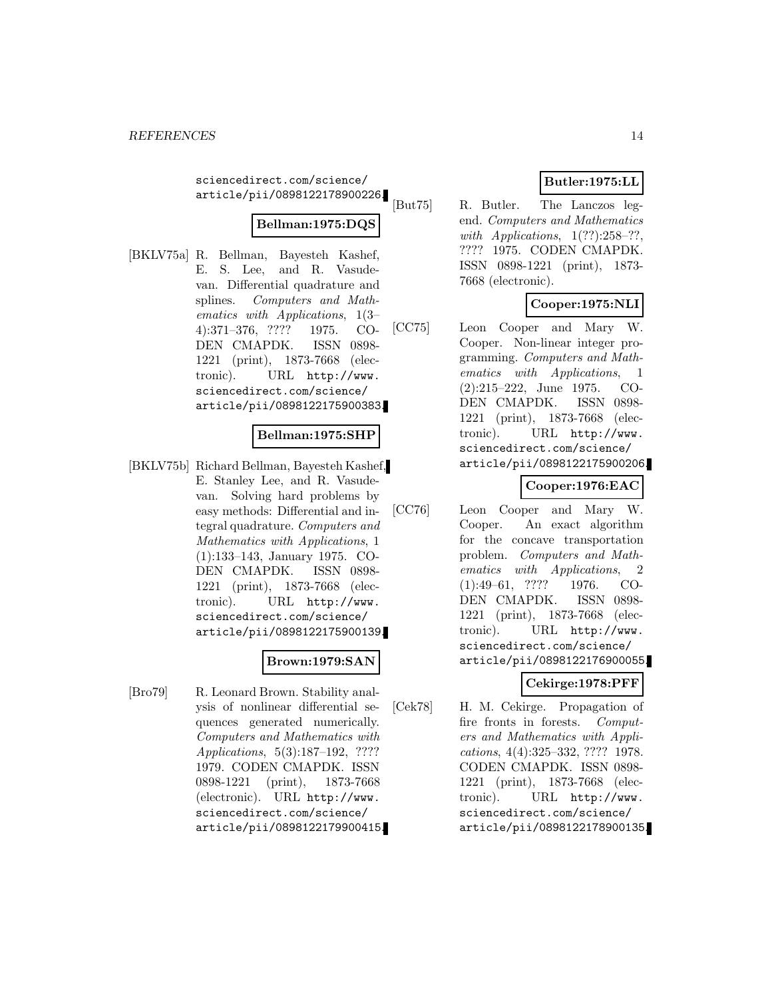sciencedirect.com/science/ article/pii/0898122178900226.

# **Bellman:1975:DQS**

[BKLV75a] R. Bellman, Bayesteh Kashef, E. S. Lee, and R. Vasudevan. Differential quadrature and splines. Computers and Mathematics with Applications, 1(3– 4):371–376, ???? 1975. CO-DEN CMAPDK. ISSN 0898- 1221 (print), 1873-7668 (electronic). URL http://www. sciencedirect.com/science/ article/pii/0898122175900383.

### **Bellman:1975:SHP**

[BKLV75b] Richard Bellman, Bayesteh Kashef, E. Stanley Lee, and R. Vasudevan. Solving hard problems by easy methods: Differential and integral quadrature. Computers and Mathematics with Applications, 1 (1):133–143, January 1975. CO-DEN CMAPDK. ISSN 0898- 1221 (print), 1873-7668 (electronic). URL http://www. sciencedirect.com/science/ article/pii/0898122175900139.

# **Brown:1979:SAN**

[Bro79] R. Leonard Brown. Stability analysis of nonlinear differential sequences generated numerically. Computers and Mathematics with Applications, 5(3):187–192, ???? 1979. CODEN CMAPDK. ISSN 0898-1221 (print), 1873-7668 (electronic). URL http://www. sciencedirect.com/science/ article/pii/0898122179900415.

# **Butler:1975:LL**

[But75] R. Butler. The Lanczos legend. Computers and Mathematics with Applications,  $1(??):258-??$ , ???? 1975. CODEN CMAPDK. ISSN 0898-1221 (print), 1873- 7668 (electronic).

# **Cooper:1975:NLI**

[CC75] Leon Cooper and Mary W. Cooper. Non-linear integer programming. Computers and Mathematics with Applications, 1 (2):215–222, June 1975. CO-DEN CMAPDK. ISSN 0898- 1221 (print), 1873-7668 (electronic). URL http://www. sciencedirect.com/science/ article/pii/0898122175900206.

# **Cooper:1976:EAC**

[CC76] Leon Cooper and Mary W. Cooper. An exact algorithm for the concave transportation problem. Computers and Mathematics with Applications, 2 (1):49–61, ???? 1976. CO-DEN CMAPDK. ISSN 0898- 1221 (print), 1873-7668 (electronic). URL http://www. sciencedirect.com/science/ article/pii/0898122176900055.

# **Cekirge:1978:PFF**

[Cek78] H. M. Cekirge. Propagation of fire fronts in forests. Computers and Mathematics with Applications, 4(4):325–332, ???? 1978. CODEN CMAPDK. ISSN 0898- 1221 (print), 1873-7668 (electronic). URL http://www. sciencedirect.com/science/ article/pii/0898122178900135.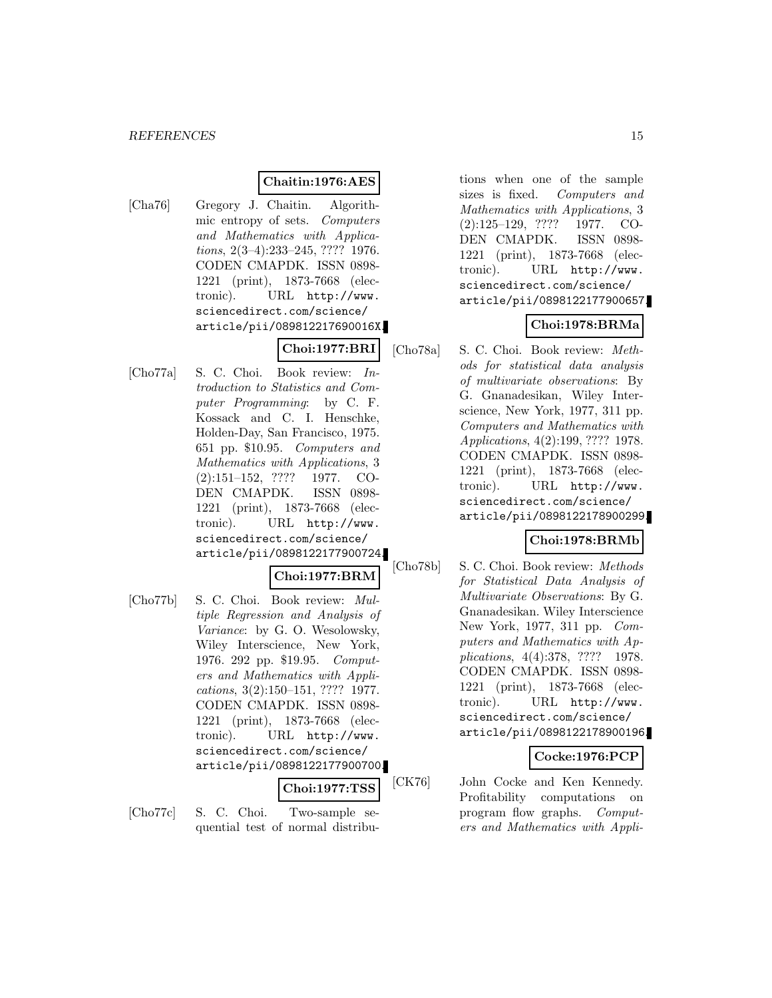# **Chaitin:1976:AES**

[Cha76] Gregory J. Chaitin. Algorithmic entropy of sets. Computers and Mathematics with Applications, 2(3–4):233–245, ???? 1976. CODEN CMAPDK. ISSN 0898- 1221 (print), 1873-7668 (electronic). URL http://www. sciencedirect.com/science/ article/pii/089812217690016X.

**Choi:1977:BRI**

[Cho77a] S. C. Choi. Book review: Introduction to Statistics and Computer Programming: by C. F. Kossack and C. I. Henschke, Holden-Day, San Francisco, 1975. 651 pp. \$10.95. Computers and Mathematics with Applications, 3 (2):151–152, ???? 1977. CO-DEN CMAPDK. ISSN 0898- 1221 (print), 1873-7668 (electronic). URL http://www. sciencedirect.com/science/ article/pii/0898122177900724.

$$
{\bf Choi:} 1977{:}\mathrm{BRM}
$$

[Cho77b] S. C. Choi. Book review: Multiple Regression and Analysis of Variance: by G. O. Wesolowsky, Wiley Interscience, New York, 1976. 292 pp. \$19.95. Computers and Mathematics with Applications, 3(2):150–151, ???? 1977. CODEN CMAPDK. ISSN 0898- 1221 (print), 1873-7668 (electronic). URL http://www. sciencedirect.com/science/ article/pii/0898122177900700.

### **Choi:1977:TSS**

[Cho77c] S. C. Choi. Two-sample sequential test of normal distributions when one of the sample sizes is fixed. Computers and Mathematics with Applications, 3 (2):125–129, ???? 1977. CO-DEN CMAPDK. ISSN 0898- 1221 (print), 1873-7668 (electronic). URL http://www. sciencedirect.com/science/ article/pii/0898122177900657.

# **Choi:1978:BRMa**

[Cho78a] S. C. Choi. Book review: Methods for statistical data analysis of multivariate observations: By G. Gnanadesikan, Wiley Interscience, New York, 1977, 311 pp. Computers and Mathematics with Applications, 4(2):199, ???? 1978. CODEN CMAPDK. ISSN 0898- 1221 (print), 1873-7668 (electronic). URL http://www. sciencedirect.com/science/ article/pii/0898122178900299.

# **Choi:1978:BRMb**

[Cho78b] S. C. Choi. Book review: Methods for Statistical Data Analysis of Multivariate Observations: By G. Gnanadesikan. Wiley Interscience New York, 1977, 311 pp. Computers and Mathematics with Applications, 4(4):378, ???? 1978. CODEN CMAPDK. ISSN 0898- 1221 (print), 1873-7668 (electronic). URL http://www. sciencedirect.com/science/ article/pii/0898122178900196.

#### **Cocke:1976:PCP**

[CK76] John Cocke and Ken Kennedy. Profitability computations on program flow graphs. Computers and Mathematics with Appli-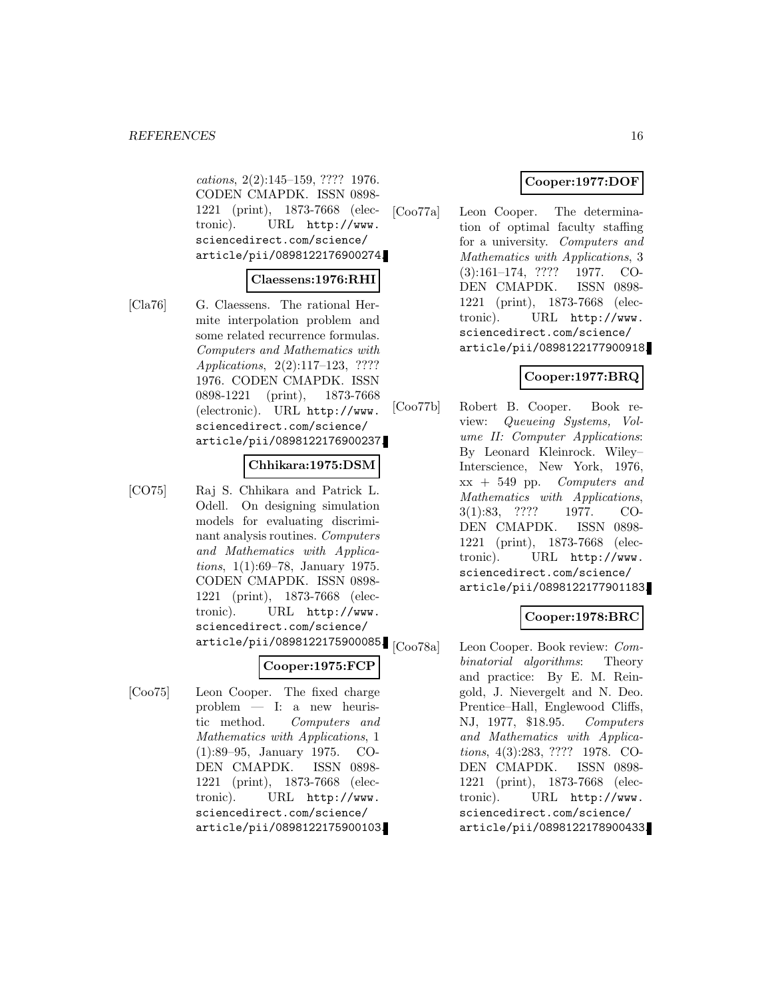cations, 2(2):145–159, ???? 1976. CODEN CMAPDK. ISSN 0898- 1221 (print), 1873-7668 (electronic). URL http://www. sciencedirect.com/science/ article/pii/0898122176900274.

#### **Claessens:1976:RHI**

[Cla76] G. Claessens. The rational Hermite interpolation problem and some related recurrence formulas. Computers and Mathematics with Applications, 2(2):117–123, ???? 1976. CODEN CMAPDK. ISSN 0898-1221 (print), 1873-7668 (electronic). URL http://www. sciencedirect.com/science/ article/pii/0898122176900237.

#### **Chhikara:1975:DSM**

[CO75] Raj S. Chhikara and Patrick L. Odell. On designing simulation models for evaluating discriminant analysis routines. Computers and Mathematics with Applications, 1(1):69–78, January 1975. CODEN CMAPDK. ISSN 0898- 1221 (print), 1873-7668 (electronic). URL http://www. sciencedirect.com/science/ article/pii/0898122175900085. [Coo78a]

# **Cooper:1975:FCP**

[Coo75] Leon Cooper. The fixed charge problem — I: a new heuristic method. Computers and Mathematics with Applications, 1 (1):89–95, January 1975. CO-DEN CMAPDK. ISSN 0898- 1221 (print), 1873-7668 (electronic). URL http://www. sciencedirect.com/science/ article/pii/0898122175900103.

# **Cooper:1977:DOF**

[Coo77a] Leon Cooper. The determination of optimal faculty staffing for a university. Computers and Mathematics with Applications, 3 (3):161–174, ???? 1977. CO-DEN CMAPDK. ISSN 0898- 1221 (print), 1873-7668 (electronic). URL http://www. sciencedirect.com/science/ article/pii/0898122177900918.

# **Cooper:1977:BRQ**

[Coo77b] Robert B. Cooper. Book review: Queueing Systems, Volume II: Computer Applications: By Leonard Kleinrock. Wiley– Interscience, New York, 1976,  $xx + 549$  pp. Computers and Mathematics with Applications, 3(1):83, ???? 1977. CO-DEN CMAPDK. ISSN 0898- 1221 (print), 1873-7668 (electronic). URL http://www. sciencedirect.com/science/ article/pii/0898122177901183.

# **Cooper:1978:BRC**

Leon Cooper. Book review: Combinatorial algorithms: Theory and practice: By E. M. Reingold, J. Nievergelt and N. Deo. Prentice–Hall, Englewood Cliffs, NJ, 1977, \$18.95. Computers and Mathematics with Applications, 4(3):283, ???? 1978. CO-DEN CMAPDK. ISSN 0898- 1221 (print), 1873-7668 (electronic). URL http://www. sciencedirect.com/science/ article/pii/0898122178900433.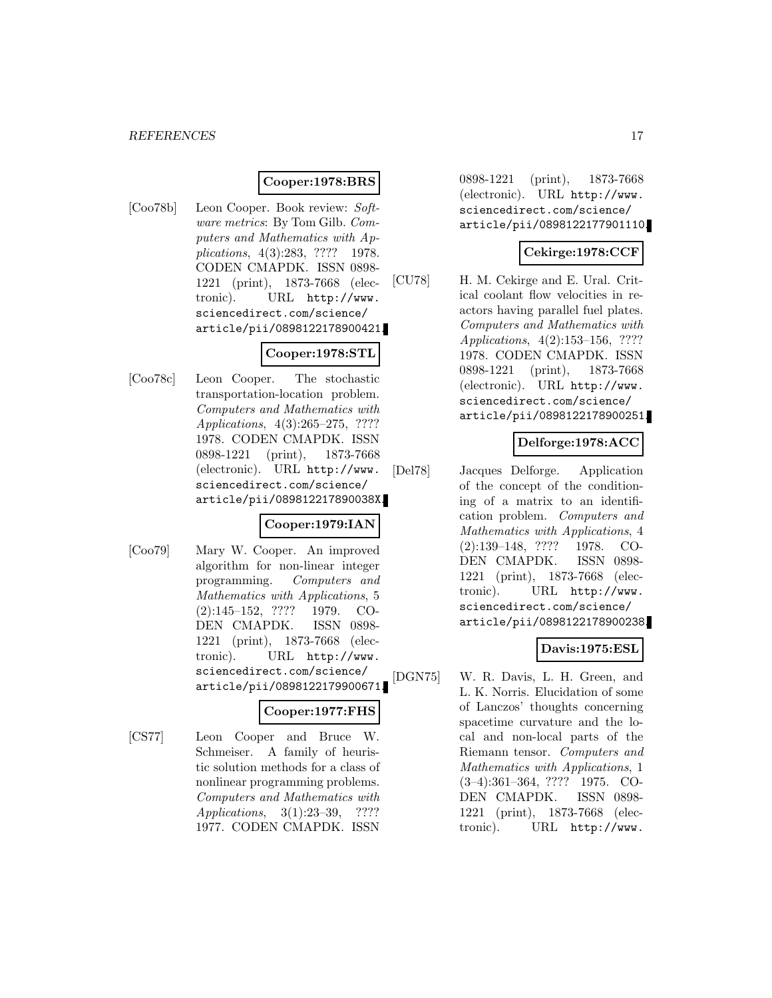# **Cooper:1978:BRS**

[Coo78b] Leon Cooper. Book review: Software metrics: By Tom Gilb. Computers and Mathematics with Applications, 4(3):283, ???? 1978. CODEN CMAPDK. ISSN 0898- 1221 (print), 1873-7668 (electronic). URL http://www. sciencedirect.com/science/ article/pii/0898122178900421.

# **Cooper:1978:STL**

[Coo78c] Leon Cooper. The stochastic transportation-location problem. Computers and Mathematics with Applications, 4(3):265–275, ???? 1978. CODEN CMAPDK. ISSN 0898-1221 (print), 1873-7668 (electronic). URL http://www. sciencedirect.com/science/ article/pii/089812217890038X.

### **Cooper:1979:IAN**

[Coo79] Mary W. Cooper. An improved algorithm for non-linear integer programming. Computers and Mathematics with Applications, 5 (2):145–152, ???? 1979. CO-DEN CMAPDK. ISSN 0898- 1221 (print), 1873-7668 (electronic). URL http://www. sciencedirect.com/science/ article/pii/0898122179900671.

# **Cooper:1977:FHS**

[CS77] Leon Cooper and Bruce W. Schmeiser. A family of heuristic solution methods for a class of nonlinear programming problems. Computers and Mathematics with Applications, 3(1):23–39, ???? 1977. CODEN CMAPDK. ISSN

0898-1221 (print), 1873-7668 (electronic). URL http://www. sciencedirect.com/science/ article/pii/0898122177901110.

# **Cekirge:1978:CCF**

[CU78] H. M. Cekirge and E. Ural. Critical coolant flow velocities in reactors having parallel fuel plates. Computers and Mathematics with Applications, 4(2):153–156, ???? 1978. CODEN CMAPDK. ISSN 0898-1221 (print), 1873-7668 (electronic). URL http://www. sciencedirect.com/science/ article/pii/0898122178900251.

# **Delforge:1978:ACC**

[Del78] Jacques Delforge. Application of the concept of the conditioning of a matrix to an identification problem. Computers and Mathematics with Applications, 4 (2):139–148, ???? 1978. CO-DEN CMAPDK. ISSN 0898- 1221 (print), 1873-7668 (electronic). URL http://www. sciencedirect.com/science/ article/pii/0898122178900238.

# **Davis:1975:ESL**

[DGN75] W. R. Davis, L. H. Green, and L. K. Norris. Elucidation of some of Lanczos' thoughts concerning spacetime curvature and the local and non-local parts of the Riemann tensor. Computers and Mathematics with Applications, 1 (3–4):361–364, ???? 1975. CO-DEN CMAPDK. ISSN 0898- 1221 (print), 1873-7668 (electronic). URL http://www.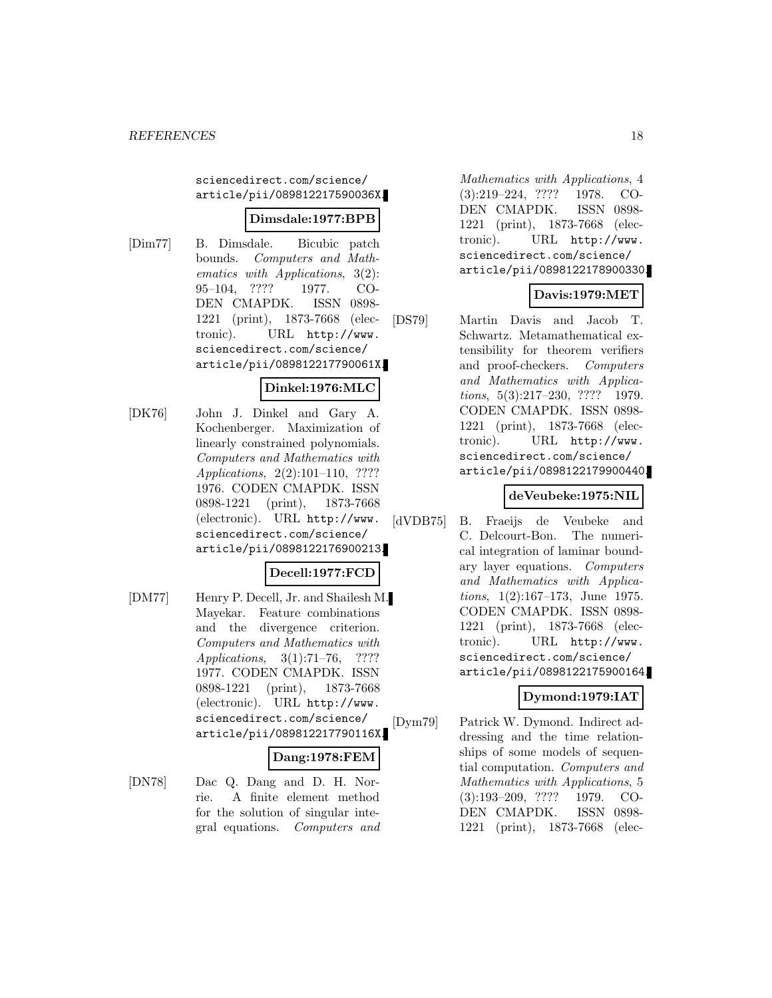sciencedirect.com/science/ article/pii/089812217590036X.

# **Dimsdale:1977:BPB**

[Dim77] B. Dimsdale. Bicubic patch bounds. Computers and Mathematics with Applications, 3(2): 95–104, ???? 1977. CO-DEN CMAPDK. ISSN 0898- 1221 (print), 1873-7668 (electronic). URL http://www. sciencedirect.com/science/ article/pii/089812217790061X.

# **Dinkel:1976:MLC**

[DK76] John J. Dinkel and Gary A. Kochenberger. Maximization of linearly constrained polynomials. Computers and Mathematics with Applications, 2(2):101–110, ???? 1976. CODEN CMAPDK. ISSN 0898-1221 (print), 1873-7668 (electronic). URL http://www. sciencedirect.com/science/ article/pii/0898122176900213.

# **Decell:1977:FCD**

[DM77] Henry P. Decell, Jr. and Shailesh M. Mayekar. Feature combinations and the divergence criterion. Computers and Mathematics with Applications, 3(1):71–76, ???? 1977. CODEN CMAPDK. ISSN 0898-1221 (print), 1873-7668 (electronic). URL http://www. sciencedirect.com/science/ article/pii/089812217790116X.

### **Dang:1978:FEM**

[DN78] Dac Q. Dang and D. H. Norrie. A finite element method for the solution of singular integral equations. Computers and

Mathematics with Applications, 4 (3):219–224, ???? 1978. CO-DEN CMAPDK. ISSN 0898- 1221 (print), 1873-7668 (electronic). URL http://www. sciencedirect.com/science/ article/pii/0898122178900330.

# **Davis:1979:MET**

[DS79] Martin Davis and Jacob T. Schwartz. Metamathematical extensibility for theorem verifiers and proof-checkers. Computers and Mathematics with Applications, 5(3):217–230, ???? 1979. CODEN CMAPDK. ISSN 0898- 1221 (print), 1873-7668 (electronic). URL http://www. sciencedirect.com/science/ article/pii/0898122179900440.

# **deVeubeke:1975:NIL**

[dVDB75] B. Fraeijs de Veubeke and C. Delcourt-Bon. The numerical integration of laminar boundary layer equations. Computers and Mathematics with Applications, 1(2):167–173, June 1975. CODEN CMAPDK. ISSN 0898- 1221 (print), 1873-7668 (electronic). URL http://www. sciencedirect.com/science/ article/pii/0898122175900164.

# **Dymond:1979:IAT**

[Dym79] Patrick W. Dymond. Indirect addressing and the time relationships of some models of sequential computation. Computers and Mathematics with Applications, 5 (3):193–209, ???? 1979. CO-DEN CMAPDK. ISSN 0898- 1221 (print), 1873-7668 (elec-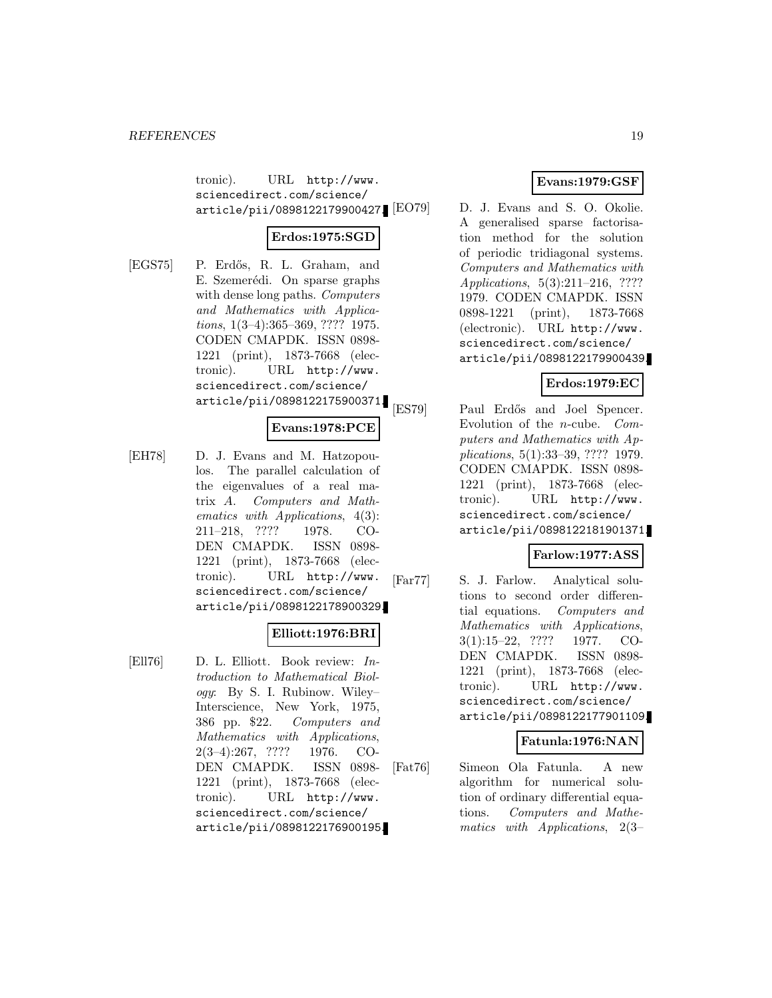tronic). URL http://www. sciencedirect.com/science/ article/pii/0898122179900427.

# **Erdos:1975:SGD**

[EGS75] P. Erdős, R. L. Graham, and E. Szemerédi. On sparse graphs with dense long paths. *Computers* and Mathematics with Applications, 1(3–4):365–369, ???? 1975. CODEN CMAPDK. ISSN 0898- 1221 (print), 1873-7668 (electronic). URL http://www. sciencedirect.com/science/ article/pii/0898122175900371.

# **Evans:1978:PCE**

[EH78] D. J. Evans and M. Hatzopoulos. The parallel calculation of the eigenvalues of a real matrix A. Computers and Mathematics with Applications, 4(3): 211–218, ???? 1978. CO-DEN CMAPDK. ISSN 0898- 1221 (print), 1873-7668 (electronic). URL http://www. sciencedirect.com/science/ article/pii/0898122178900329.

# **Elliott:1976:BRI**

[Ell76] D. L. Elliott. Book review: Introduction to Mathematical Biology: By S. I. Rubinow. Wiley– Interscience, New York, 1975, 386 pp. \$22. Computers and Mathematics with Applications, 2(3–4):267, ???? 1976. CO-DEN CMAPDK. ISSN 0898- 1221 (print), 1873-7668 (electronic). URL http://www. sciencedirect.com/science/ article/pii/0898122176900195.

# **Evans:1979:GSF**

D. J. Evans and S. O. Okolie. A generalised sparse factorisation method for the solution of periodic tridiagonal systems. Computers and Mathematics with Applications, 5(3):211–216, ???? 1979. CODEN CMAPDK. ISSN 0898-1221 (print), 1873-7668 (electronic). URL http://www. sciencedirect.com/science/ article/pii/0898122179900439.

# **Erdos:1979:EC**

[ES79] Paul Erdős and Joel Spencer. Evolution of the n-cube. Computers and Mathematics with Applications, 5(1):33–39, ???? 1979. CODEN CMAPDK. ISSN 0898- 1221 (print), 1873-7668 (electronic). URL http://www. sciencedirect.com/science/ article/pii/0898122181901371.

# **Farlow:1977:ASS**

[Far77] S. J. Farlow. Analytical solutions to second order differential equations. Computers and Mathematics with Applications, 3(1):15–22, ???? 1977. CO-DEN CMAPDK. ISSN 0898- 1221 (print), 1873-7668 (electronic). URL http://www. sciencedirect.com/science/ article/pii/0898122177901109.

# **Fatunla:1976:NAN**

[Fat76] Simeon Ola Fatunla. A new algorithm for numerical solution of ordinary differential equations. Computers and Mathematics with Applications, 2(3–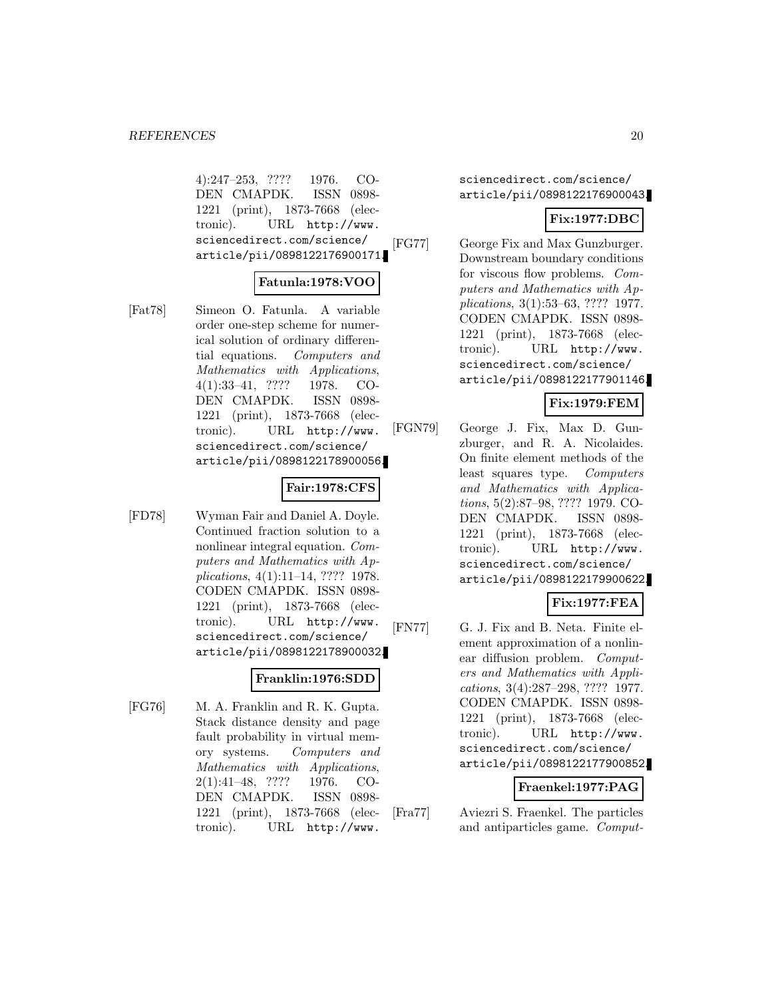4):247–253, ???? 1976. CO-DEN CMAPDK. ISSN 0898- 1221 (print), 1873-7668 (electronic). URL http://www. sciencedirect.com/science/ article/pii/0898122176900171.

### **Fatunla:1978:VOO**

[Fat78] Simeon O. Fatunla. A variable order one-step scheme for numerical solution of ordinary differential equations. Computers and Mathematics with Applications, 4(1):33–41, ???? 1978. CO-DEN CMAPDK. ISSN 0898- 1221 (print), 1873-7668 (electronic). URL http://www. sciencedirect.com/science/ article/pii/0898122178900056.

### **Fair:1978:CFS**

[FD78] Wyman Fair and Daniel A. Doyle. Continued fraction solution to a nonlinear integral equation. Computers and Mathematics with Applications, 4(1):11–14, ???? 1978. CODEN CMAPDK. ISSN 0898- 1221 (print), 1873-7668 (electronic). URL http://www. sciencedirect.com/science/ article/pii/0898122178900032.

# **Franklin:1976:SDD**

[FG76] M. A. Franklin and R. K. Gupta. Stack distance density and page fault probability in virtual memory systems. Computers and Mathematics with Applications, 2(1):41–48, ???? 1976. CO-DEN CMAPDK. ISSN 0898- 1221 (print), 1873-7668 (electronic). URL http://www.

sciencedirect.com/science/ article/pii/0898122176900043.

### **Fix:1977:DBC**

[FG77] George Fix and Max Gunzburger. Downstream boundary conditions for viscous flow problems. Computers and Mathematics with Applications, 3(1):53–63, ???? 1977. CODEN CMAPDK. ISSN 0898- 1221 (print), 1873-7668 (electronic). URL http://www. sciencedirect.com/science/ article/pii/0898122177901146.

# **Fix:1979:FEM**

[FGN79] George J. Fix, Max D. Gunzburger, and R. A. Nicolaides. On finite element methods of the least squares type. Computers and Mathematics with Applications, 5(2):87–98, ???? 1979. CO-DEN CMAPDK. ISSN 0898- 1221 (print), 1873-7668 (electronic). URL http://www. sciencedirect.com/science/ article/pii/0898122179900622.

# **Fix:1977:FEA**

[FN77] G. J. Fix and B. Neta. Finite element approximation of a nonlinear diffusion problem. Computers and Mathematics with Applications, 3(4):287–298, ???? 1977. CODEN CMAPDK. ISSN 0898- 1221 (print), 1873-7668 (electronic). URL http://www. sciencedirect.com/science/ article/pii/0898122177900852.

#### **Fraenkel:1977:PAG**

<sup>[</sup>Fra77] Aviezri S. Fraenkel. The particles and antiparticles game. Comput-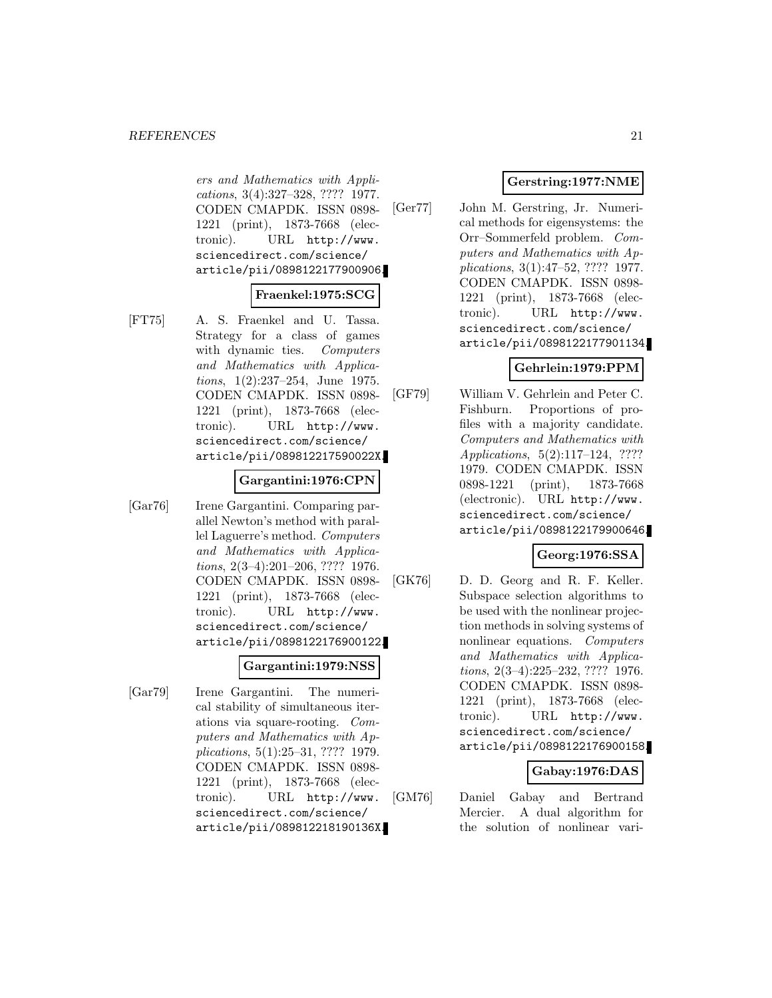ers and Mathematics with Applications, 3(4):327–328, ???? 1977. CODEN CMAPDK. ISSN 0898- 1221 (print), 1873-7668 (electronic). URL http://www. sciencedirect.com/science/ article/pii/0898122177900906.

# **Fraenkel:1975:SCG**

- 
- [FT75] A. S. Fraenkel and U. Tassa. Strategy for a class of games with dynamic ties. Computers and Mathematics with Applications, 1(2):237–254, June 1975. CODEN CMAPDK. ISSN 0898- 1221 (print), 1873-7668 (electronic). URL http://www. sciencedirect.com/science/ article/pii/089812217590022X.

### **Gargantini:1976:CPN**

[Gar76] Irene Gargantini. Comparing parallel Newton's method with parallel Laguerre's method. Computers and Mathematics with Applications, 2(3–4):201–206, ???? 1976. CODEN CMAPDK. ISSN 0898- 1221 (print), 1873-7668 (electronic). URL http://www. sciencedirect.com/science/ article/pii/0898122176900122.

# **Gargantini:1979:NSS**

[Gar79] Irene Gargantini. The numerical stability of simultaneous iterations via square-rooting. Computers and Mathematics with Applications, 5(1):25–31, ???? 1979. CODEN CMAPDK. ISSN 0898- 1221 (print), 1873-7668 (electronic). URL http://www. sciencedirect.com/science/ article/pii/089812218190136X.

# **Gerstring:1977:NME**

[Ger77] John M. Gerstring, Jr. Numerical methods for eigensystems: the Orr–Sommerfeld problem. Computers and Mathematics with Applications, 3(1):47–52, ???? 1977. CODEN CMAPDK. ISSN 0898- 1221 (print), 1873-7668 (electronic). URL http://www. sciencedirect.com/science/ article/pii/0898122177901134.

# **Gehrlein:1979:PPM**

[GF79] William V. Gehrlein and Peter C. Fishburn. Proportions of profiles with a majority candidate. Computers and Mathematics with Applications, 5(2):117–124, ???? 1979. CODEN CMAPDK. ISSN 0898-1221 (print), 1873-7668 (electronic). URL http://www. sciencedirect.com/science/ article/pii/0898122179900646.

# **Georg:1976:SSA**

[GK76] D. D. Georg and R. F. Keller. Subspace selection algorithms to be used with the nonlinear projection methods in solving systems of nonlinear equations. Computers and Mathematics with Applications, 2(3–4):225–232, ???? 1976. CODEN CMAPDK. ISSN 0898- 1221 (print), 1873-7668 (electronic). URL http://www. sciencedirect.com/science/ article/pii/0898122176900158.

# **Gabay:1976:DAS**

[GM76] Daniel Gabay and Bertrand Mercier. A dual algorithm for the solution of nonlinear vari-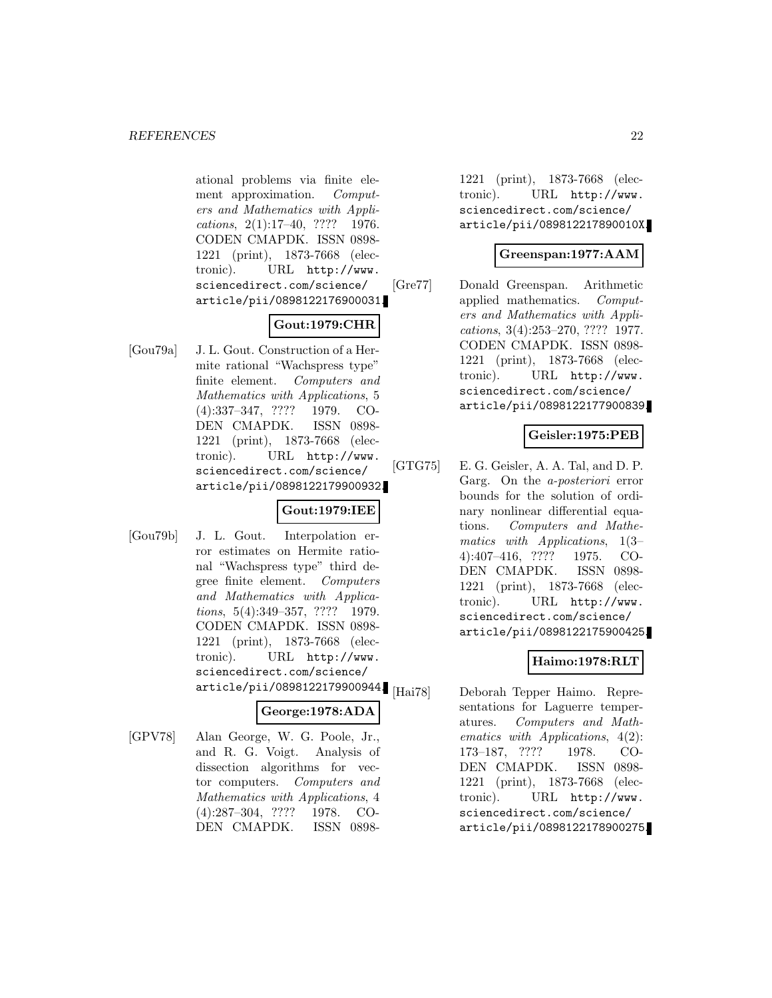ational problems via finite element approximation. Computers and Mathematics with Applications, 2(1):17–40, ???? 1976. CODEN CMAPDK. ISSN 0898- 1221 (print), 1873-7668 (electronic). URL http://www. sciencedirect.com/science/ article/pii/0898122176900031.

# **Gout:1979:CHR**

[Gou79a] J. L. Gout. Construction of a Hermite rational "Wachspress type" finite element. Computers and Mathematics with Applications, 5 (4):337–347, ???? 1979. CO-DEN CMAPDK. ISSN 0898- 1221 (print), 1873-7668 (electronic). URL http://www. sciencedirect.com/science/ article/pii/0898122179900932.

# **Gout:1979:IEE**

[Gou79b] J. L. Gout. Interpolation error estimates on Hermite rational "Wachspress type" third degree finite element. Computers and Mathematics with Applications, 5(4):349–357, ???? 1979. CODEN CMAPDK. ISSN 0898- 1221 (print), 1873-7668 (electronic). URL http://www. sciencedirect.com/science/ article/pii/0898122179900944.

# **George:1978:ADA**

[GPV78] Alan George, W. G. Poole, Jr., and R. G. Voigt. Analysis of dissection algorithms for vector computers. Computers and Mathematics with Applications, 4 (4):287–304, ???? 1978. CO-DEN CMAPDK. ISSN 08981221 (print), 1873-7668 (electronic). URL http://www. sciencedirect.com/science/ article/pii/089812217890010X.

# **Greenspan:1977:AAM**

[Gre77] Donald Greenspan. Arithmetic applied mathematics. Computers and Mathematics with Applications, 3(4):253–270, ???? 1977. CODEN CMAPDK. ISSN 0898- 1221 (print), 1873-7668 (electronic). URL http://www. sciencedirect.com/science/ article/pii/0898122177900839.

# **Geisler:1975:PEB**

[GTG75] E. G. Geisler, A. A. Tal, and D. P. Garg. On the a-posteriori error bounds for the solution of ordinary nonlinear differential equations. Computers and Mathematics with Applications, 1(3– 4):407–416, ???? 1975. CO-DEN CMAPDK. ISSN 0898- 1221 (print), 1873-7668 (electronic). URL http://www. sciencedirect.com/science/ article/pii/0898122175900425.

# **Haimo:1978:RLT**

[Hai78] Deborah Tepper Haimo. Representations for Laguerre temperatures. Computers and Mathematics with Applications, 4(2): 173–187, ???? 1978. CO-DEN CMAPDK. ISSN 0898- 1221 (print), 1873-7668 (electronic). URL http://www. sciencedirect.com/science/ article/pii/0898122178900275.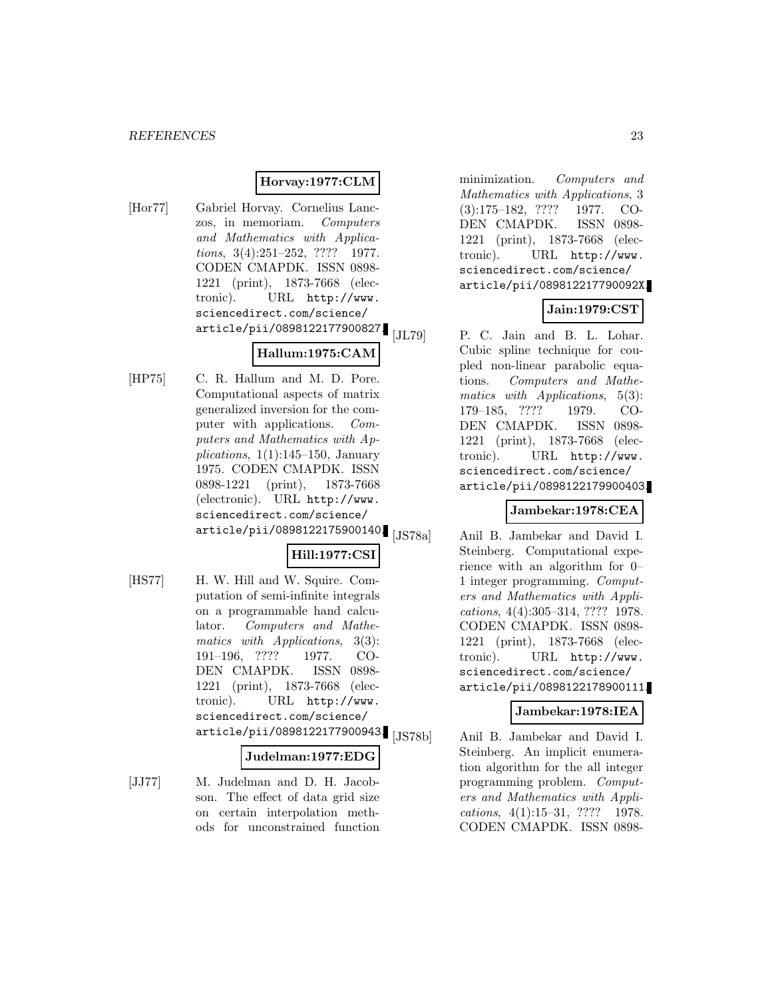### **Horvay:1977:CLM**

[Hor77] Gabriel Horvay. Cornelius Lanczos, in memoriam. Computers and Mathematics with Applications, 3(4):251-252, ???? 1977. CODEN CMAPDK. ISSN 0898- 1221 (print), 1873-7668 (electronic). URL http://www. sciencedirect.com/science/ article/pii/0898122177900827.

# **Hallum:1975:CAM**

[HP75] C. R. Hallum and M. D. Pore. Computational aspects of matrix generalized inversion for the computer with applications. Computers and Mathematics with Applications,  $1(1):145-150$ , January 1975. CODEN CMAPDK. ISSN 0898-1221 (print), 1873-7668 (electronic). URL http://www. sciencedirect.com/science/ article/pii/0898122175900140.

# **Hill:1977:CSI**

[HS77] H. W. Hill and W. Squire. Computation of semi-infinite integrals on a programmable hand calculator. Computers and Mathematics with Applications, 3(3): 191–196, ???? 1977. CO-DEN CMAPDK. ISSN 0898- 1221 (print), 1873-7668 (electronic). URL http://www. sciencedirect.com/science/ article/pii/0898122177900943. [JS78b]

#### **Judelman:1977:EDG**

[JJ77] M. Judelman and D. H. Jacobson. The effect of data grid size on certain interpolation methods for unconstrained function

minimization. Computers and Mathematics with Applications, 3 (3):175–182, ???? 1977. CO-DEN CMAPDK. ISSN 0898- 1221 (print), 1873-7668 (electronic). URL http://www. sciencedirect.com/science/ article/pii/089812217790092X.

# **Jain:1979:CST**

[JL79] P. C. Jain and B. L. Lohar. Cubic spline technique for coupled non-linear parabolic equations. Computers and Mathematics with Applications, 5(3): 179–185, ???? 1979. CO-DEN CMAPDK. ISSN 0898- 1221 (print), 1873-7668 (electronic). URL http://www. sciencedirect.com/science/ article/pii/0898122179900403.

# **Jambekar:1978:CEA**

[JS78a] Anil B. Jambekar and David I. Steinberg. Computational experience with an algorithm for 0– 1 integer programming. Computers and Mathematics with Applications, 4(4):305–314, ???? 1978. CODEN CMAPDK. ISSN 0898- 1221 (print), 1873-7668 (electronic). URL http://www. sciencedirect.com/science/ article/pii/0898122178900111.

#### **Jambekar:1978:IEA**

Anil B. Jambekar and David I. Steinberg. An implicit enumeration algorithm for the all integer programming problem. Computers and Mathematics with Applications, 4(1):15–31, ???? 1978. CODEN CMAPDK. ISSN 0898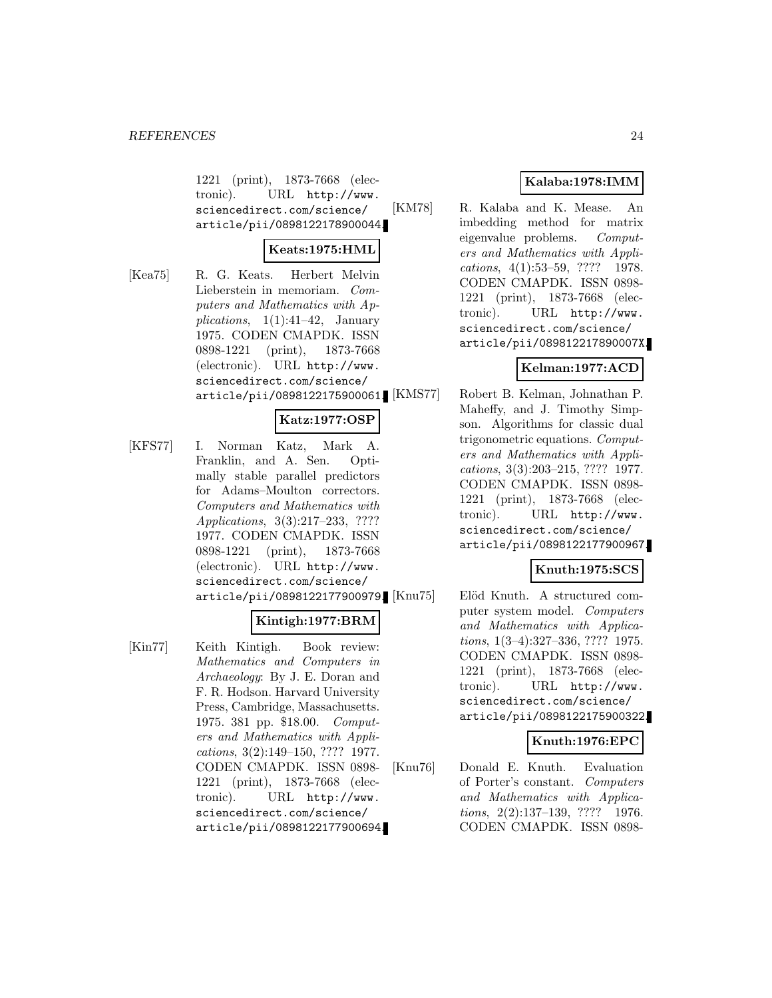1221 (print), 1873-7668 (electronic). URL http://www. sciencedirect.com/science/ article/pii/0898122178900044.

# **Keats:1975:HML**

[Kea75] R. G. Keats. Herbert Melvin Lieberstein in memoriam. Computers and Mathematics with Applications,  $1(1):41-42$ , January 1975. CODEN CMAPDK. ISSN 0898-1221 (print), 1873-7668 (electronic). URL http://www. sciencedirect.com/science/ article/pii/0898122175900061.

# **Katz:1977:OSP**

[KFS77] I. Norman Katz, Mark A. Franklin, and A. Sen. Optimally stable parallel predictors for Adams–Moulton correctors. Computers and Mathematics with Applications, 3(3):217–233, ???? 1977. CODEN CMAPDK. ISSN 0898-1221 (print), 1873-7668 (electronic). URL http://www. sciencedirect.com/science/ article/pii/0898122177900979.

# **Kintigh:1977:BRM**

[Kin77] Keith Kintigh. Book review: Mathematics and Computers in Archaeology: By J. E. Doran and F. R. Hodson. Harvard University Press, Cambridge, Massachusetts. 1975. 381 pp. \$18.00. Computers and Mathematics with Applications, 3(2):149–150, ???? 1977. CODEN CMAPDK. ISSN 0898- 1221 (print), 1873-7668 (electronic). URL http://www. sciencedirect.com/science/ article/pii/0898122177900694.

# **Kalaba:1978:IMM**

[KM78] R. Kalaba and K. Mease. An imbedding method for matrix eigenvalue problems. Computers and Mathematics with Applications, 4(1):53–59, ???? 1978. CODEN CMAPDK. ISSN 0898- 1221 (print), 1873-7668 (electronic). URL http://www. sciencedirect.com/science/ article/pii/089812217890007X.

# **Kelman:1977:ACD**

Robert B. Kelman, Johnathan P. Maheffy, and J. Timothy Simpson. Algorithms for classic dual trigonometric equations. Computers and Mathematics with Applications, 3(3):203–215, ???? 1977. CODEN CMAPDK. ISSN 0898- 1221 (print), 1873-7668 (electronic). URL http://www. sciencedirect.com/science/ article/pii/0898122177900967.

# **Knuth:1975:SCS**

Elöd Knuth. A structured computer system model. Computers and Mathematics with Applications, 1(3–4):327–336, ???? 1975. CODEN CMAPDK. ISSN 0898- 1221 (print), 1873-7668 (electronic). URL http://www. sciencedirect.com/science/ article/pii/0898122175900322.

# **Knuth:1976:EPC**

[Knu76] Donald E. Knuth. Evaluation of Porter's constant. Computers and Mathematics with Applications, 2(2):137–139, ???? 1976. CODEN CMAPDK. ISSN 0898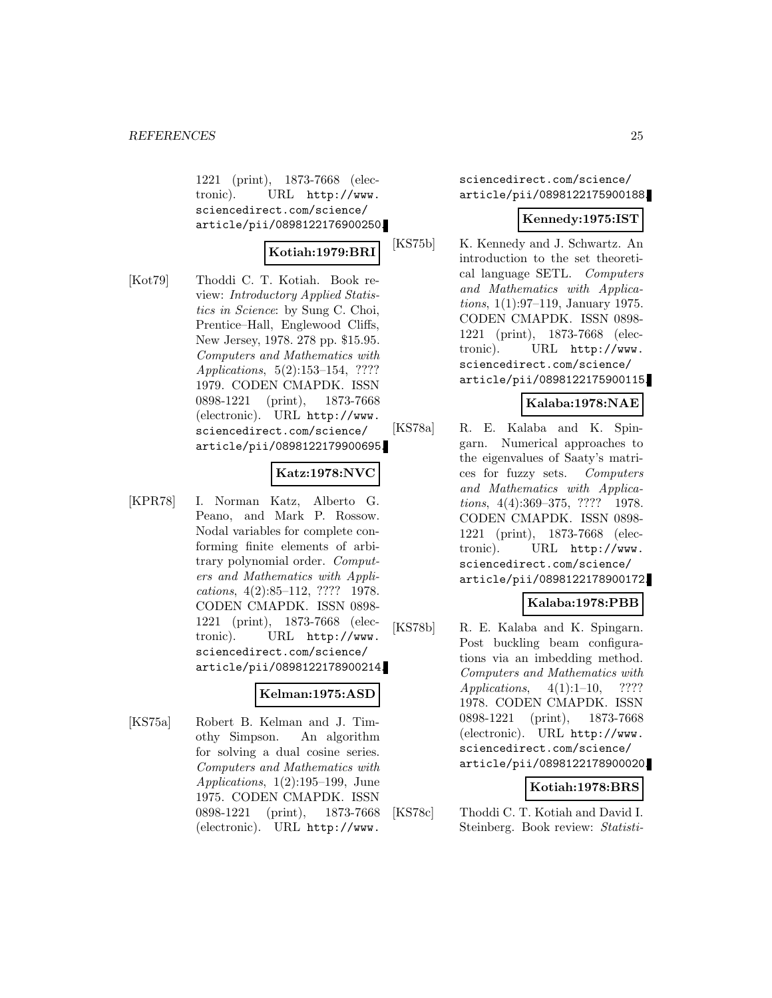1221 (print), 1873-7668 (electronic). URL http://www. sciencedirect.com/science/ article/pii/0898122176900250.

# **Kotiah:1979:BRI**

[Kot79] Thoddi C. T. Kotiah. Book review: Introductory Applied Statistics in Science: by Sung C. Choi, Prentice–Hall, Englewood Cliffs, New Jersey, 1978. 278 pp. \$15.95. Computers and Mathematics with Applications, 5(2):153–154, ???? 1979. CODEN CMAPDK. ISSN 0898-1221 (print), 1873-7668 (electronic). URL http://www. sciencedirect.com/science/ article/pii/0898122179900695.

# **Katz:1978:NVC**

[KPR78] I. Norman Katz, Alberto G. Peano, and Mark P. Rossow. Nodal variables for complete conforming finite elements of arbitrary polynomial order. Computers and Mathematics with Applications, 4(2):85–112, ???? 1978. CODEN CMAPDK. ISSN 0898- 1221 (print), 1873-7668 (electronic). URL http://www. sciencedirect.com/science/ article/pii/0898122178900214.

# **Kelman:1975:ASD**

[KS75a] Robert B. Kelman and J. Timothy Simpson. An algorithm for solving a dual cosine series. Computers and Mathematics with Applications, 1(2):195–199, June 1975. CODEN CMAPDK. ISSN 0898-1221 (print), 1873-7668 (electronic). URL http://www.

sciencedirect.com/science/ article/pii/0898122175900188.

# **Kennedy:1975:IST**

[KS75b] K. Kennedy and J. Schwartz. An introduction to the set theoretical language SETL. Computers and Mathematics with Applications, 1(1):97–119, January 1975. CODEN CMAPDK. ISSN 0898- 1221 (print), 1873-7668 (electronic). URL http://www. sciencedirect.com/science/ article/pii/0898122175900115.

# **Kalaba:1978:NAE**

[KS78a] R. E. Kalaba and K. Spingarn. Numerical approaches to the eigenvalues of Saaty's matrices for fuzzy sets. Computers and Mathematics with Applications, 4(4):369–375, ???? 1978. CODEN CMAPDK. ISSN 0898- 1221 (print), 1873-7668 (electronic). URL http://www. sciencedirect.com/science/ article/pii/0898122178900172.

# **Kalaba:1978:PBB**

[KS78b] R. E. Kalaba and K. Spingarn. Post buckling beam configurations via an imbedding method. Computers and Mathematics with Applications,  $4(1):1-10$ , ???? 1978. CODEN CMAPDK. ISSN 0898-1221 (print), 1873-7668 (electronic). URL http://www. sciencedirect.com/science/ article/pii/0898122178900020.

#### **Kotiah:1978:BRS**

[KS78c] Thoddi C. T. Kotiah and David I. Steinberg. Book review: Statisti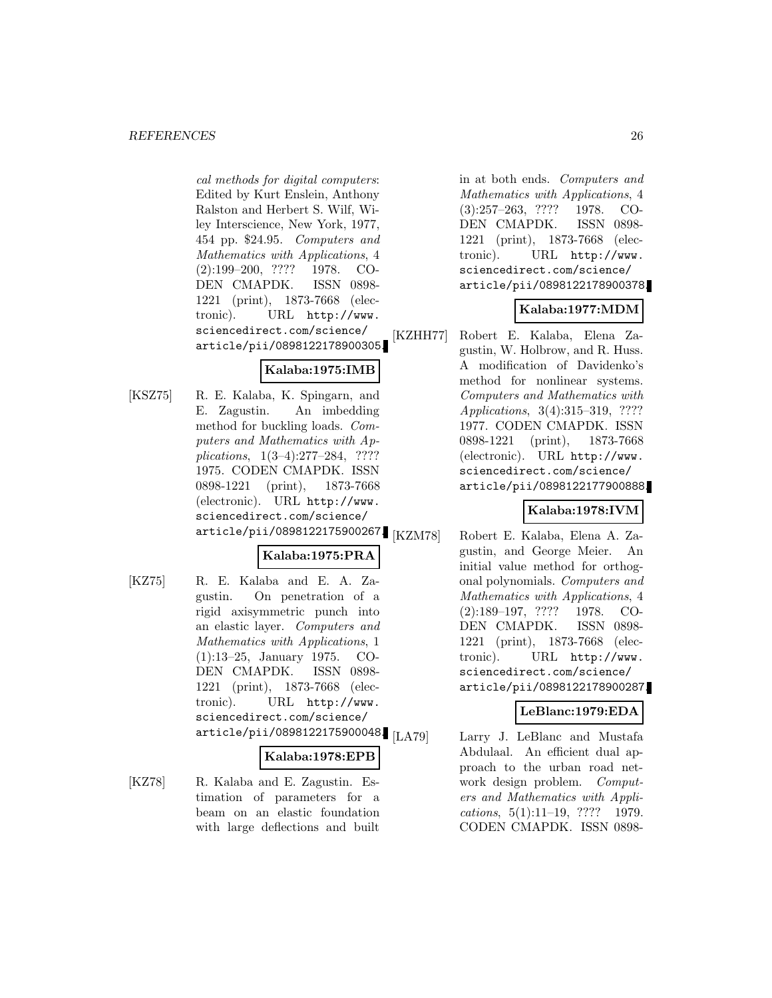cal methods for digital computers: Edited by Kurt Enslein, Anthony Ralston and Herbert S. Wilf, Wiley Interscience, New York, 1977, 454 pp. \$24.95. Computers and Mathematics with Applications, 4 (2):199–200, ???? 1978. CO-DEN CMAPDK. ISSN 0898- 1221 (print), 1873-7668 (electronic). URL http://www. sciencedirect.com/science/ article/pii/0898122178900305.

# **Kalaba:1975:IMB**

[KSZ75] R. E. Kalaba, K. Spingarn, and E. Zagustin. An imbedding method for buckling loads. Computers and Mathematics with Applications, 1(3–4):277–284, ???? 1975. CODEN CMAPDK. ISSN 0898-1221 (print), 1873-7668 (electronic). URL http://www. sciencedirect.com/science/ article/pii/0898122175900267.

# **Kalaba:1975:PRA**

[KZ75] R. E. Kalaba and E. A. Zagustin. On penetration of a rigid axisymmetric punch into an elastic layer. Computers and Mathematics with Applications, 1 (1):13–25, January 1975. CO-DEN CMAPDK. ISSN 0898- 1221 (print), 1873-7668 (electronic). URL http://www. sciencedirect.com/science/ article/pii/0898122175900048.

#### **Kalaba:1978:EPB**

[KZ78] R. Kalaba and E. Zagustin. Estimation of parameters for a beam on an elastic foundation with large deflections and built

in at both ends. Computers and Mathematics with Applications, 4 (3):257–263, ???? 1978. CO-DEN CMAPDK. ISSN 0898- 1221 (print), 1873-7668 (electronic). URL http://www. sciencedirect.com/science/ article/pii/0898122178900378.

# **Kalaba:1977:MDM**

[KZHH77] Robert E. Kalaba, Elena Zagustin, W. Holbrow, and R. Huss. A modification of Davidenko's method for nonlinear systems. Computers and Mathematics with Applications, 3(4):315–319, ???? 1977. CODEN CMAPDK. ISSN 0898-1221 (print), 1873-7668 (electronic). URL http://www. sciencedirect.com/science/ article/pii/0898122177900888.

# **Kalaba:1978:IVM**

[KZM78] Robert E. Kalaba, Elena A. Zagustin, and George Meier. An initial value method for orthogonal polynomials. Computers and Mathematics with Applications, 4 (2):189–197, ???? 1978. CO-DEN CMAPDK. ISSN 0898- 1221 (print), 1873-7668 (electronic). URL http://www. sciencedirect.com/science/ article/pii/0898122178900287.

# **LeBlanc:1979:EDA**

[LA79] Larry J. LeBlanc and Mustafa Abdulaal. An efficient dual approach to the urban road network design problem. Computers and Mathematics with Applications, 5(1):11–19, ???? 1979. CODEN CMAPDK. ISSN 0898-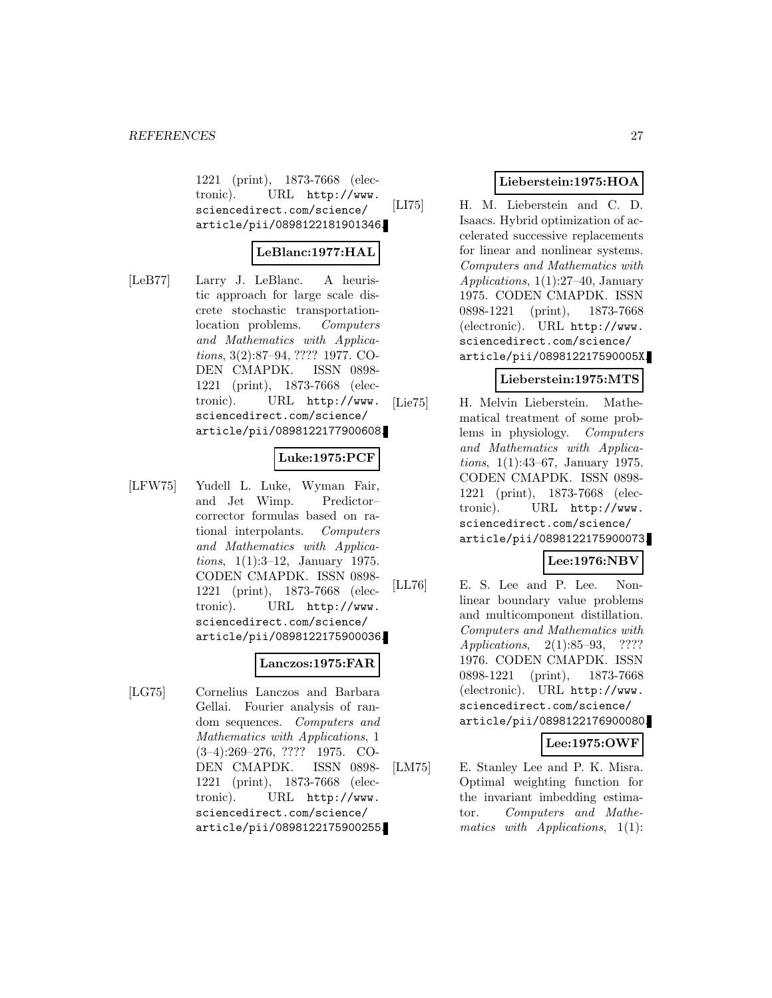1221 (print), 1873-7668 (electronic). URL http://www. sciencedirect.com/science/ article/pii/0898122181901346.

# **LeBlanc:1977:HAL**

[LeB77] Larry J. LeBlanc. A heuristic approach for large scale discrete stochastic transportationlocation problems. Computers and Mathematics with Applications, 3(2):87–94, ???? 1977. CO-DEN CMAPDK. ISSN 0898- 1221 (print), 1873-7668 (electronic). URL http://www. sciencedirect.com/science/ article/pii/0898122177900608.

### **Luke:1975:PCF**

[LFW75] Yudell L. Luke, Wyman Fair, and Jet Wimp. Predictor– corrector formulas based on rational interpolants. Computers and Mathematics with Applications, 1(1):3–12, January 1975. CODEN CMAPDK. ISSN 0898- 1221 (print), 1873-7668 (electronic). URL http://www. sciencedirect.com/science/ article/pii/0898122175900036.

#### **Lanczos:1975:FAR**

[LG75] Cornelius Lanczos and Barbara Gellai. Fourier analysis of random sequences. Computers and Mathematics with Applications, 1 (3–4):269–276, ???? 1975. CO-DEN CMAPDK. ISSN 0898- 1221 (print), 1873-7668 (electronic). URL http://www. sciencedirect.com/science/ article/pii/0898122175900255.

# **Lieberstein:1975:HOA**

[LI75] H. M. Lieberstein and C. D. Isaacs. Hybrid optimization of accelerated successive replacements for linear and nonlinear systems. Computers and Mathematics with Applications, 1(1):27–40, January 1975. CODEN CMAPDK. ISSN 0898-1221 (print), 1873-7668 (electronic). URL http://www. sciencedirect.com/science/ article/pii/089812217590005X.

# **Lieberstein:1975:MTS**

[Lie75] H. Melvin Lieberstein. Mathematical treatment of some problems in physiology. Computers and Mathematics with Applications, 1(1):43–67, January 1975. CODEN CMAPDK. ISSN 0898- 1221 (print), 1873-7668 (electronic). URL http://www. sciencedirect.com/science/ article/pii/0898122175900073.

# **Lee:1976:NBV**

[LL76] E. S. Lee and P. Lee. Nonlinear boundary value problems and multicomponent distillation. Computers and Mathematics with Applications, 2(1):85–93, ???? 1976. CODEN CMAPDK. ISSN 0898-1221 (print), 1873-7668 (electronic). URL http://www. sciencedirect.com/science/ article/pii/0898122176900080.

# **Lee:1975:OWF**

[LM75] E. Stanley Lee and P. K. Misra. Optimal weighting function for the invariant imbedding estimator. Computers and Mathematics with Applications, 1(1):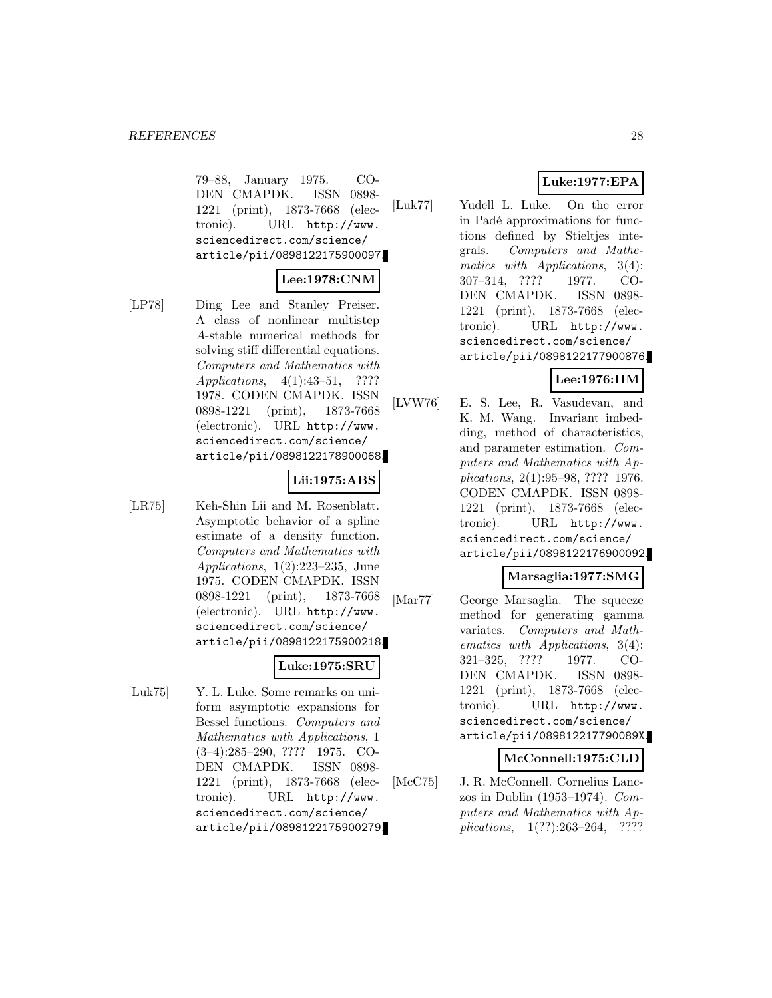79–88, January 1975. CO-DEN CMAPDK. ISSN 0898- 1221 (print), 1873-7668 (electronic). URL http://www. sciencedirect.com/science/ article/pii/0898122175900097.

# **Lee:1978:CNM**

[LP78] Ding Lee and Stanley Preiser. A class of nonlinear multistep A-stable numerical methods for solving stiff differential equations. Computers and Mathematics with Applications, 4(1):43–51, ???? 1978. CODEN CMAPDK. ISSN 0898-1221 (print), 1873-7668 (electronic). URL http://www. sciencedirect.com/science/ article/pii/0898122178900068.

#### **Lii:1975:ABS**

[LR75] Keh-Shin Lii and M. Rosenblatt. Asymptotic behavior of a spline estimate of a density function. Computers and Mathematics with Applications, 1(2):223–235, June 1975. CODEN CMAPDK. ISSN 0898-1221 (print), 1873-7668 (electronic). URL http://www. sciencedirect.com/science/ article/pii/0898122175900218.

# **Luke:1975:SRU**

[Luk75] Y. L. Luke. Some remarks on uniform asymptotic expansions for Bessel functions. Computers and Mathematics with Applications, 1 (3–4):285–290, ???? 1975. CO-DEN CMAPDK. ISSN 0898- 1221 (print), 1873-7668 (electronic). URL http://www. sciencedirect.com/science/ article/pii/0898122175900279.

# **Luke:1977:EPA**

[Luk77] Yudell L. Luke. On the error in Padé approximations for functions defined by Stieltjes integrals. Computers and Mathematics with Applications, 3(4): 307–314, ???? 1977. CO-DEN CMAPDK. ISSN 0898- 1221 (print), 1873-7668 (electronic). URL http://www. sciencedirect.com/science/ article/pii/0898122177900876.

# **Lee:1976:IIM**

[LVW76] E. S. Lee, R. Vasudevan, and K. M. Wang. Invariant imbedding, method of characteristics, and parameter estimation. Computers and Mathematics with Applications, 2(1):95–98, ???? 1976. CODEN CMAPDK. ISSN 0898- 1221 (print), 1873-7668 (electronic). URL http://www. sciencedirect.com/science/ article/pii/0898122176900092.

# **Marsaglia:1977:SMG**

[Mar77] George Marsaglia. The squeeze method for generating gamma variates. Computers and Mathematics with Applications, 3(4): 321–325, ???? 1977. CO-DEN CMAPDK. ISSN 0898- 1221 (print), 1873-7668 (electronic). URL http://www. sciencedirect.com/science/ article/pii/089812217790089X.

# **McConnell:1975:CLD**

[McC75] J. R. McConnell. Cornelius Lanczos in Dublin (1953–1974). Computers and Mathematics with Applications, 1(??):263–264, ????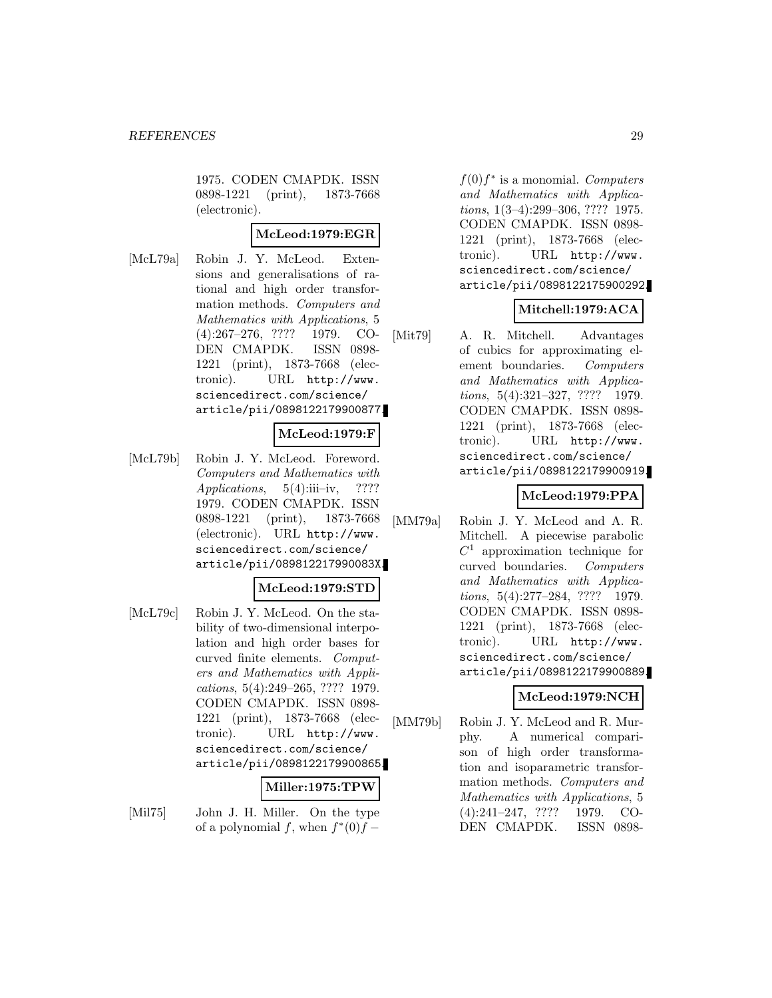1975. CODEN CMAPDK. ISSN 0898-1221 (print), 1873-7668 (electronic).

# **McLeod:1979:EGR**

[McL79a] Robin J. Y. McLeod. Extensions and generalisations of rational and high order transformation methods. Computers and Mathematics with Applications, 5 (4):267–276, ???? 1979. CO-DEN CMAPDK. ISSN 0898- 1221 (print), 1873-7668 (electronic). URL http://www. sciencedirect.com/science/ article/pii/0898122179900877.

#### **McLeod:1979:F**

[McL79b] Robin J. Y. McLeod. Foreword. Computers and Mathematics with Applications,  $5(4)$ :iii–iv, ???? 1979. CODEN CMAPDK. ISSN 0898-1221 (print), 1873-7668 (electronic). URL http://www. sciencedirect.com/science/ article/pii/089812217990083X.

# **McLeod:1979:STD**

[McL79c] Robin J. Y. McLeod. On the stability of two-dimensional interpolation and high order bases for curved finite elements. Computers and Mathematics with Applications, 5(4):249–265, ???? 1979. CODEN CMAPDK. ISSN 0898- 1221 (print), 1873-7668 (electronic). URL http://www. sciencedirect.com/science/ article/pii/0898122179900865.

### **Miller:1975:TPW**

[Mil75] John J. H. Miller. On the type of a polynomial f, when  $f^*(0)f -$ 

 $f(0)f^*$  is a monomial. Computers and Mathematics with Applications, 1(3–4):299–306, ???? 1975. CODEN CMAPDK. ISSN 0898- 1221 (print), 1873-7668 (electronic). URL http://www. sciencedirect.com/science/ article/pii/0898122175900292.

# **Mitchell:1979:ACA**

[Mit79] A. R. Mitchell. Advantages of cubics for approximating element boundaries. Computers and Mathematics with Applications, 5(4):321–327, ???? 1979. CODEN CMAPDK. ISSN 0898- 1221 (print), 1873-7668 (electronic). URL http://www. sciencedirect.com/science/ article/pii/0898122179900919.

# **McLeod:1979:PPA**

[MM79a] Robin J. Y. McLeod and A. R. Mitchell. A piecewise parabolic  $C<sup>1</sup>$  approximation technique for curved boundaries. Computers and Mathematics with Applications, 5(4):277–284, ???? 1979. CODEN CMAPDK. ISSN 0898- 1221 (print), 1873-7668 (electronic). URL http://www. sciencedirect.com/science/ article/pii/0898122179900889.

# **McLeod:1979:NCH**

[MM79b] Robin J. Y. McLeod and R. Murphy. A numerical comparison of high order transformation and isoparametric transformation methods. Computers and Mathematics with Applications, 5 (4):241–247, ???? 1979. CO-DEN CMAPDK. ISSN 0898-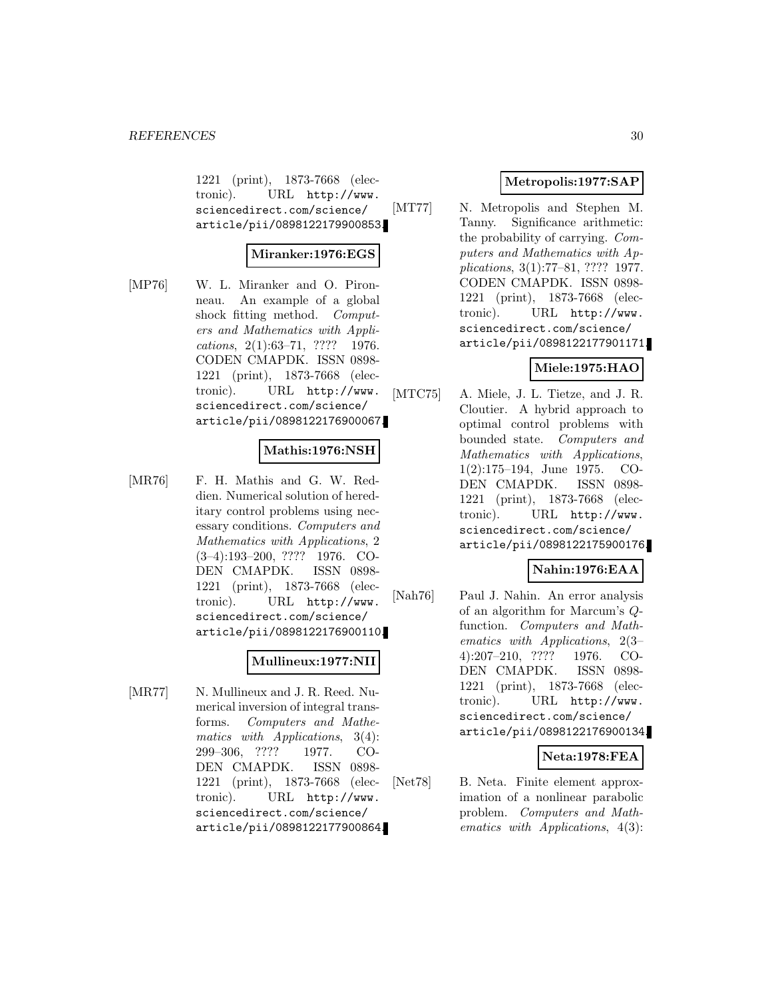1221 (print), 1873-7668 (electronic). URL http://www. sciencedirect.com/science/ article/pii/0898122179900853.

### **Miranker:1976:EGS**

[MP76] W. L. Miranker and O. Pironneau. An example of a global shock fitting method. Computers and Mathematics with Applications, 2(1):63–71, ???? 1976. CODEN CMAPDK. ISSN 0898- 1221 (print), 1873-7668 (electronic). URL http://www. sciencedirect.com/science/ article/pii/0898122176900067.

### **Mathis:1976:NSH**

[MR76] F. H. Mathis and G. W. Reddien. Numerical solution of hereditary control problems using necessary conditions. Computers and Mathematics with Applications, 2 (3–4):193–200, ???? 1976. CO-DEN CMAPDK. ISSN 0898- 1221 (print), 1873-7668 (electronic). URL http://www. sciencedirect.com/science/ article/pii/0898122176900110.

### **Mullineux:1977:NII**

[MR77] N. Mullineux and J. R. Reed. Numerical inversion of integral transforms. Computers and Mathematics with Applications, 3(4): 299–306, ???? 1977. CO-DEN CMAPDK. ISSN 0898- 1221 (print), 1873-7668 (electronic). URL http://www. sciencedirect.com/science/ article/pii/0898122177900864.

# **Metropolis:1977:SAP**

[MT77] N. Metropolis and Stephen M. Tanny. Significance arithmetic: the probability of carrying. Computers and Mathematics with Applications, 3(1):77–81, ???? 1977. CODEN CMAPDK. ISSN 0898- 1221 (print), 1873-7668 (electronic). URL http://www. sciencedirect.com/science/ article/pii/0898122177901171.

# **Miele:1975:HAO**

[MTC75] A. Miele, J. L. Tietze, and J. R. Cloutier. A hybrid approach to optimal control problems with bounded state. Computers and Mathematics with Applications, 1(2):175–194, June 1975. CO-DEN CMAPDK. ISSN 0898- 1221 (print), 1873-7668 (electronic). URL http://www. sciencedirect.com/science/ article/pii/0898122175900176.

#### **Nahin:1976:EAA**

[Nah76] Paul J. Nahin. An error analysis of an algorithm for Marcum's Qfunction. Computers and Mathematics with Applications, 2(3– 4):207–210, ???? 1976. CO-DEN CMAPDK. ISSN 0898- 1221 (print), 1873-7668 (electronic). URL http://www. sciencedirect.com/science/ article/pii/0898122176900134.

#### **Neta:1978:FEA**

[Net78] B. Neta. Finite element approximation of a nonlinear parabolic problem. Computers and Mathematics with Applications, 4(3):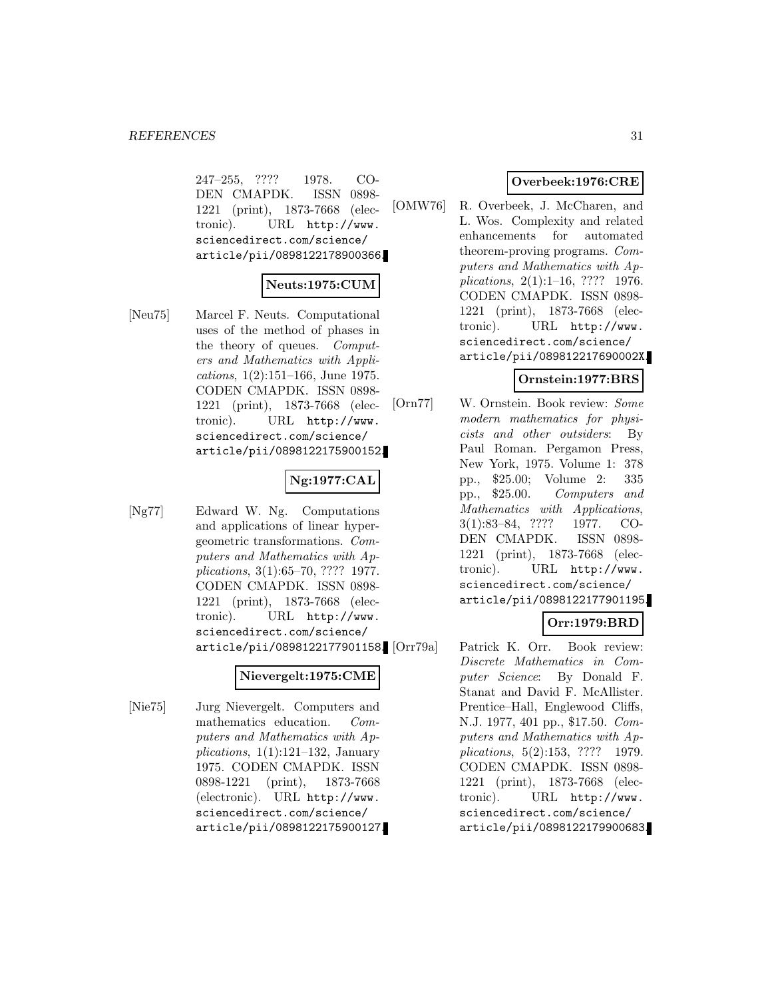247–255, ???? 1978. CO-DEN CMAPDK. ISSN 0898- 1221 (print), 1873-7668 (electronic). URL http://www. sciencedirect.com/science/ article/pii/0898122178900366.

# **Neuts:1975:CUM**

[Neu75] Marcel F. Neuts. Computational uses of the method of phases in the theory of queues. Computers and Mathematics with Applications, 1(2):151–166, June 1975. CODEN CMAPDK. ISSN 0898- 1221 (print), 1873-7668 (electronic). URL http://www. sciencedirect.com/science/ article/pii/0898122175900152.

### **Ng:1977:CAL**

[Ng77] Edward W. Ng. Computations and applications of linear hypergeometric transformations. Computers and Mathematics with Applications, 3(1):65–70, ???? 1977. CODEN CMAPDK. ISSN 0898- 1221 (print), 1873-7668 (electronic). URL http://www. sciencedirect.com/science/ article/pii/0898122177901158.

# **Nievergelt:1975:CME**

[Nie75] Jurg Nievergelt. Computers and mathematics education. Computers and Mathematics with Applications,  $1(1):121-132$ , January 1975. CODEN CMAPDK. ISSN 0898-1221 (print), 1873-7668 (electronic). URL http://www. sciencedirect.com/science/ article/pii/0898122175900127.

# **Overbeek:1976:CRE**

[OMW76] R. Overbeek, J. McCharen, and L. Wos. Complexity and related enhancements for automated theorem-proving programs. Computers and Mathematics with Applications, 2(1):1–16, ???? 1976. CODEN CMAPDK. ISSN 0898- 1221 (print), 1873-7668 (electronic). URL http://www. sciencedirect.com/science/ article/pii/089812217690002X.

# **Ornstein:1977:BRS**

[Orn77] W. Ornstein. Book review: Some modern mathematics for physicists and other outsiders: By Paul Roman. Pergamon Press, New York, 1975. Volume 1: 378 pp., \$25.00; Volume 2: 335 pp., \$25.00. Computers and Mathematics with Applications, 3(1):83–84, ???? 1977. CO-DEN CMAPDK. ISSN 0898- 1221 (print), 1873-7668 (electronic). URL http://www. sciencedirect.com/science/ article/pii/0898122177901195.

# **Orr:1979:BRD**

Patrick K. Orr. Book review: Discrete Mathematics in Computer Science: By Donald F. Stanat and David F. McAllister. Prentice–Hall, Englewood Cliffs, N.J. 1977, 401 pp., \$17.50. Computers and Mathematics with Applications, 5(2):153, ???? 1979. CODEN CMAPDK. ISSN 0898- 1221 (print), 1873-7668 (electronic). URL http://www. sciencedirect.com/science/ article/pii/0898122179900683.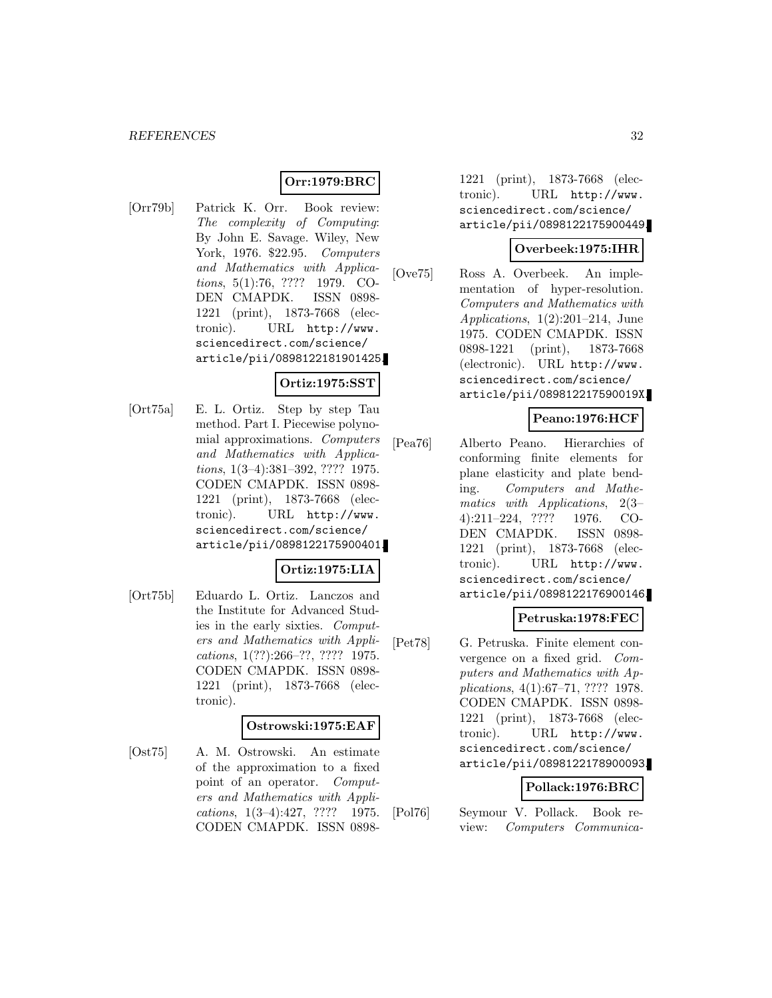# **Orr:1979:BRC**

[Orr79b] Patrick K. Orr. Book review: The complexity of Computing: By John E. Savage. Wiley, New York, 1976. \$22.95. Computers and Mathematics with Applications, 5(1):76, ???? 1979. CO-DEN CMAPDK. ISSN 0898- 1221 (print), 1873-7668 (electronic). URL http://www. sciencedirect.com/science/ article/pii/0898122181901425.

# **Ortiz:1975:SST**

[Ort75a] E. L. Ortiz. Step by step Tau method. Part I. Piecewise polynomial approximations. Computers and Mathematics with Applications, 1(3–4):381–392, ???? 1975. CODEN CMAPDK. ISSN 0898- 1221 (print), 1873-7668 (electronic). URL http://www. sciencedirect.com/science/ article/pii/0898122175900401.

#### **Ortiz:1975:LIA**

[Ort75b] Eduardo L. Ortiz. Lanczos and the Institute for Advanced Studies in the early sixties. Computers and Mathematics with Applications, 1(??):266–??, ???? 1975. CODEN CMAPDK. ISSN 0898- 1221 (print), 1873-7668 (electronic).

# **Ostrowski:1975:EAF**

[Ost75] A. M. Ostrowski. An estimate of the approximation to a fixed point of an operator. Computers and Mathematics with Applications, 1(3–4):427, ???? 1975. CODEN CMAPDK. ISSN 08981221 (print), 1873-7668 (electronic). URL http://www. sciencedirect.com/science/ article/pii/0898122175900449.

### **Overbeek:1975:IHR**

[Ove75] Ross A. Overbeek. An implementation of hyper-resolution. Computers and Mathematics with Applications,  $1(2):201-214$ , June 1975. CODEN CMAPDK. ISSN 0898-1221 (print), 1873-7668 (electronic). URL http://www. sciencedirect.com/science/ article/pii/089812217590019X.

# **Peano:1976:HCF**

[Pea76] Alberto Peano. Hierarchies of conforming finite elements for plane elasticity and plate bending. Computers and Mathematics with Applications, 2(3– 4):211–224, ???? 1976. CO-DEN CMAPDK. ISSN 0898- 1221 (print), 1873-7668 (electronic). URL http://www. sciencedirect.com/science/ article/pii/0898122176900146.

#### **Petruska:1978:FEC**

[Pet78] G. Petruska. Finite element convergence on a fixed grid. Computers and Mathematics with Applications, 4(1):67–71, ???? 1978. CODEN CMAPDK. ISSN 0898- 1221 (print), 1873-7668 (electronic). URL http://www. sciencedirect.com/science/ article/pii/0898122178900093.

#### **Pollack:1976:BRC**

[Pol76] Seymour V. Pollack. Book review: Computers Communica-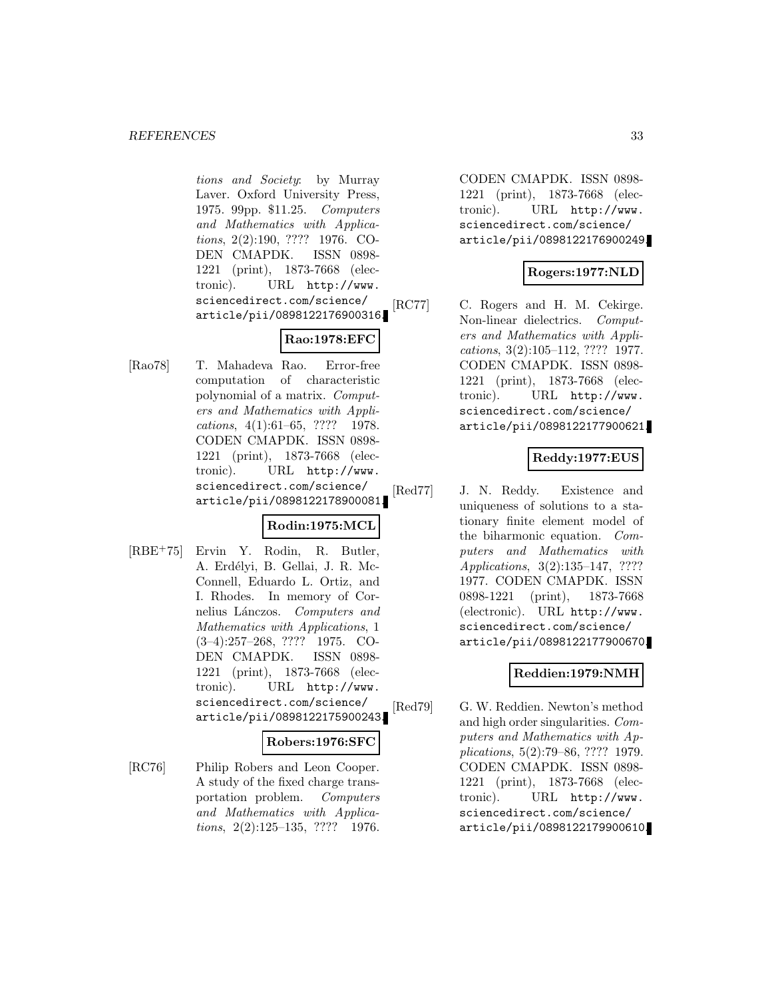tions and Society: by Murray Laver. Oxford University Press, 1975. 99pp. \$11.25. Computers and Mathematics with Applications, 2(2):190, ???? 1976. CO-DEN CMAPDK. ISSN 0898- 1221 (print), 1873-7668 (electronic). URL http://www. sciencedirect.com/science/ article/pii/0898122176900316.

# **Rao:1978:EFC**

[Rao78] T. Mahadeva Rao. Error-free computation of characteristic polynomial of a matrix. Computers and Mathematics with Applications, 4(1):61–65, ???? 1978. CODEN CMAPDK. ISSN 0898- 1221 (print), 1873-7668 (electronic). URL http://www. sciencedirect.com/science/ article/pii/0898122178900081.

# **Rodin:1975:MCL**

[RBE<sup>+</sup>75] Ervin Y. Rodin, R. Butler, A. Erdélyi, B. Gellai, J. R. Mc-Connell, Eduardo L. Ortiz, and I. Rhodes. In memory of Cornelius Lánczos. Computers and Mathematics with Applications, 1 (3–4):257–268, ???? 1975. CO-DEN CMAPDK. ISSN 0898- 1221 (print), 1873-7668 (electronic). URL http://www. sciencedirect.com/science/ article/pii/0898122175900243.

#### **Robers:1976:SFC**

[RC76] Philip Robers and Leon Cooper. A study of the fixed charge transportation problem. Computers and Mathematics with Applications, 2(2):125–135, ???? 1976.

CODEN CMAPDK. ISSN 0898- 1221 (print), 1873-7668 (electronic). URL http://www. sciencedirect.com/science/ article/pii/0898122176900249.

# **Rogers:1977:NLD**

[RC77] C. Rogers and H. M. Cekirge. Non-linear dielectrics. Computers and Mathematics with Applications, 3(2):105–112, ???? 1977. CODEN CMAPDK. ISSN 0898- 1221 (print), 1873-7668 (electronic). URL http://www. sciencedirect.com/science/ article/pii/0898122177900621.

# **Reddy:1977:EUS**

[Red77] J. N. Reddy. Existence and uniqueness of solutions to a stationary finite element model of the biharmonic equation. Computers and Mathematics with Applications, 3(2):135–147, ???? 1977. CODEN CMAPDK. ISSN 0898-1221 (print), 1873-7668 (electronic). URL http://www. sciencedirect.com/science/ article/pii/0898122177900670.

# **Reddien:1979:NMH**

[Red79] G. W. Reddien. Newton's method and high order singularities. Computers and Mathematics with Applications, 5(2):79–86, ???? 1979. CODEN CMAPDK. ISSN 0898- 1221 (print), 1873-7668 (electronic). URL http://www. sciencedirect.com/science/ article/pii/0898122179900610.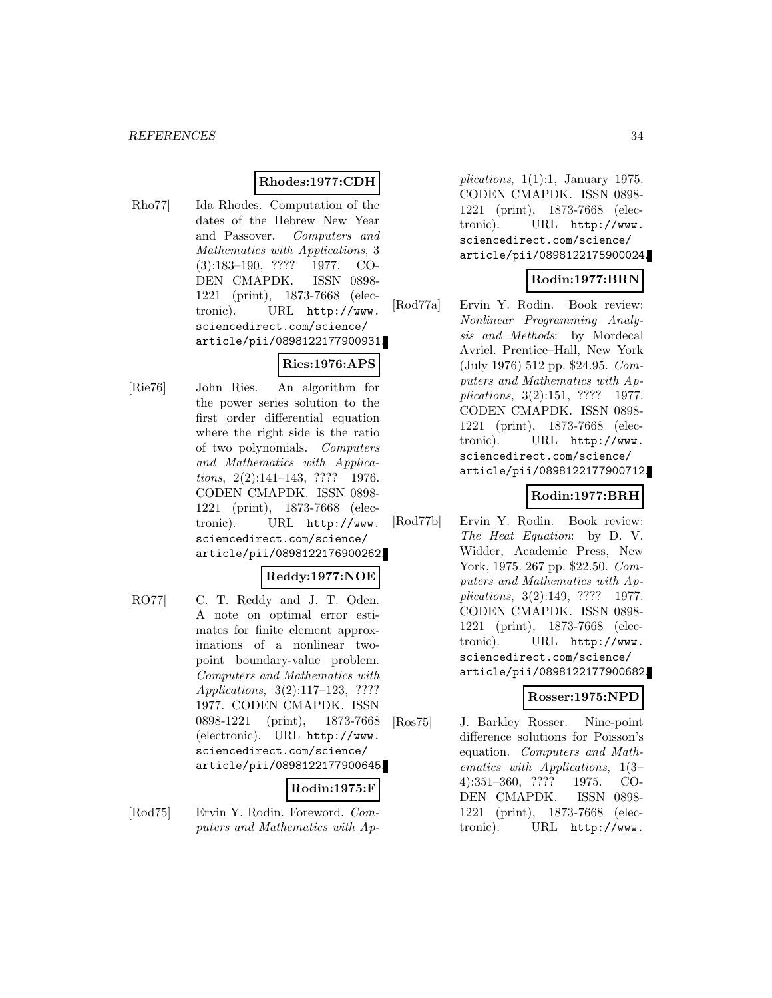#### **Rhodes:1977:CDH**

[Rho77] Ida Rhodes. Computation of the dates of the Hebrew New Year and Passover. Computers and Mathematics with Applications, 3 (3):183–190, ???? 1977. CO-DEN CMAPDK. ISSN 0898- 1221 (print), 1873-7668 (electronic). URL http://www. sciencedirect.com/science/ article/pii/0898122177900931.

# **Ries:1976:APS**

[Rie76] John Ries. An algorithm for the power series solution to the first order differential equation where the right side is the ratio of two polynomials. Computers and Mathematics with Applications, 2(2):141-143, ???? 1976. CODEN CMAPDK. ISSN 0898- 1221 (print), 1873-7668 (electronic). URL http://www. sciencedirect.com/science/ article/pii/0898122176900262.

# **Reddy:1977:NOE**

[RO77] C. T. Reddy and J. T. Oden. A note on optimal error estimates for finite element approximations of a nonlinear twopoint boundary-value problem. Computers and Mathematics with Applications, 3(2):117–123, ???? 1977. CODEN CMAPDK. ISSN 0898-1221 (print), 1873-7668 (electronic). URL http://www. sciencedirect.com/science/ article/pii/0898122177900645.

#### **Rodin:1975:F**

[Rod75] Ervin Y. Rodin. Foreword. Computers and Mathematics with Ap-

plications,  $1(1):1$ , January 1975. CODEN CMAPDK. ISSN 0898- 1221 (print), 1873-7668 (electronic). URL http://www. sciencedirect.com/science/ article/pii/0898122175900024.

# **Rodin:1977:BRN**

[Rod77a] Ervin Y. Rodin. Book review: Nonlinear Programming Analysis and Methods: by Mordecal Avriel. Prentice–Hall, New York (July 1976) 512 pp. \$24.95. Computers and Mathematics with Applications, 3(2):151, ???? 1977. CODEN CMAPDK. ISSN 0898- 1221 (print), 1873-7668 (electronic). URL http://www. sciencedirect.com/science/ article/pii/0898122177900712.

# **Rodin:1977:BRH**

[Rod77b] Ervin Y. Rodin. Book review: The Heat Equation: by D. V. Widder, Academic Press, New York, 1975. 267 pp. \$22.50. Computers and Mathematics with Applications, 3(2):149, ???? 1977. CODEN CMAPDK. ISSN 0898- 1221 (print), 1873-7668 (electronic). URL http://www. sciencedirect.com/science/ article/pii/0898122177900682.

# **Rosser:1975:NPD**

[Ros75] J. Barkley Rosser. Nine-point difference solutions for Poisson's equation. Computers and Mathematics with Applications, 1(3– 4):351–360, ???? 1975. CO-DEN CMAPDK. ISSN 0898- 1221 (print), 1873-7668 (electronic). URL http://www.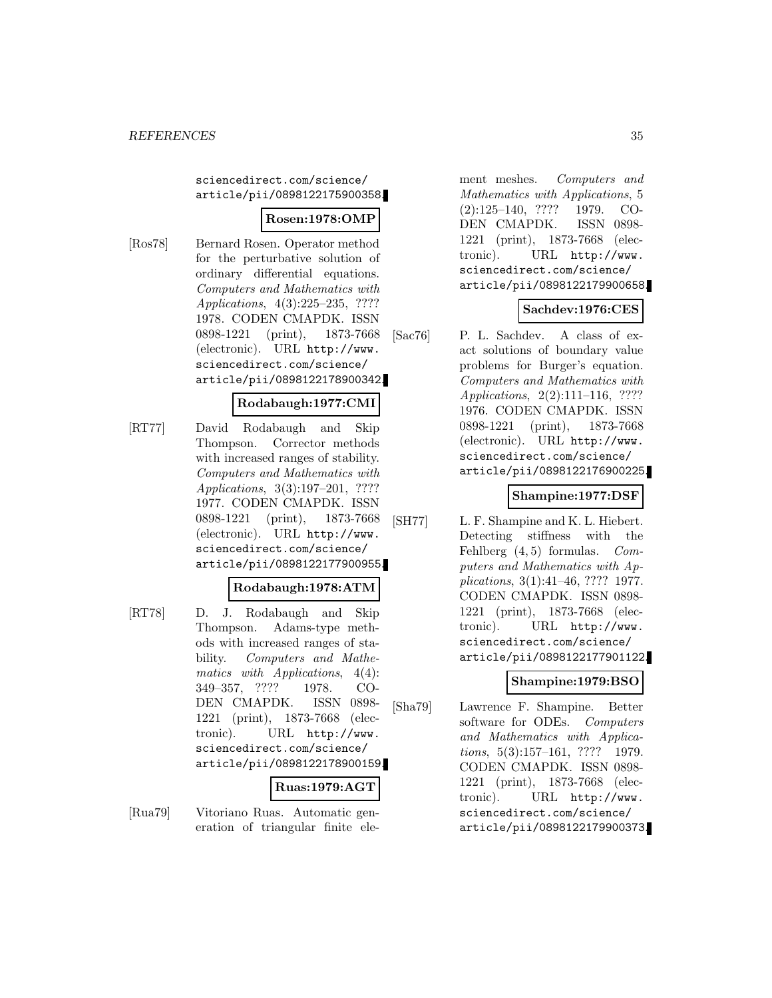sciencedirect.com/science/ article/pii/0898122175900358.

# **Rosen:1978:OMP**

[Ros78] Bernard Rosen. Operator method for the perturbative solution of ordinary differential equations. Computers and Mathematics with Applications, 4(3):225–235, ???? 1978. CODEN CMAPDK. ISSN 0898-1221 (print), 1873-7668 (electronic). URL http://www. sciencedirect.com/science/ article/pii/0898122178900342.

# **Rodabaugh:1977:CMI**

[RT77] David Rodabaugh and Skip Thompson. Corrector methods with increased ranges of stability. Computers and Mathematics with Applications, 3(3):197–201, ???? 1977. CODEN CMAPDK. ISSN 0898-1221 (print), 1873-7668 (electronic). URL http://www. sciencedirect.com/science/ article/pii/0898122177900955.

#### **Rodabaugh:1978:ATM**

[RT78] D. J. Rodabaugh and Skip Thompson. Adams-type methods with increased ranges of stability. Computers and Mathematics with Applications,  $4(4)$ : 349–357, ???? 1978. CO-DEN CMAPDK. ISSN 0898- 1221 (print), 1873-7668 (electronic). URL http://www. sciencedirect.com/science/ article/pii/0898122178900159.

#### **Ruas:1979:AGT**

[Rua79] Vitoriano Ruas. Automatic generation of triangular finite element meshes. Computers and Mathematics with Applications, 5 (2):125–140, ???? 1979. CO-DEN CMAPDK. ISSN 0898- 1221 (print), 1873-7668 (electronic). URL http://www. sciencedirect.com/science/ article/pii/0898122179900658.

# **Sachdev:1976:CES**

[Sac76] P. L. Sachdev. A class of exact solutions of boundary value problems for Burger's equation. Computers and Mathematics with Applications, 2(2):111–116, ???? 1976. CODEN CMAPDK. ISSN 0898-1221 (print), 1873-7668 (electronic). URL http://www. sciencedirect.com/science/ article/pii/0898122176900225.

# **Shampine:1977:DSF**

[SH77] L. F. Shampine and K. L. Hiebert. Detecting stiffness with the Fehlberg  $(4, 5)$  formulas. Computers and Mathematics with Applications, 3(1):41–46, ???? 1977. CODEN CMAPDK. ISSN 0898- 1221 (print), 1873-7668 (electronic). URL http://www. sciencedirect.com/science/ article/pii/0898122177901122.

# **Shampine:1979:BSO**

[Sha79] Lawrence F. Shampine. Better software for ODEs. Computers and Mathematics with Applica $tions, 5(3):157–161, ???? 1979.$ CODEN CMAPDK. ISSN 0898- 1221 (print), 1873-7668 (electronic). URL http://www. sciencedirect.com/science/ article/pii/0898122179900373.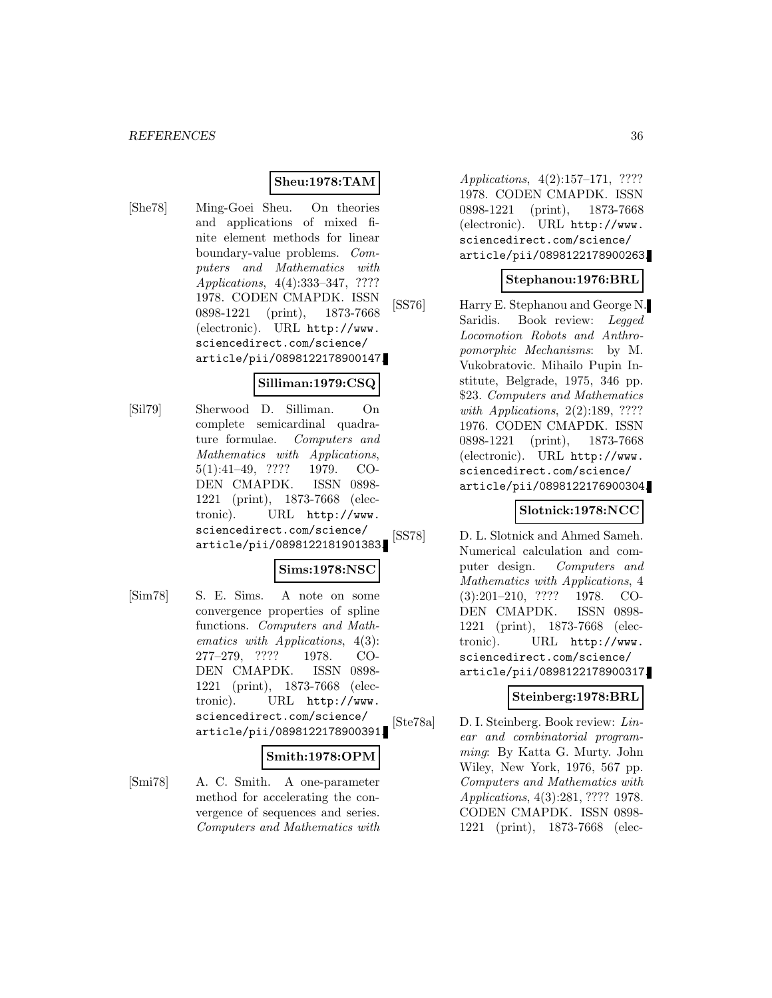# **Sheu:1978:TAM**

[She78] Ming-Goei Sheu. On theories and applications of mixed finite element methods for linear boundary-value problems. Computers and Mathematics with Applications, 4(4):333–347, ???? 1978. CODEN CMAPDK. ISSN 0898-1221 (print), 1873-7668 (electronic). URL http://www. sciencedirect.com/science/ article/pii/0898122178900147.

#### **Silliman:1979:CSQ**

[Sil79] Sherwood D. Silliman. On complete semicardinal quadrature formulae. Computers and Mathematics with Applications, 5(1):41–49, ???? 1979. CO-DEN CMAPDK. ISSN 0898- 1221 (print), 1873-7668 (electronic). URL http://www. sciencedirect.com/science/ article/pii/0898122181901383.

# **Sims:1978:NSC**

[Sim78] S. E. Sims. A note on some convergence properties of spline functions. Computers and Mathematics with Applications, 4(3): 277–279, ???? 1978. CO-DEN CMAPDK. ISSN 0898- 1221 (print), 1873-7668 (electronic). URL http://www. sciencedirect.com/science/ article/pii/0898122178900391.

#### **Smith:1978:OPM**

[Smi78] A. C. Smith. A one-parameter method for accelerating the convergence of sequences and series. Computers and Mathematics with

Applications, 4(2):157–171, ???? 1978. CODEN CMAPDK. ISSN 0898-1221 (print), 1873-7668 (electronic). URL http://www. sciencedirect.com/science/ article/pii/0898122178900263.

#### **Stephanou:1976:BRL**

[SS76] Harry E. Stephanou and George N. Saridis. Book review: Legged Locomotion Robots and Anthropomorphic Mechanisms: by M. Vukobratovic. Mihailo Pupin Institute, Belgrade, 1975, 346 pp. \$23. Computers and Mathematics with *Applications*, 2(2):189, ???? 1976. CODEN CMAPDK. ISSN 0898-1221 (print), 1873-7668 (electronic). URL http://www. sciencedirect.com/science/ article/pii/0898122176900304.

# **Slotnick:1978:NCC**

[SS78] D. L. Slotnick and Ahmed Sameh. Numerical calculation and computer design. Computers and Mathematics with Applications, 4 (3):201–210, ???? 1978. CO-DEN CMAPDK. ISSN 0898- 1221 (print), 1873-7668 (electronic). URL http://www. sciencedirect.com/science/ article/pii/0898122178900317.

# **Steinberg:1978:BRL**

[Ste78a] D. I. Steinberg. Book review: Linear and combinatorial programming: By Katta G. Murty. John Wiley, New York, 1976, 567 pp. Computers and Mathematics with Applications, 4(3):281, ???? 1978. CODEN CMAPDK. ISSN 0898- 1221 (print), 1873-7668 (elec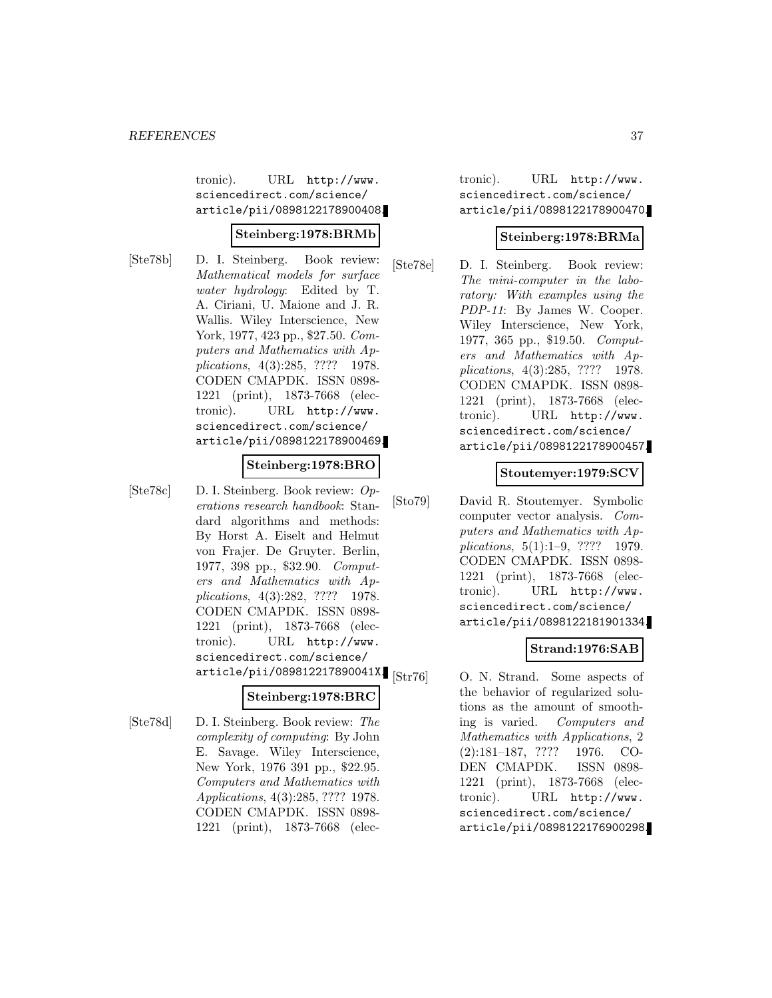tronic). URL http://www. sciencedirect.com/science/ article/pii/0898122178900408.

#### **Steinberg:1978:BRMb**

[Ste78b] D. I. Steinberg. Book review: Mathematical models for surface water hydrology: Edited by T. A. Ciriani, U. Maione and J. R. Wallis. Wiley Interscience, New York, 1977, 423 pp., \$27.50. *Com*puters and Mathematics with Applications, 4(3):285, ???? 1978. CODEN CMAPDK. ISSN 0898- 1221 (print), 1873-7668 (electronic). URL http://www. sciencedirect.com/science/ article/pii/0898122178900469.

### **Steinberg:1978:BRO**

[Ste78c] D. I. Steinberg. Book review: Operations research handbook: Standard algorithms and methods: By Horst A. Eiselt and Helmut von Frajer. De Gruyter. Berlin, 1977, 398 pp., \$32.90. Computers and Mathematics with Applications, 4(3):282, ???? 1978. CODEN CMAPDK. ISSN 0898- 1221 (print), 1873-7668 (electronic). URL http://www. sciencedirect.com/science/ article/pii/089812217890041X.

# **Steinberg:1978:BRC**

[Ste78d] D. I. Steinberg. Book review: The complexity of computing: By John E. Savage. Wiley Interscience, New York, 1976 391 pp., \$22.95. Computers and Mathematics with Applications, 4(3):285, ???? 1978. CODEN CMAPDK. ISSN 0898- 1221 (print), 1873-7668 (electronic). URL http://www. sciencedirect.com/science/ article/pii/0898122178900470.

### **Steinberg:1978:BRMa**

[Ste78e] D. I. Steinberg. Book review: The mini-computer in the laboratory: With examples using the PDP-11: By James W. Cooper. Wiley Interscience, New York, 1977, 365 pp., \$19.50. Computers and Mathematics with Applications, 4(3):285, ???? 1978. CODEN CMAPDK. ISSN 0898- 1221 (print), 1873-7668 (electronic). URL http://www. sciencedirect.com/science/ article/pii/0898122178900457.

# **Stoutemyer:1979:SCV**

[Sto79] David R. Stoutemyer. Symbolic computer vector analysis. Computers and Mathematics with Applications, 5(1):1–9, ???? 1979. CODEN CMAPDK. ISSN 0898- 1221 (print), 1873-7668 (electronic). URL http://www. sciencedirect.com/science/ article/pii/0898122181901334.

# **Strand:1976:SAB**

O. N. Strand. Some aspects of the behavior of regularized solutions as the amount of smoothing is varied. Computers and Mathematics with Applications, 2 (2):181–187, ???? 1976. CO-DEN CMAPDK. ISSN 0898- 1221 (print), 1873-7668 (electronic). URL http://www. sciencedirect.com/science/ article/pii/0898122176900298.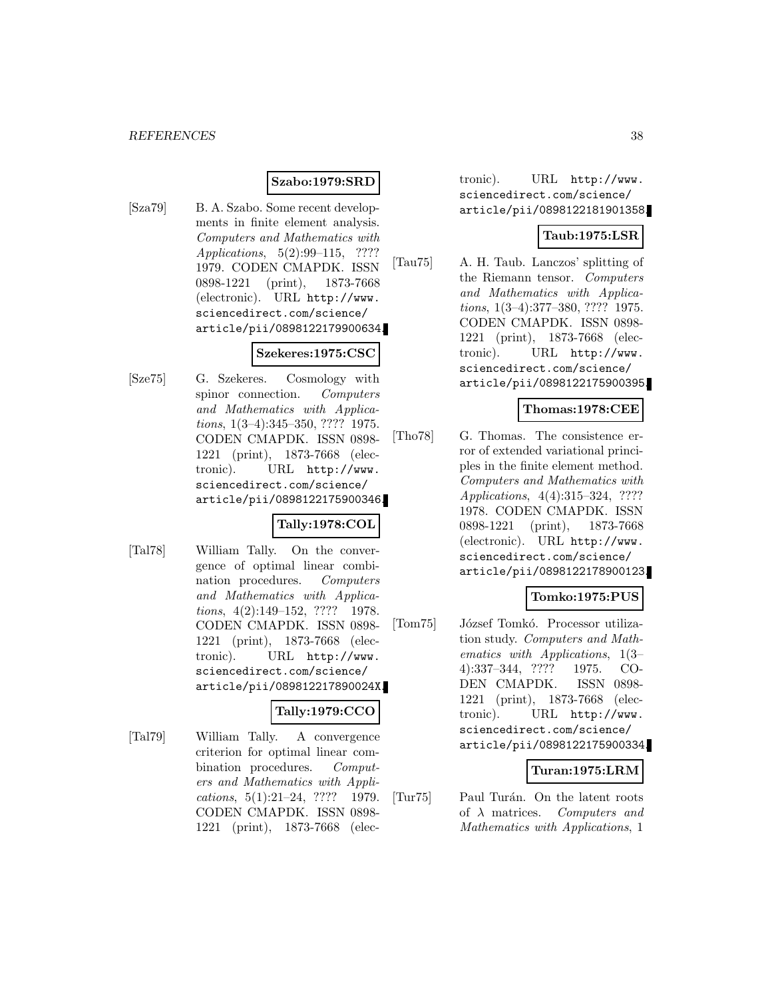# **Szabo:1979:SRD**

[Sza79] B. A. Szabo. Some recent developments in finite element analysis. Computers and Mathematics with Applications, 5(2):99–115, ???? 1979. CODEN CMAPDK. ISSN 0898-1221 (print), 1873-7668 (electronic). URL http://www. sciencedirect.com/science/ article/pii/0898122179900634.

### **Szekeres:1975:CSC**

[Sze75] G. Szekeres. Cosmology with spinor connection. Computers and Mathematics with Applications, 1(3–4):345–350, ???? 1975. CODEN CMAPDK. ISSN 0898- 1221 (print), 1873-7668 (electronic). URL http://www. sciencedirect.com/science/ article/pii/0898122175900346.

#### **Tally:1978:COL**

[Tal78] William Tally. On the convergence of optimal linear combination procedures. Computers and Mathematics with Applications, 4(2):149–152, ???? 1978. CODEN CMAPDK. ISSN 0898- 1221 (print), 1873-7668 (electronic). URL http://www. sciencedirect.com/science/ article/pii/089812217890024X.

### **Tally:1979:CCO**

[Tal79] William Tally. A convergence criterion for optimal linear combination procedures. Computers and Mathematics with Applications, 5(1):21–24, ???? 1979. CODEN CMAPDK. ISSN 0898- 1221 (print), 1873-7668 (electronic). URL http://www. sciencedirect.com/science/ article/pii/0898122181901358.

# **Taub:1975:LSR**

[Tau75] A. H. Taub. Lanczos' splitting of the Riemann tensor. Computers and Mathematics with Applications, 1(3–4):377–380, ???? 1975. CODEN CMAPDK. ISSN 0898- 1221 (print), 1873-7668 (electronic). URL http://www. sciencedirect.com/science/ article/pii/0898122175900395.

# **Thomas:1978:CEE**

[Tho78] G. Thomas. The consistence error of extended variational principles in the finite element method. Computers and Mathematics with Applications, 4(4):315–324, ???? 1978. CODEN CMAPDK. ISSN 0898-1221 (print), 1873-7668 (electronic). URL http://www. sciencedirect.com/science/ article/pii/0898122178900123.

# **Tomko:1975:PUS**

[Tom75] József Tomkó. Processor utilization study. Computers and Mathematics with Applications, 1(3– 4):337–344, ???? 1975. CO-DEN CMAPDK. ISSN 0898- 1221 (print), 1873-7668 (electronic). URL http://www. sciencedirect.com/science/ article/pii/0898122175900334.

### **Turan:1975:LRM**

[Tur75] Paul Turán. On the latent roots of  $\lambda$  matrices. Computers and Mathematics with Applications, 1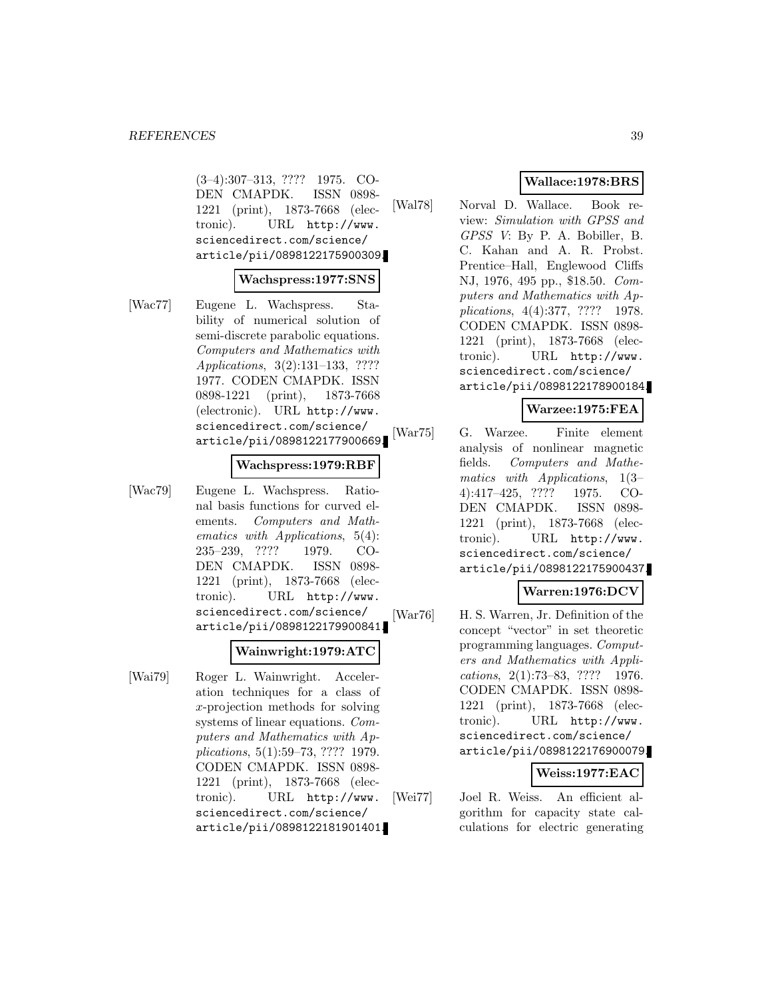(3–4):307–313, ???? 1975. CO-DEN CMAPDK. ISSN 0898- 1221 (print), 1873-7668 (electronic). URL http://www. sciencedirect.com/science/ article/pii/0898122175900309.

#### **Wachspress:1977:SNS**

[Wac77] Eugene L. Wachspress. Stability of numerical solution of semi-discrete parabolic equations. Computers and Mathematics with Applications, 3(2):131–133, ???? 1977. CODEN CMAPDK. ISSN 0898-1221 (print), 1873-7668 (electronic). URL http://www. sciencedirect.com/science/ article/pii/0898122177900669.

### **Wachspress:1979:RBF**

[Wac79] Eugene L. Wachspress. Rational basis functions for curved elements. Computers and Mathematics with Applications, 5(4): 235–239, ???? 1979. CO-DEN CMAPDK. ISSN 0898- 1221 (print), 1873-7668 (electronic). URL http://www. sciencedirect.com/science/ article/pii/0898122179900841.

#### **Wainwright:1979:ATC**

[Wai79] Roger L. Wainwright. Acceleration techniques for a class of x-projection methods for solving systems of linear equations. Computers and Mathematics with Applications, 5(1):59–73, ???? 1979. CODEN CMAPDK. ISSN 0898- 1221 (print), 1873-7668 (electronic). URL http://www. sciencedirect.com/science/ article/pii/0898122181901401.

# **Wallace:1978:BRS**

[Wal78] Norval D. Wallace. Book review: Simulation with GPSS and GPSS V: By P. A. Bobiller, B. C. Kahan and A. R. Probst. Prentice–Hall, Englewood Cliffs NJ, 1976, 495 pp., \$18.50. Computers and Mathematics with Applications, 4(4):377, ???? 1978. CODEN CMAPDK. ISSN 0898- 1221 (print), 1873-7668 (electronic). URL http://www. sciencedirect.com/science/ article/pii/0898122178900184.

# **Warzee:1975:FEA**

[War75] G. Warzee. Finite element analysis of nonlinear magnetic fields. Computers and Mathematics with Applications, 1(3– 4):417–425, ???? 1975. CO-DEN CMAPDK. ISSN 0898- 1221 (print), 1873-7668 (electronic). URL http://www. sciencedirect.com/science/ article/pii/0898122175900437.

# **Warren:1976:DCV**

[War76] H. S. Warren, Jr. Definition of the concept "vector" in set theoretic programming languages. Computers and Mathematics with Applications, 2(1):73–83, ???? 1976. CODEN CMAPDK. ISSN 0898- 1221 (print), 1873-7668 (electronic). URL http://www. sciencedirect.com/science/ article/pii/0898122176900079.

# **Weiss:1977:EAC**

[Wei77] Joel R. Weiss. An efficient algorithm for capacity state calculations for electric generating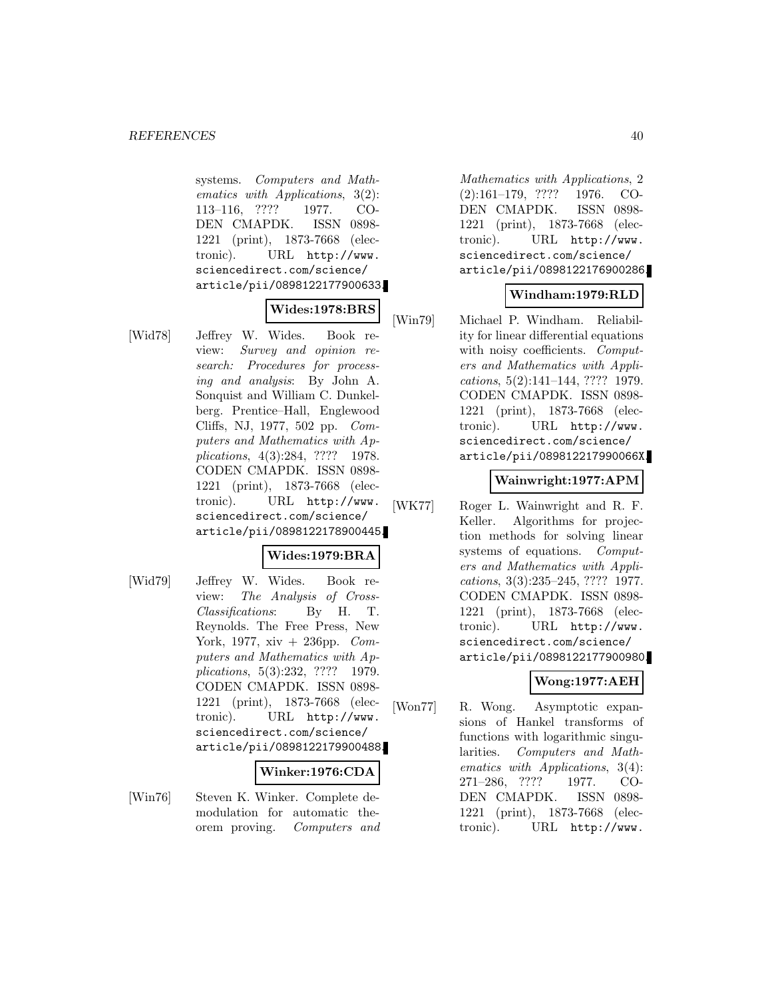systems. Computers and Mathematics with Applications, 3(2): 113–116, ???? 1977. CO-DEN CMAPDK. ISSN 0898- 1221 (print), 1873-7668 (electronic). URL http://www. sciencedirect.com/science/ article/pii/0898122177900633.

### **Wides:1978:BRS**

[Wid78] Jeffrey W. Wides. Book review: Survey and opinion research: Procedures for processing and analysis: By John A. Sonquist and William C. Dunkelberg. Prentice–Hall, Englewood Cliffs, NJ, 1977, 502 pp. Computers and Mathematics with Applications, 4(3):284, ???? 1978. CODEN CMAPDK. ISSN 0898- 1221 (print), 1873-7668 (electronic). URL http://www. sciencedirect.com/science/ article/pii/0898122178900445.

# **Wides:1979:BRA**

[Wid79] Jeffrey W. Wides. Book review: The Analysis of Cross-Classifications: By H. T. Reynolds. The Free Press, New York, 1977, xiv  $+$  236pp. Computers and Mathematics with Applications, 5(3):232, ???? 1979. CODEN CMAPDK. ISSN 0898- 1221 (print), 1873-7668 (electronic). URL http://www. sciencedirect.com/science/ article/pii/0898122179900488.

# **Winker:1976:CDA**

[Win76] Steven K. Winker. Complete demodulation for automatic theorem proving. Computers and

Mathematics with Applications, 2 (2):161–179, ???? 1976. CO-DEN CMAPDK. ISSN 0898- 1221 (print), 1873-7668 (electronic). URL http://www. sciencedirect.com/science/ article/pii/0898122176900286.

# **Windham:1979:RLD**

[Win79] Michael P. Windham. Reliability for linear differential equations with noisy coefficients. Computers and Mathematics with Applications, 5(2):141–144, ???? 1979. CODEN CMAPDK. ISSN 0898- 1221 (print), 1873-7668 (electronic). URL http://www. sciencedirect.com/science/ article/pii/089812217990066X.

# **Wainwright:1977:APM**

[WK77] Roger L. Wainwright and R. F. Keller. Algorithms for projection methods for solving linear systems of equations. Computers and Mathematics with Applications, 3(3):235–245, ???? 1977. CODEN CMAPDK. ISSN 0898- 1221 (print), 1873-7668 (electronic). URL http://www. sciencedirect.com/science/ article/pii/0898122177900980.

# **Wong:1977:AEH**

[Won77] R. Wong. Asymptotic expansions of Hankel transforms of functions with logarithmic singularities. Computers and Mathematics with Applications, 3(4): 271–286, ???? 1977. CO-DEN CMAPDK. ISSN 0898- 1221 (print), 1873-7668 (electronic). URL http://www.